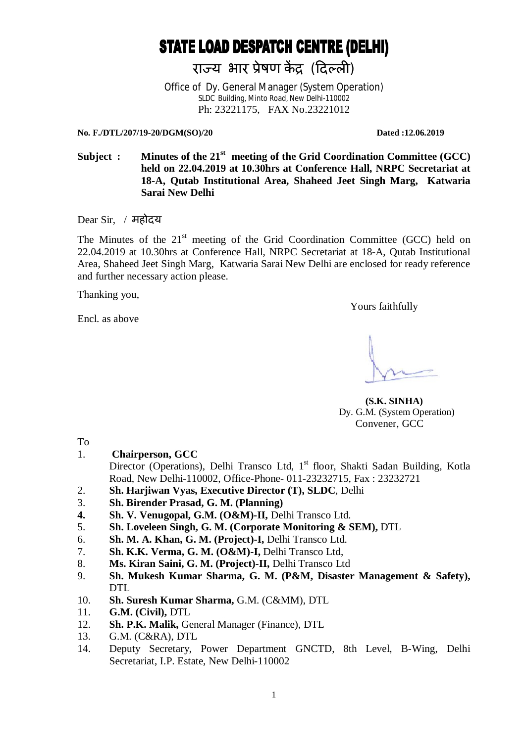# **STATE LOAD DESPATCH CENTRE (DELHI)**

राज्य भार प्रेषण केंद्र (दिल्ली)

Office of Dy. General Manager (System Operation) SLDC Building, Minto Road, New Delhi-110002 Ph: 23221175, FAX No.23221012

#### **No. F./DTL/207/19-20/DGM(SO)/20 Dated :12.06.2019**

Subject : Minutes of the 21<sup>st</sup> meeting of the Grid Coordination Committee (GCC) **held on 22.04.2019 at 10.30hrs at Conference Hall, NRPC Secretariat at 18-A, Qutab Institutional Area, Shaheed Jeet Singh Marg, Katwaria Sarai New Delhi**

Dear Sir, / महोदय

The Minutes of the 21<sup>st</sup> meeting of the Grid Coordination Committee (GCC) held on 22.04.2019 at 10.30hrs at Conference Hall, NRPC Secretariat at 18-A, Qutab Institutional Area, Shaheed Jeet Singh Marg, Katwaria Sarai New Delhi are enclosed for ready reference and further necessary action please.

Thanking you,

Encl. as above

Yours faithfully

 **(S.K. SINHA)** Dy. G.M. (System Operation) Convener, GCC

To

1. **Chairperson, GCC**

Director (Operations), Delhi Transco Ltd, 1<sup>st</sup> floor, Shakti Sadan Building, Kotla Road, New Delhi-110002, Office-Phone- 011-23232715, Fax : 23232721

- 2. **Sh. Harjiwan Vyas, Executive Director (T), SLDC**, Delhi
- 3. **Sh. Birender Prasad, G. M. (Planning)**
- **4. Sh. V. Venugopal, G.M. (O&M)-II,** Delhi Transco Ltd.
- 5. **Sh. Loveleen Singh, G. M. (Corporate Monitoring & SEM),** DTL
- 6. **Sh. M. A. Khan, G. M. (Project)-I,** Delhi Transco Ltd.
- 7. **Sh. K.K. Verma, G. M. (O&M)-I,** Delhi Transco Ltd,
- 8. **Ms. Kiran Saini, G. M. (Project)-II,** Delhi Transco Ltd
- 9. **Sh. Mukesh Kumar Sharma, G. M. (P&M, Disaster Management & Safety),**  DTL
- 10. **Sh. Suresh Kumar Sharma,** G.M. (C&MM), DTL
- 11. **G.M. (Civil),** DTL
- 12. **Sh. P.K. Malik,** General Manager (Finance), DTL
- 13. G.M. (C&RA), DTL
- 14. Deputy Secretary, Power Department GNCTD, 8th Level, B-Wing, Delhi Secretariat, I.P. Estate, New Delhi-110002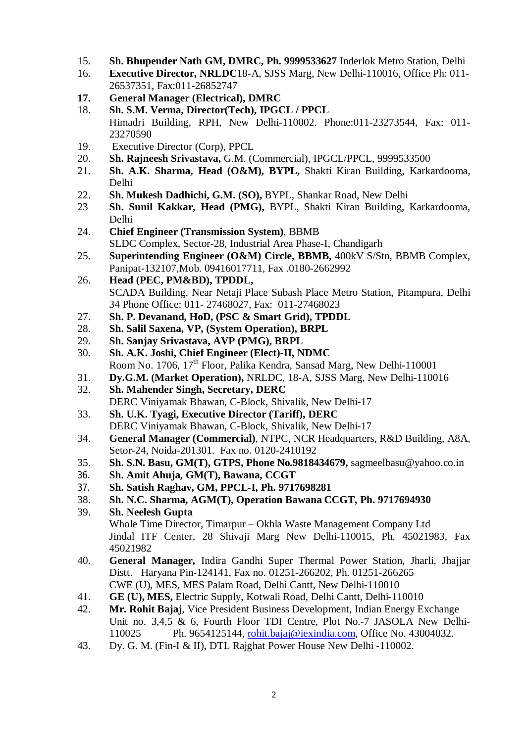- 15. **Sh. Bhupender Nath GM, DMRC, Ph. 9999533627** Inderlok Metro Station, Delhi
- 16. **Executive Director, NRLDC**18-A, SJSS Marg, New Delhi-110016, Office Ph: 011- 26537351, Fax:011-26852747
- **17. General Manager (Electrical), DMRC**
- 18. **Sh. S.M. Verma, Director(Tech), IPGCL / PPCL** Himadri Building, RPH, New Delhi-110002. Phone:011-23273544, Fax: 011- 23270590
- 19. Executive Director (Corp), PPCL
- 20. **Sh. Rajneesh Srivastava,** G.M. (Commercial), IPGCL/PPCL, 9999533500
- 21. **Sh. A.K. Sharma, Head (O&M), BYPL,** Shakti Kiran Building, Karkardooma, Delhi
- 22. **Sh. Mukesh Dadhichi, G.M. (SO),** BYPL, Shankar Road, New Delhi
- 23 **Sh. Sunil Kakkar, Head (PMG),** BYPL, Shakti Kiran Building, Karkardooma, Delhi
- 24. **Chief Engineer (Transmission System)**, BBMB SLDC Complex, Sector-28, Industrial Area Phase-I, Chandigarh
- 25. **Superintending Engineer (O&M) Circle, BBMB,** 400kV S/Stn, BBMB Complex, Panipat-132107,Mob. 09416017711, Fax .0180-2662992
- 26. **Head (PEC, PM&BD), TPDDL,** SCADA Building, Near Netaji Place Subash Place Metro Station, Pitampura, Delhi 34 Phone Office: 011- 27468027, Fax: 011-27468023
- 27. **Sh. P. Devanand, HoD, (PSC & Smart Grid), TPDDL**
- 28. **Sh. Salil Saxena, VP, (System Operation), BRPL**
- 29. **Sh. Sanjay Srivastava, AVP (PMG), BRPL**
- 30. **Sh. A.K. Joshi, Chief Engineer (Elect)-II, NDMC** Room No. 1706,  $17<sup>th</sup>$  Floor, Palika Kendra, Sansad Marg, New Delhi-110001
- 31. **Dy.G.M. (Market Operation),** NRLDC, 18-A, SJSS Marg, New Delhi-110016
- 32. **Sh. Mahender Singh, Secretary, DERC** DERC Viniyamak Bhawan, C-Block, Shivalik, New Delhi-17
- 33. **Sh. U.K. Tyagi, Executive Director (Tariff), DERC** DERC Viniyamak Bhawan, C-Block, Shivalik, New Delhi-17
- 34. **General Manager (Commercial)**, NTPC, NCR Headquarters, R&D Building, A8A, Setor-24, Noida-201301. Fax no. 0120-2410192
- 35. **Sh. S.N. Basu, GM(T), GTPS, Phone No.9818434679,** sagmeelbasu@yahoo.co.in
- 36. **Sh. Amit Ahuja, GM(T), Bawana, CCGT**
- 37. **Sh. Satish Raghav, GM, PPCL-I, Ph. 9717698281**
- 38. **Sh. N.C. Sharma, AGM(T), Operation Bawana CCGT, Ph. 9717694930**
- 39. **Sh. Neelesh Gupta** Whole Time Director, Timarpur – Okhla Waste Management Company Ltd Jindal ITF Center, 28 Shivaji Marg New Delhi-110015, Ph. 45021983, Fax 45021982
- 40. **General Manager,** Indira Gandhi Super Thermal Power Station, Jharli, Jhajjar Distt. Haryana Pin-124141, Fax no. 01251-266202, Ph. 01251-266265 CWE (U), MES, MES Palam Road, Delhi Cantt, New Delhi-110010
- 41. **GE (U), MES,** Electric Supply, Kotwali Road, Delhi Cantt, Delhi-110010
- 42. **Mr. Rohit Bajaj**, Vice President Business Development, Indian Energy Exchange Unit no. 3,4,5 & 6, Fourth Floor TDI Centre, Plot No.-7 JASOLA New Delhi-110025 Ph. 9654125144, rohit.bajaj@iexindia.com, Office No. 43004032.
- 43. Dy. G. M. (Fin-I & II), DTL Rajghat Power House New Delhi -110002.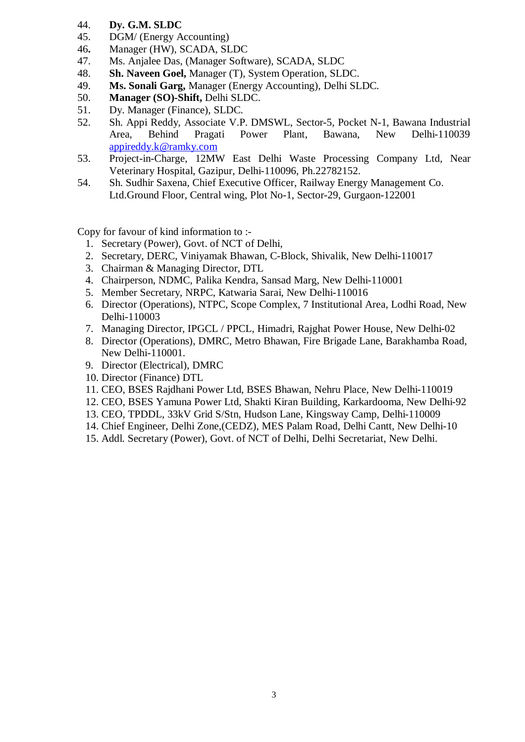- 44. **Dy. G.M. SLDC**
- 45. DGM/ (Energy Accounting)
- 46**.** Manager (HW), SCADA, SLDC
- 47. Ms. Anjalee Das, (Manager Software), SCADA, SLDC
- 48. **Sh. Naveen Goel,** Manager (T), System Operation, SLDC.
- 49. **Ms. Sonali Garg,** Manager (Energy Accounting), Delhi SLDC.
- 50. **Manager (SO)-Shift,** Delhi SLDC.
- 51. Dy. Manager (Finance), SLDC.
- 52. Sh. Appi Reddy, Associate V.P. DMSWL, Sector-5, Pocket N-1, Bawana Industrial Area, Behind Pragati Power Plant, Bawana, New Delhi-110039 appireddy.k@ramky.com
- 53. Project-in-Charge, 12MW East Delhi Waste Processing Company Ltd, Near Veterinary Hospital, Gazipur, Delhi-110096, Ph.22782152.
- 54. Sh. Sudhir Saxena, Chief Executive Officer, Railway Energy Management Co. Ltd.Ground Floor, Central wing, Plot No-1, Sector-29, Gurgaon-122001

Copy for favour of kind information to :-

- 1. Secretary (Power), Govt. of NCT of Delhi,
- 2. Secretary, DERC, Viniyamak Bhawan, C-Block, Shivalik, New Delhi-110017
- 3. Chairman & Managing Director, DTL
- 4. Chairperson, NDMC, Palika Kendra, Sansad Marg, New Delhi-110001
- 5. Member Secretary, NRPC, Katwaria Sarai, New Delhi-110016
- 6. Director (Operations), NTPC, Scope Complex, 7 Institutional Area, Lodhi Road, New Delhi-110003
- 7. Managing Director, IPGCL / PPCL, Himadri, Rajghat Power House, New Delhi-02
- 8. Director (Operations), DMRC, Metro Bhawan, Fire Brigade Lane, Barakhamba Road, New Delhi-110001.
- 9. Director (Electrical), DMRC
- 10. Director (Finance) DTL
- 11. CEO, BSES Rajdhani Power Ltd, BSES Bhawan, Nehru Place, New Delhi-110019
- 12. CEO, BSES Yamuna Power Ltd, Shakti Kiran Building, Karkardooma, New Delhi-92
- 13. CEO, TPDDL, 33kV Grid S/Stn, Hudson Lane, Kingsway Camp, Delhi-110009
- 14. Chief Engineer, Delhi Zone,(CEDZ), MES Palam Road, Delhi Cantt, New Delhi-10
- 15. Addl. Secretary (Power), Govt. of NCT of Delhi, Delhi Secretariat, New Delhi.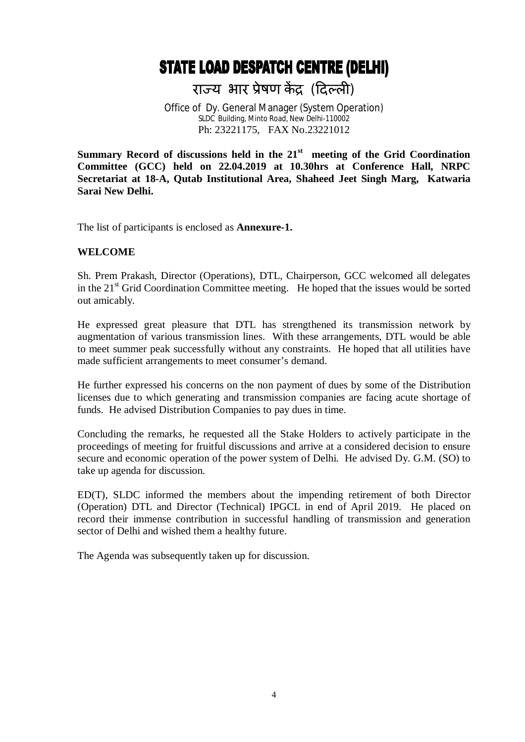## **STATE LOAD DESPATCH CENTRE (DELHI)**

राज्य भार प्रेषण केंद्र (दिल्ली)

Office of Dy. General Manager (System Operation) SLDC Building, Minto Road, New Delhi-110002 Ph: 23221175, FAX No.23221012

Summary Record of discussions held in the 21<sup>st</sup> meeting of the Grid Coordination **Committee (GCC) held on 22.04.2019 at 10.30hrs at Conference Hall, NRPC Secretariat at 18-A, Qutab Institutional Area, Shaheed Jeet Singh Marg, Katwaria Sarai New Delhi.**

The list of participants is enclosed as **Annexure-1.**

#### **WELCOME**

Sh. Prem Prakash, Director (Operations), DTL, Chairperson, GCC welcomed all delegates in the 21<sup>st</sup> Grid Coordination Committee meeting. He hoped that the issues would be sorted out amicably.

He expressed great pleasure that DTL has strengthened its transmission network by augmentation of various transmission lines. With these arrangements, DTL would be able to meet summer peak successfully without any constraints. He hoped that all utilities have made sufficient arrangements to meet consumer's demand.

He further expressed his concerns on the non payment of dues by some of the Distribution licenses due to which generating and transmission companies are facing acute shortage of funds. He advised Distribution Companies to pay dues in time.

Concluding the remarks, he requested all the Stake Holders to actively participate in the proceedings of meeting for fruitful discussions and arrive at a considered decision to ensure secure and economic operation of the power system of Delhi. He advised Dy. G.M. (SO) to take up agenda for discussion.

ED(T), SLDC informed the members about the impending retirement of both Director (Operation) DTL and Director (Technical) IPGCL in end of April 2019. He placed on record their immense contribution in successful handling of transmission and generation sector of Delhi and wished them a healthy future.

The Agenda was subsequently taken up for discussion.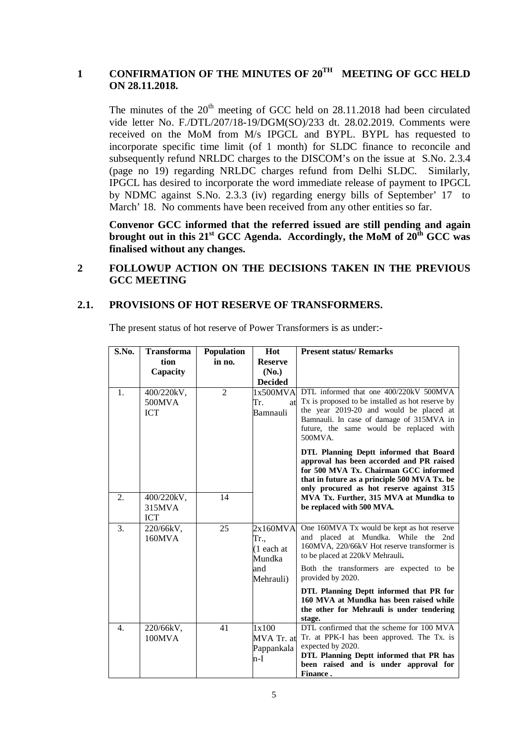#### 1 **CONFIRMATION OF THE MINUTES OF 20<sup>TH</sup> MEETING OF GCC HELD ON 28.11.2018.**

The minutes of the  $20<sup>th</sup>$  meeting of GCC held on 28.11.2018 had been circulated vide letter No. F./DTL/207/18-19/DGM(SO)/233 dt. 28.02.2019. Comments were received on the MoM from M/s IPGCL and BYPL. BYPL has requested to incorporate specific time limit (of 1 month) for SLDC finance to reconcile and subsequently refund NRLDC charges to the DISCOM's on the issue at S.No. 2.3.4 (page no 19) regarding NRLDC charges refund from Delhi SLDC. Similarly, IPGCL has desired to incorporate the word immediate release of payment to IPGCL by NDMC against S.No. 2.3.3 (iv) regarding energy bills of September' 17 to March' 18. No comments have been received from any other entities so far.

**Convenor GCC informed that the referred issued are still pending and again brought out in this 21st GCC Agenda. Accordingly, the MoM of 20th GCC was finalised without any changes.** 

#### **2 FOLLOWUP ACTION ON THE DECISIONS TAKEN IN THE PREVIOUS GCC MEETING**

#### **2.1. PROVISIONS OF HOT RESERVE OF TRANSFORMERS.**

| S.No. | <b>Transforma</b>                  | <b>Population</b> | Hot                                      | <b>Present status/ Remarks</b>                                                                                                                                                                                                          |
|-------|------------------------------------|-------------------|------------------------------------------|-----------------------------------------------------------------------------------------------------------------------------------------------------------------------------------------------------------------------------------------|
|       | tion                               | in no.            | <b>Reserve</b>                           |                                                                                                                                                                                                                                         |
|       | Capacity                           |                   | (No.)                                    |                                                                                                                                                                                                                                         |
|       |                                    |                   | <b>Decided</b>                           |                                                                                                                                                                                                                                         |
| 1.    | 400/220kV,<br>500MVA<br><b>ICT</b> | $\overline{2}$    | 1x500MVA<br>Tr.<br>at<br>Bamnauli        | DTL informed that one 400/220kV 500MVA<br>Tx is proposed to be installed as hot reserve by<br>the year 2019-20 and would be placed at<br>Bamnauli. In case of damage of 315MVA in<br>future, the same would be replaced with<br>500MVA. |
|       |                                    |                   |                                          | DTL Planning Deptt informed that Board<br>approval has been accorded and PR raised<br>for 500 MVA Tx. Chairman GCC informed<br>that in future as a principle 500 MVA Tx. be<br>only procured as hot reserve against 315                 |
| 2.    | 400/220kV,<br>315MVA<br>ICT        | 14                |                                          | MVA Tx. Further, 315 MVA at Mundka to<br>be replaced with 500 MVA.                                                                                                                                                                      |
| 3.    | 220/66kV,<br>160MVA                | 25                | 2x160MVA<br>Tr.,<br>(1 each at<br>Mundka | One 160MVA Tx would be kept as hot reserve<br>and placed at Mundka. While the 2nd<br>160MVA, 220/66kV Hot reserve transformer is<br>to be placed at 220kV Mehrauli.                                                                     |
|       |                                    |                   | and<br>Mehrauli)                         | Both the transformers are expected to be<br>provided by 2020.                                                                                                                                                                           |
|       |                                    |                   |                                          | DTL Planning Deptt informed that PR for<br>160 MVA at Mundka has been raised while<br>the other for Mehrauli is under tendering<br>stage.                                                                                               |
| 4.    | 220/66kV,<br>100MVA                | 41                | 1x100<br>MVA Tr. at<br>Pappankala<br>n-I | DTL confirmed that the scheme for 100 MVA<br>Tr. at PPK-I has been approved. The Tx. is<br>expected by 2020.<br>DTL Planning Deptt informed that PR has<br>been raised and is under approval for<br>Finance.                            |

The present status of hot reserve of Power Transformers is as under:-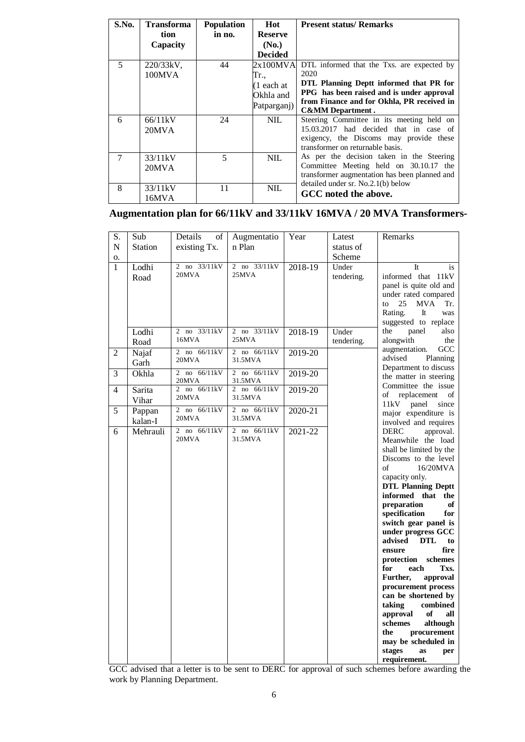| S.No.          | <b>Transforma</b> | <b>Population</b> | Hot            | <b>Present status/ Remarks</b>                |
|----------------|-------------------|-------------------|----------------|-----------------------------------------------|
|                | tion              | in no.            | <b>Reserve</b> |                                               |
|                | Capacity          |                   | (No.)          |                                               |
|                |                   |                   | <b>Decided</b> |                                               |
| 5              | $220/33kV$ ,      | 44                | 2x100MVA       | DTL informed that the Txs. are expected by    |
|                | 100MVA            |                   | Tr.,           | 2020                                          |
|                |                   |                   | (1 each at     | DTL Planning Deptt informed that PR for       |
|                |                   |                   | Okhla and      | PPG has been raised and is under approval     |
|                |                   |                   | Patparganj)    | from Finance and for Okhla, PR received in    |
|                |                   |                   |                | <b>C&amp;MM</b> Department.                   |
| 6              | 66/11kV           | 24                | NIL.           | Steering Committee in its meeting held on     |
|                | 20MVA             |                   |                | 15.03.2017 had decided that in case of        |
|                |                   |                   |                | exigency, the Discoms may provide these       |
|                |                   |                   |                | transformer on returnable basis.              |
| $\overline{7}$ | 33/11kV           | 5                 | <b>NIL</b>     | As per the decision taken in the Steering     |
|                | 20MVA             |                   |                | Committee Meeting held on 30.10.17 the        |
|                |                   |                   |                | transformer augmentation has been planned and |
| 8              | 33/11kV           | 11                | <b>NIL</b>     | detailed under sr. No.2.1(b) below            |
|                | 16MVA             |                   |                | GCC noted the above.                          |

**Augmentation plan for 66/11kV and 33/11kV 16MVA / 20 MVA Transformers-**

| S.             | Sub               | Details<br>οf         | Augmentatio             | Year    | Latest              | Remarks                                                                                                                                                                                                                                                                                                                                                                                                                                                                                                                                                                                                                |
|----------------|-------------------|-----------------------|-------------------------|---------|---------------------|------------------------------------------------------------------------------------------------------------------------------------------------------------------------------------------------------------------------------------------------------------------------------------------------------------------------------------------------------------------------------------------------------------------------------------------------------------------------------------------------------------------------------------------------------------------------------------------------------------------------|
| N              | <b>Station</b>    | existing Tx.          | n Plan                  |         | status of           |                                                                                                                                                                                                                                                                                                                                                                                                                                                                                                                                                                                                                        |
| 0.             |                   | 2 no 33/11kV          | 2 no 33/11kV            |         | Scheme              |                                                                                                                                                                                                                                                                                                                                                                                                                                                                                                                                                                                                                        |
| $\mathbf{1}$   | Lodhi<br>Road     | 20MVA                 | 25MVA                   | 2018-19 | Under<br>tendering. | <b>It</b><br>is<br>informed that 11kV<br>panel is quite old and<br>under rated compared<br>25<br><b>MVA</b><br>Tr.<br>to<br>Rating.<br>It<br>was<br>suggested to replace                                                                                                                                                                                                                                                                                                                                                                                                                                               |
|                | Lodhi<br>Road     | 2 no 33/11kV<br>16MVA | 2 no 33/11kV<br>25MVA   | 2018-19 | Under<br>tendering. | panel<br>also<br>the<br>alongwith<br>the                                                                                                                                                                                                                                                                                                                                                                                                                                                                                                                                                                               |
| $\overline{2}$ | Najaf<br>Garh     | 2 no 66/11kV<br>20MVA | 2 no 66/11kV<br>31.5MVA | 2019-20 |                     | GCC<br>augmentation.<br>advised<br>Planning                                                                                                                                                                                                                                                                                                                                                                                                                                                                                                                                                                            |
| 3              | Okhla             | 2 no 66/11kV<br>20MVA | 2 no 66/11kV<br>31.5MVA | 2019-20 |                     | Department to discuss<br>the matter in steering                                                                                                                                                                                                                                                                                                                                                                                                                                                                                                                                                                        |
| $\overline{4}$ | Sarita<br>Vihar   | 2 no 66/11kV<br>20MVA | 2 no 66/11kV<br>31.5MVA | 2019-20 |                     | Committee the issue<br>replacement<br>of<br>of<br>11kV<br>panel<br>since                                                                                                                                                                                                                                                                                                                                                                                                                                                                                                                                               |
| $\overline{5}$ | Pappan<br>kalan-I | 2 no 66/11kV<br>20MVA | 2 no 66/11kV<br>31.5MVA | 2020-21 |                     | major expenditure is<br>involved and requires                                                                                                                                                                                                                                                                                                                                                                                                                                                                                                                                                                          |
| 6              | Mehrauli          | 2 no 66/11kV<br>20MVA | 2 no 66/11kV<br>31.5MVA | 2021-22 |                     | <b>DERC</b><br>approval.<br>Meanwhile the load<br>shall be limited by the<br>Discoms to the level<br>of<br>16/20MVA<br>capacity only.<br><b>DTL Planning Deptt</b><br>informed that<br>the<br>preparation<br>of<br>specification<br>for<br>switch gear panel is<br>under progress GCC<br>advised<br><b>DTL</b><br>to<br>fire<br>ensure<br>protection<br>schemes<br>Txs.<br>for<br>each<br>Further,<br>approval<br>procurement process<br>can be shortened by<br>combined<br>taking<br>approval<br>of<br>all<br>schemes<br>although<br>the<br>procurement<br>may be scheduled in<br>stages<br>as<br>per<br>requirement. |

GCC advised that a letter is to be sent to DERC for approval of such schemes before awarding the work by Planning Department.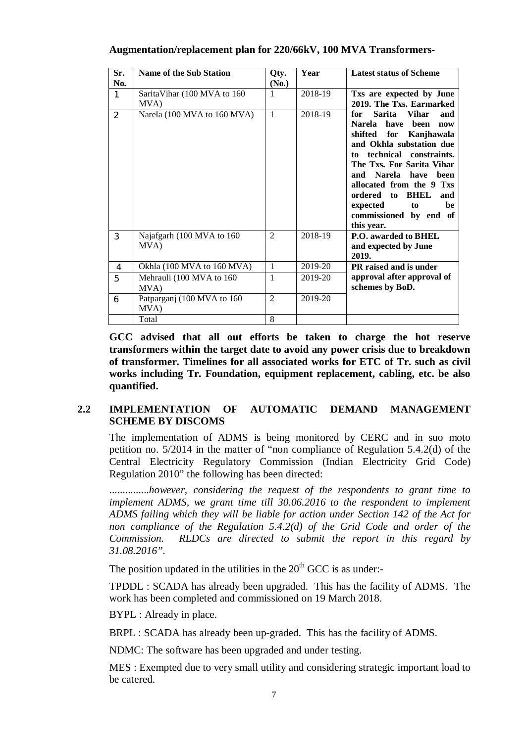|  |  |  |  |  |  | Augmentation/replacement plan for 220/66kV, 100 MVA Transformers- |
|--|--|--|--|--|--|-------------------------------------------------------------------|
|--|--|--|--|--|--|-------------------------------------------------------------------|

| Sr.<br>No.    | <b>Name of the Sub Station</b>      | Qty.<br>(No.)  | Year    | <b>Latest status of Scheme</b>                                                                                                                                                                                                                                                                                                                                  |
|---------------|-------------------------------------|----------------|---------|-----------------------------------------------------------------------------------------------------------------------------------------------------------------------------------------------------------------------------------------------------------------------------------------------------------------------------------------------------------------|
| 1             | SaritaVihar (100 MVA to 160         | 1              | 2018-19 | Txs are expected by June                                                                                                                                                                                                                                                                                                                                        |
| $\mathcal{P}$ | MVA)<br>Narela (100 MVA to 160 MVA) | $\mathbf{1}$   | 2018-19 | 2019. The Txs. Earmarked<br>Sarita<br><b>Vihar</b><br>for<br>and<br>Narela have<br>been<br>now<br>shifted for Kanjhawala<br>and Okhla substation due<br>to technical constraints.<br>The Txs. For Sarita Vihar<br>and Narela have<br>been<br>allocated from the 9 Txs<br>ordered to BHEL<br>and<br>expected<br>be<br>to<br>commissioned by end of<br>this year. |
| 3             | Najafgarh (100 MVA to 160<br>MVA)   | $\mathfrak{D}$ | 2018-19 | <b>P.O.</b> awarded to BHEL<br>and expected by June<br>2019.                                                                                                                                                                                                                                                                                                    |
| 4             | Okhla (100 MVA to 160 MVA)          | $\mathbf{1}$   | 2019-20 | PR raised and is under                                                                                                                                                                                                                                                                                                                                          |
| 5             | Mehrauli (100 MVA to 160<br>MVA)    | $\mathbf{1}$   | 2019-20 | approval after approval of<br>schemes by BoD.                                                                                                                                                                                                                                                                                                                   |
| 6             | Patparganj (100 MVA to 160<br>MVA)  | $\overline{2}$ | 2019-20 |                                                                                                                                                                                                                                                                                                                                                                 |
|               | Total                               | 8              |         |                                                                                                                                                                                                                                                                                                                                                                 |

**GCC advised that all out efforts be taken to charge the hot reserve transformers within the target date to avoid any power crisis due to breakdown of transformer. Timelines for all associated works for ETC of Tr. such as civil works including Tr. Foundation, equipment replacement, cabling, etc. be also quantified.** 

#### **2.2 IMPLEMENTATION OF AUTOMATIC DEMAND MANAGEMENT SCHEME BY DISCOMS**

The implementation of ADMS is being monitored by CERC and in suo moto petition no. 5/2014 in the matter of "non compliance of Regulation 5.4.2(d) of the Central Electricity Regulatory Commission (Indian Electricity Grid Code) Regulation 2010" the following has been directed:

...............*however, considering the request of the respondents to grant time to implement ADMS, we grant time till 30.06.2016 to the respondent to implement ADMS failing which they will be liable for action under Section 142 of the Act for non compliance of the Regulation 5.4.2(d) of the Grid Code and order of the Commission. RLDCs are directed to submit the report in this regard by 31.08.2016".*

The position updated in the utilities in the  $20<sup>th</sup>$  GCC is as under:-

TPDDL : SCADA has already been upgraded. This has the facility of ADMS. The work has been completed and commissioned on 19 March 2018.

BYPL : Already in place.

BRPL : SCADA has already been up-graded. This has the facility of ADMS.

NDMC: The software has been upgraded and under testing.

MES : Exempted due to very small utility and considering strategic important load to be catered.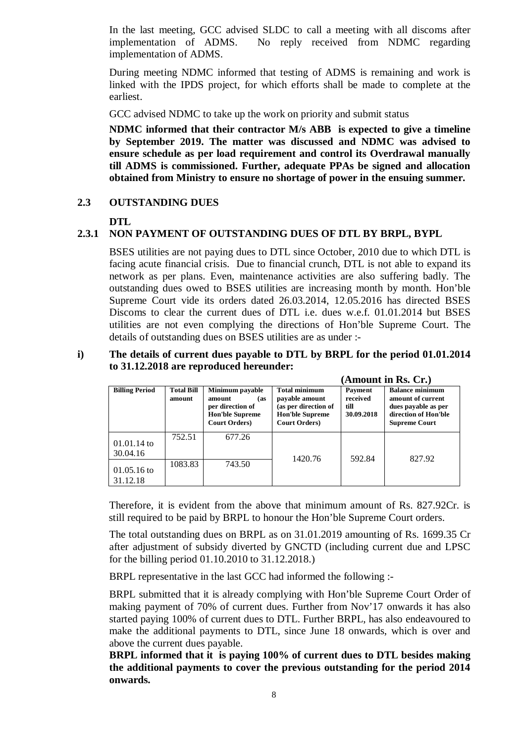In the last meeting, GCC advised SLDC to call a meeting with all discoms after implementation of ADMS. No reply received from NDMC regarding implementation of ADMS.

During meeting NDMC informed that testing of ADMS is remaining and work is linked with the IPDS project, for which efforts shall be made to complete at the earliest.

GCC advised NDMC to take up the work on priority and submit status

**NDMC informed that their contractor M/s ABB is expected to give a timeline by September 2019. The matter was discussed and NDMC was advised to ensure schedule as per load requirement and control its Overdrawal manually till ADMS is commissioned. Further, adequate PPAs be signed and allocation obtained from Ministry to ensure no shortage of power in the ensuing summer.** 

#### **2.3 OUTSTANDING DUES**

**DTL**

#### **2.3.1 NON PAYMENT OF OUTSTANDING DUES OF DTL BY BRPL, BYPL**

BSES utilities are not paying dues to DTL since October, 2010 due to which DTL is facing acute financial crisis. Due to financial crunch, DTL is not able to expand its network as per plans. Even, maintenance activities are also suffering badly. The outstanding dues owed to BSES utilities are increasing month by month. Hon'ble Supreme Court vide its orders dated 26.03.2014, 12.05.2016 has directed BSES Discoms to clear the current dues of DTL i.e. dues w.e.f. 01.01.2014 but BSES utilities are not even complying the directions of Hon'ble Supreme Court. The details of outstanding dues on BSES utilities are as under :-

#### **i) The details of current dues payable to DTL by BRPL for the period 01.01.2014 to 31.12.2018 are reproduced hereunder:**

|                           |                             |                                                                                                         |                                                                                                                   |                                                  | (Amount in Rs. Cr.)                                                                                                |
|---------------------------|-----------------------------|---------------------------------------------------------------------------------------------------------|-------------------------------------------------------------------------------------------------------------------|--------------------------------------------------|--------------------------------------------------------------------------------------------------------------------|
| <b>Billing Period</b>     | <b>Total Bill</b><br>amount | Minimum payable<br>amount<br>(as<br>per direction of<br><b>Hon'ble Supreme</b><br><b>Court Orders</b> ) | <b>Total minimum</b><br>payable amount<br>(as per direction of<br><b>Hon'ble Supreme</b><br><b>Court Orders</b> ) | <b>Payment</b><br>received<br>till<br>30.09.2018 | <b>Balance minimum</b><br>amount of current<br>dues payable as per<br>direction of Hon'ble<br><b>Supreme Court</b> |
| $01.01.14$ to<br>30.04.16 | 752.51                      | 677.26                                                                                                  |                                                                                                                   |                                                  |                                                                                                                    |
| $01.05.16$ to<br>31.12.18 | 1083.83                     | 743.50                                                                                                  | 1420.76                                                                                                           | 592.84                                           | 827.92                                                                                                             |

Therefore, it is evident from the above that minimum amount of Rs. 827.92Cr. is still required to be paid by BRPL to honour the Hon'ble Supreme Court orders.

The total outstanding dues on BRPL as on 31.01.2019 amounting of Rs. 1699.35 Cr after adjustment of subsidy diverted by GNCTD (including current due and LPSC for the billing period 01.10.2010 to 31.12.2018.)

BRPL representative in the last GCC had informed the following :-

BRPL submitted that it is already complying with Hon'ble Supreme Court Order of making payment of 70% of current dues. Further from Nov'17 onwards it has also started paying 100% of current dues to DTL. Further BRPL, has also endeavoured to make the additional payments to DTL, since June 18 onwards, which is over and above the current dues payable.

**BRPL informed that it is paying 100% of current dues to DTL besides making the additional payments to cover the previous outstanding for the period 2014 onwards.**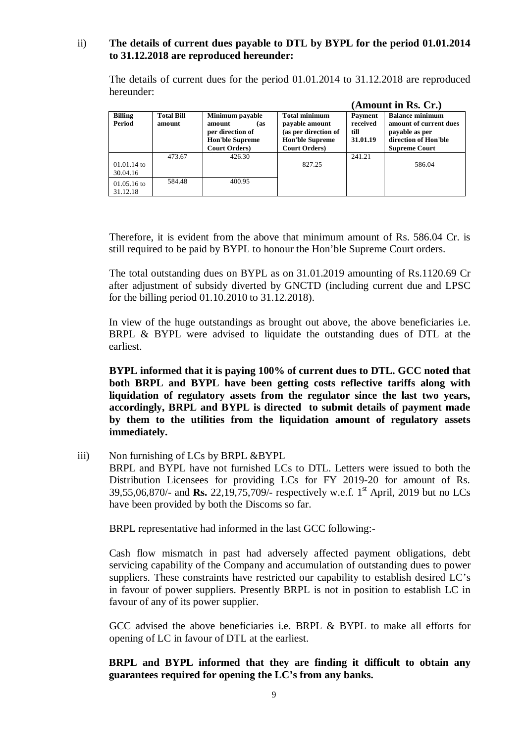#### ii) **The details of current dues payable to DTL by BYPL for the period 01.01.2014 to 31.12.2018 are reproduced hereunder:**

The details of current dues for the period 01.01.2014 to 31.12.2018 are reproduced hereunder:

|                           |                             |                                                                                                         | (Amount in Rs. Cr.)                                                                                               |                                                |                                                                                                                    |  |  |  |
|---------------------------|-----------------------------|---------------------------------------------------------------------------------------------------------|-------------------------------------------------------------------------------------------------------------------|------------------------------------------------|--------------------------------------------------------------------------------------------------------------------|--|--|--|
| <b>Billing</b><br>Period  | <b>Total Bill</b><br>amount | Minimum payable<br>amount<br>(as<br>per direction of<br><b>Hon'ble Supreme</b><br><b>Court Orders</b> ) | <b>Total minimum</b><br>payable amount<br>(as per direction of<br><b>Hon'ble Supreme</b><br><b>Court Orders</b> ) | <b>Payment</b><br>received<br>till<br>31.01.19 | <b>Balance minimum</b><br>amount of current dues<br>payable as per<br>direction of Hon'ble<br><b>Supreme Court</b> |  |  |  |
| $01.01.14$ to<br>30.04.16 | 473.67                      | 426.30                                                                                                  | 827.25                                                                                                            | 241.21                                         | 586.04                                                                                                             |  |  |  |
| $01.05.16$ to<br>31.12.18 | 584.48                      | 400.95                                                                                                  |                                                                                                                   |                                                |                                                                                                                    |  |  |  |

Therefore, it is evident from the above that minimum amount of Rs. 586.04 Cr. is still required to be paid by BYPL to honour the Hon'ble Supreme Court orders.

The total outstanding dues on BYPL as on 31.01.2019 amounting of Rs.1120.69 Cr after adjustment of subsidy diverted by GNCTD (including current due and LPSC for the billing period 01.10.2010 to 31.12.2018).

In view of the huge outstandings as brought out above, the above beneficiaries i.e. BRPL & BYPL were advised to liquidate the outstanding dues of DTL at the earliest.

**BYPL informed that it is paying 100% of current dues to DTL. GCC noted that both BRPL and BYPL have been getting costs reflective tariffs along with liquidation of regulatory assets from the regulator since the last two years, accordingly, BRPL and BYPL is directed to submit details of payment made by them to the utilities from the liquidation amount of regulatory assets immediately.** 

iii) Non furnishing of LCs by BRPL &BYPL

BRPL and BYPL have not furnished LCs to DTL. Letters were issued to both the Distribution Licensees for providing LCs for FY 2019-20 for amount of Rs. 39,55,06,870/- and **Rs.** 22,19,75,709/- respectively w.e.f. 1<sup>st</sup> April, 2019 but no LCs have been provided by both the Discoms so far.

BRPL representative had informed in the last GCC following:-

Cash flow mismatch in past had adversely affected payment obligations, debt servicing capability of the Company and accumulation of outstanding dues to power suppliers. These constraints have restricted our capability to establish desired LC's in favour of power suppliers. Presently BRPL is not in position to establish LC in favour of any of its power supplier.

GCC advised the above beneficiaries i.e. BRPL & BYPL to make all efforts for opening of LC in favour of DTL at the earliest.

**BRPL and BYPL informed that they are finding it difficult to obtain any guarantees required for opening the LC's from any banks.**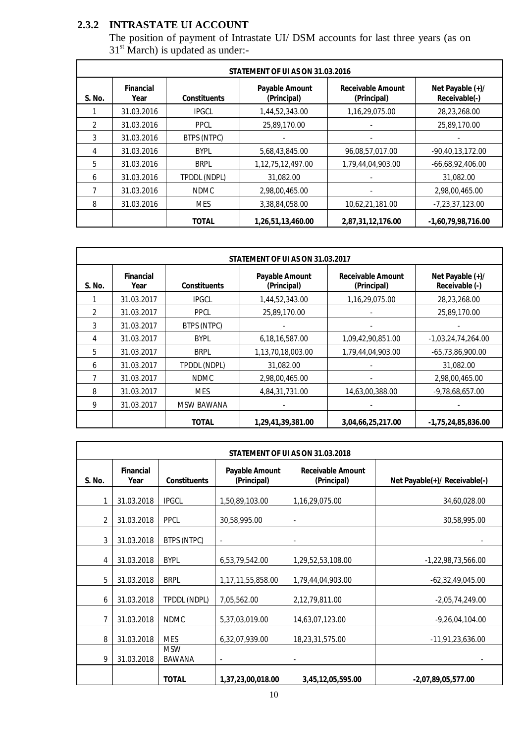### **2.3.2 INTRASTATE UI ACCOUNT**

The position of payment of Intrastate UI/ DSM accounts for last three years (as on  $31<sup>st</sup>$  March) is updated as under:-

|                | STATEMENT OF UI AS ON 31.03.2016 |                     |                                      |                                         |                                   |  |  |  |  |  |
|----------------|----------------------------------|---------------------|--------------------------------------|-----------------------------------------|-----------------------------------|--|--|--|--|--|
| S. No.         | <b>Financial</b><br>Year         | <b>Constituents</b> | <b>Payable Amount</b><br>(Principal) | <b>Receivable Amount</b><br>(Principal) | Net Payable (+)/<br>Receivable(-) |  |  |  |  |  |
|                | 31.03.2016                       | <b>IPGCL</b>        | 1,44,52,343.00                       | 1,16,29,075.00                          | 28,23,268.00                      |  |  |  |  |  |
| $\mathfrak{D}$ | 31.03.2016                       | <b>PPCL</b>         | 25,89,170.00                         |                                         | 25,89,170.00                      |  |  |  |  |  |
| 3              | 31.03.2016                       | BTPS (NTPC)         |                                      |                                         |                                   |  |  |  |  |  |
| 4              | 31.03.2016                       | <b>BYPL</b>         | 5,68,43,845.00                       | 96,08,57,017.00                         | $-90,40,13,172.00$                |  |  |  |  |  |
| 5              | 31.03.2016                       | <b>BRPL</b>         | 1,12,75,12,497.00                    | 1,79,44,04,903.00                       | $-66,68,92,406.00$                |  |  |  |  |  |
| 6              | 31.03.2016                       | TPDDL (NDPL)        | 31,082.00                            |                                         | 31,082.00                         |  |  |  |  |  |
|                | 31.03.2016                       | <b>NDMC</b>         | 2,98,00,465.00                       |                                         | 2,98,00,465.00                    |  |  |  |  |  |
| 8              | 31.03.2016                       | <b>MES</b>          | 3,38,84,058.00                       | 10,62,21,181.00                         | $-7,23,37,123.00$                 |  |  |  |  |  |
|                |                                  | <b>TOTAL</b>        | 1,26,51,13,460.00                    | 2,87,31,12,176.00                       | $-1,60,79,98,716.00$              |  |  |  |  |  |

|               | STATEMENT OF UI AS ON 31.03.2017 |                     |                                      |                                         |                                    |  |  |  |  |
|---------------|----------------------------------|---------------------|--------------------------------------|-----------------------------------------|------------------------------------|--|--|--|--|
| S. No.        | <b>Financial</b><br>Year         | <b>Constituents</b> | <b>Payable Amount</b><br>(Principal) | <b>Receivable Amount</b><br>(Principal) | Net Payable (+)/<br>Receivable (-) |  |  |  |  |
|               | 31.03.2017                       | <b>IPGCL</b>        | 1,44,52,343.00                       | 1,16,29,075.00                          | 28,23,268.00                       |  |  |  |  |
| $\mathcal{P}$ | 31.03.2017                       | <b>PPCL</b>         | 25,89,170.00                         |                                         | 25,89,170.00                       |  |  |  |  |
| 3             | 31.03.2017                       | BTPS (NTPC)         |                                      |                                         |                                    |  |  |  |  |
| 4             | 31.03.2017                       | <b>BYPL</b>         | 6,18,16,587.00                       | 1,09,42,90,851.00                       | $-1,03,24,74,264.00$               |  |  |  |  |
| 5             | 31.03.2017                       | <b>BRPL</b>         | 1,13,70,18,003.00                    | 1,79,44,04,903.00                       | $-65,73,86,900.00$                 |  |  |  |  |
| 6             | 31.03.2017                       | TPDDL (NDPL)        | 31,082.00                            |                                         | 31,082.00                          |  |  |  |  |
|               | 31.03.2017                       | <b>NDMC</b>         | 2,98,00,465.00                       |                                         | 2,98,00,465.00                     |  |  |  |  |
| 8             | 31.03.2017                       | <b>MES</b>          | 4,84,31,731.00                       | 14,63,00,388.00                         | $-9,78,68,657.00$                  |  |  |  |  |
| 9             | 31.03.2017                       | <b>MSW BAWANA</b>   |                                      |                                         |                                    |  |  |  |  |
|               |                                  | <b>TOTAL</b>        | 1,29,41,39,381.00                    | 3,04,66,25,217.00                       | $-1,75,24,85,836.00$               |  |  |  |  |

| STATEMENT OF UI AS ON 31.03.2018 |                          |                             |                                      |                                         |                               |  |  |  |
|----------------------------------|--------------------------|-----------------------------|--------------------------------------|-----------------------------------------|-------------------------------|--|--|--|
| S. No.                           | <b>Financial</b><br>Year | <b>Constituents</b>         | <b>Payable Amount</b><br>(Principal) | <b>Receivable Amount</b><br>(Principal) | Net Payable(+)/ Receivable(-) |  |  |  |
|                                  | 31.03.2018               | <b>IPGCL</b>                | 1,50,89,103.00                       | 1,16,29,075.00                          | 34,60,028.00                  |  |  |  |
| 2                                | 31.03.2018               | <b>PPCL</b>                 | 30,58,995.00                         | $\overline{\phantom{a}}$                | 30,58,995.00                  |  |  |  |
| 3                                | 31.03.2018               | BTPS (NTPC)                 | $\overline{a}$                       | ٠                                       |                               |  |  |  |
| 4                                | 31.03.2018               | <b>BYPL</b>                 | 6,53,79,542.00                       | 1,29,52,53,108.00                       | $-1,22,98,73,566.00$          |  |  |  |
| 5                                | 31.03.2018               | <b>BRPL</b>                 | 1,17,11,55,858.00                    | 1,79,44,04,903.00                       | $-62,32,49,045.00$            |  |  |  |
| 6                                | 31.03.2018               | TPDDL (NDPL)                | 7,05,562.00                          | 2,12,79,811.00                          | $-2,05,74,249.00$             |  |  |  |
| 7                                | 31.03.2018               | <b>NDMC</b>                 | 5,37,03,019.00                       | 14,63,07,123.00                         | $-9,26,04,104.00$             |  |  |  |
| 8                                | 31.03.2018               | <b>MES</b>                  | 6,32,07,939.00                       | 18,23,31,575.00                         | $-11,91,23,636.00$            |  |  |  |
| 9                                | 31.03.2018               | <b>MSW</b><br><b>BAWANA</b> |                                      |                                         |                               |  |  |  |
|                                  |                          | <b>TOTAL</b>                | 1,37,23,00,018.00                    | 3,45,12,05,595.00                       | $-2,07,89,05,577.00$          |  |  |  |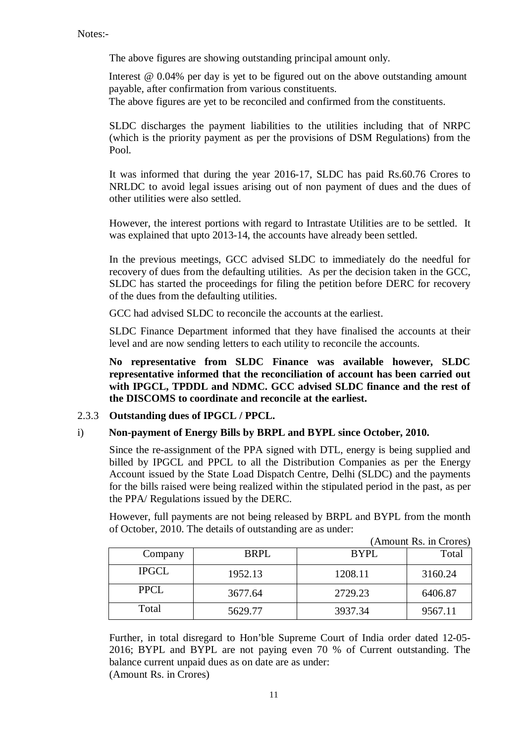Notes:-

The above figures are showing outstanding principal amount only.

Interest @ 0.04% per day is yet to be figured out on the above outstanding amount payable, after confirmation from various constituents.

The above figures are yet to be reconciled and confirmed from the constituents.

SLDC discharges the payment liabilities to the utilities including that of NRPC (which is the priority payment as per the provisions of DSM Regulations) from the Pool.

It was informed that during the year 2016-17, SLDC has paid Rs.60.76 Crores to NRLDC to avoid legal issues arising out of non payment of dues and the dues of other utilities were also settled.

However, the interest portions with regard to Intrastate Utilities are to be settled. It was explained that upto 2013-14, the accounts have already been settled.

In the previous meetings, GCC advised SLDC to immediately do the needful for recovery of dues from the defaulting utilities. As per the decision taken in the GCC, SLDC has started the proceedings for filing the petition before DERC for recovery of the dues from the defaulting utilities.

GCC had advised SLDC to reconcile the accounts at the earliest.

SLDC Finance Department informed that they have finalised the accounts at their level and are now sending letters to each utility to reconcile the accounts.

**No representative from SLDC Finance was available however, SLDC representative informed that the reconciliation of account has been carried out with IPGCL, TPDDL and NDMC. GCC advised SLDC finance and the rest of the DISCOMS to coordinate and reconcile at the earliest.** 

#### 2.3.3 **Outstanding dues of IPGCL / PPCL.**

#### i) **Non-payment of Energy Bills by BRPL and BYPL since October, 2010.**

Since the re-assignment of the PPA signed with DTL, energy is being supplied and billed by IPGCL and PPCL to all the Distribution Companies as per the Energy Account issued by the State Load Dispatch Centre, Delhi (SLDC) and the payments for the bills raised were being realized within the stipulated period in the past, as per the PPA/ Regulations issued by the DERC.

However, full payments are not being released by BRPL and BYPL from the month of October, 2010. The details of outstanding are as under:  $(\Delta$ mount Rs. in Crores)

| Company      | <b>BRPL</b> | BYPL    | Total   |
|--------------|-------------|---------|---------|
| <b>IPGCL</b> | 1952.13     | 1208.11 | 3160.24 |
| <b>PPCL</b>  | 3677.64     | 2729.23 | 6406.87 |
| Total        | 5629.77     | 3937.34 | 9567.11 |

Further, in total disregard to Hon'ble Supreme Court of India order dated 12-05- 2016; BYPL and BYPL are not paying even 70 % of Current outstanding. The balance current unpaid dues as on date are as under: (Amount Rs. in Crores)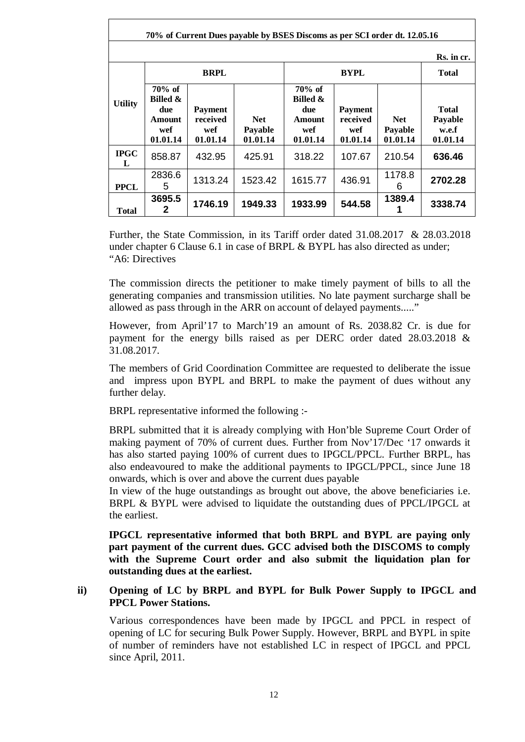|                    | 70% of Current Dues payable by BSES Discoms as per SCI order dt. 12.05.16   |                                        |                                          |                                                                   |                                               |                                          |                                              |  |  |
|--------------------|-----------------------------------------------------------------------------|----------------------------------------|------------------------------------------|-------------------------------------------------------------------|-----------------------------------------------|------------------------------------------|----------------------------------------------|--|--|
| Rs. in cr.         |                                                                             |                                        |                                          |                                                                   |                                               |                                          |                                              |  |  |
|                    |                                                                             | <b>BRPL</b>                            |                                          |                                                                   | <b>BYPL</b>                                   |                                          | <b>Total</b>                                 |  |  |
| <b>Utility</b>     | $70\%$ of<br><b>Billed &amp;</b><br>due<br><b>Amount</b><br>wef<br>01.01.14 | Payment<br>received<br>wef<br>01.01.14 | <b>Net</b><br><b>Payable</b><br>01.01.14 | 70% of<br><b>Billed &amp;</b><br>due<br>Amount<br>wef<br>01.01.14 | <b>Payment</b><br>received<br>wef<br>01.01.14 | <b>Net</b><br><b>Payable</b><br>01.01.14 | <b>Total</b><br>Payable<br>w.e.f<br>01.01.14 |  |  |
| $_{\rm IPGC}$<br>L | 858.87                                                                      | 432.95                                 | 425.91                                   | 318.22                                                            | 107.67                                        | 210.54                                   | 636.46                                       |  |  |
| <b>PPCL</b>        | 2836.6<br>5                                                                 | 1313.24                                | 1523.42                                  | 1615.77                                                           | 436.91                                        | 1178.8<br>6                              | 2702.28                                      |  |  |
| <b>Total</b>       | 3695.5<br>2                                                                 | 1746.19                                | 1949.33                                  | 1933.99                                                           | 544.58                                        | 1389.4                                   | 3338.74                                      |  |  |

Further, the State Commission, in its Tariff order dated 31.08.2017 & 28.03.2018 under chapter 6 Clause 6.1 in case of BRPL & BYPL has also directed as under; "A6: Directives

The commission directs the petitioner to make timely payment of bills to all the generating companies and transmission utilities. No late payment surcharge shall be allowed as pass through in the ARR on account of delayed payments....."

However, from April'17 to March'19 an amount of Rs. 2038.82 Cr. is due for payment for the energy bills raised as per DERC order dated 28.03.2018 & 31.08.2017.

The members of Grid Coordination Committee are requested to deliberate the issue and impress upon BYPL and BRPL to make the payment of dues without any further delay.

BRPL representative informed the following :-

BRPL submitted that it is already complying with Hon'ble Supreme Court Order of making payment of 70% of current dues. Further from Nov'17/Dec '17 onwards it has also started paying 100% of current dues to IPGCL/PPCL. Further BRPL, has also endeavoured to make the additional payments to IPGCL/PPCL, since June 18 onwards, which is over and above the current dues payable

In view of the huge outstandings as brought out above, the above beneficiaries i.e. BRPL & BYPL were advised to liquidate the outstanding dues of PPCL/IPGCL at the earliest.

**IPGCL representative informed that both BRPL and BYPL are paying only part payment of the current dues. GCC advised both the DISCOMS to comply with the Supreme Court order and also submit the liquidation plan for outstanding dues at the earliest.** 

#### **ii) Opening of LC by BRPL and BYPL for Bulk Power Supply to IPGCL and PPCL Power Stations.**

Various correspondences have been made by IPGCL and PPCL in respect of opening of LC for securing Bulk Power Supply. However, BRPL and BYPL in spite of number of reminders have not established LC in respect of IPGCL and PPCL since April, 2011.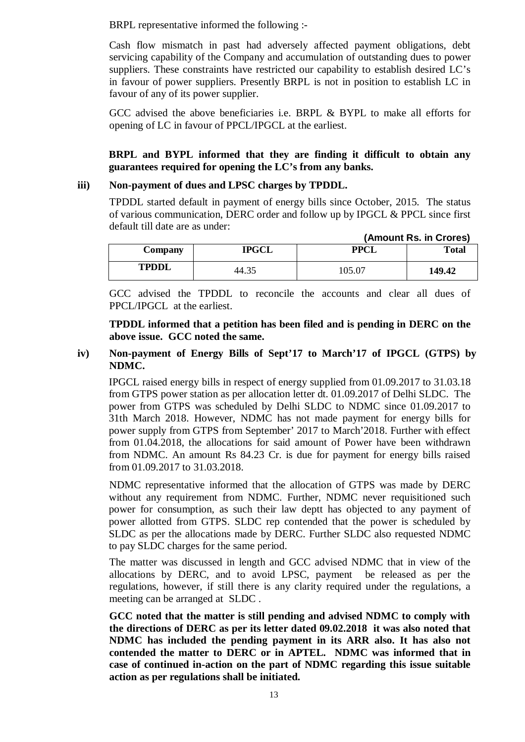BRPL representative informed the following :-

Cash flow mismatch in past had adversely affected payment obligations, debt servicing capability of the Company and accumulation of outstanding dues to power suppliers. These constraints have restricted our capability to establish desired LC's in favour of power suppliers. Presently BRPL is not in position to establish LC in favour of any of its power supplier.

GCC advised the above beneficiaries i.e. BRPL & BYPL to make all efforts for opening of LC in favour of PPCL/IPGCL at the earliest.

#### **BRPL and BYPL informed that they are finding it difficult to obtain any guarantees required for opening the LC's from any banks.**

#### **iii) Non-payment of dues and LPSC charges by TPDDL.**

TPDDL started default in payment of energy bills since October, 2015. The status of various communication, DERC order and follow up by IPGCL & PPCL since first default till date are as under:

**(Amount Rs. in Crores)**

| Company      | <b>IPGCL</b> | <b>PPCL</b> | <b>Total</b> |  |  |
|--------------|--------------|-------------|--------------|--|--|
| <b>TPDDL</b> | 44.35        | 105.07      | 149.42       |  |  |

GCC advised the TPDDL to reconcile the accounts and clear all dues of PPCL/IPGCL at the earliest.

**TPDDL informed that a petition has been filed and is pending in DERC on the above issue. GCC noted the same.**

#### **iv) Non-payment of Energy Bills of Sept'17 to March'17 of IPGCL (GTPS) by NDMC.**

IPGCL raised energy bills in respect of energy supplied from 01.09.2017 to 31.03.18 from GTPS power station as per allocation letter dt. 01.09.2017 of Delhi SLDC. The power from GTPS was scheduled by Delhi SLDC to NDMC since 01.09.2017 to 31th March 2018. However, NDMC has not made payment for energy bills for power supply from GTPS from September' 2017 to March'2018. Further with effect from 01.04.2018, the allocations for said amount of Power have been withdrawn from NDMC. An amount Rs 84.23 Cr. is due for payment for energy bills raised from 01.09.2017 to 31.03.2018.

NDMC representative informed that the allocation of GTPS was made by DERC without any requirement from NDMC. Further, NDMC never requisitioned such power for consumption, as such their law deptt has objected to any payment of power allotted from GTPS. SLDC rep contended that the power is scheduled by SLDC as per the allocations made by DERC. Further SLDC also requested NDMC to pay SLDC charges for the same period.

The matter was discussed in length and GCC advised NDMC that in view of the allocations by DERC, and to avoid LPSC, payment be released as per the regulations, however, if still there is any clarity required under the regulations, a meeting can be arranged at SLDC .

**GCC noted that the matter is still pending and advised NDMC to comply with the directions of DERC as per its letter dated 09.02.2018 it was also noted that NDMC has included the pending payment in its ARR also. It has also not contended the matter to DERC or in APTEL. NDMC was informed that in case of continued in-action on the part of NDMC regarding this issue suitable action as per regulations shall be initiated.**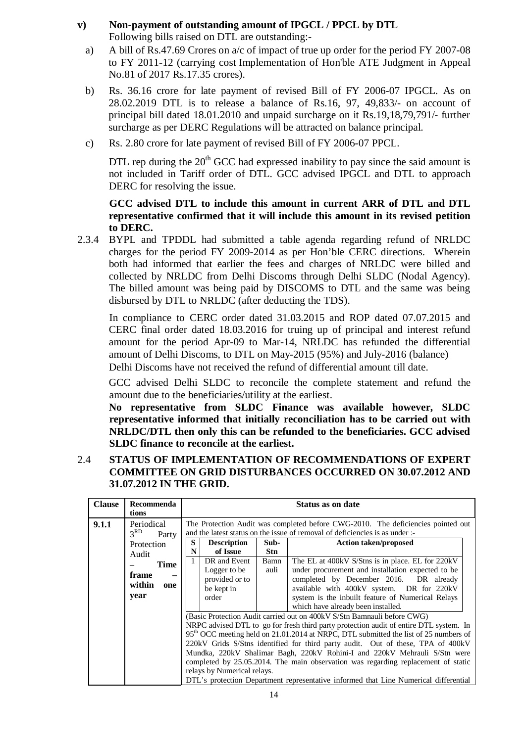- **v) Non-payment of outstanding amount of IPGCL / PPCL by DTL** Following bills raised on DTL are outstanding:
	- a) A bill of Rs.47.69 Crores on a/c of impact of true up order for the period FY 2007-08 to FY 2011-12 (carrying cost Implementation of Hon'ble ATE Judgment in Appeal No.81 of 2017 Rs.17.35 crores).
	- b) Rs. 36.16 crore for late payment of revised Bill of FY 2006-07 IPGCL. As on 28.02.2019 DTL is to release a balance of Rs.16, 97, 49,833/- on account of principal bill dated 18.01.2010 and unpaid surcharge on it Rs.19,18,79,791/- further surcharge as per DERC Regulations will be attracted on balance principal.
	- c) Rs. 2.80 crore for late payment of revised Bill of FY 2006-07 PPCL.

DTL rep during the  $20<sup>th</sup>$  GCC had expressed inability to pay since the said amount is not included in Tariff order of DTL. GCC advised IPGCL and DTL to approach DERC for resolving the issue.

#### **GCC advised DTL to include this amount in current ARR of DTL and DTL representative confirmed that it will include this amount in its revised petition to DERC.**

2.3.4 BYPL and TPDDL had submitted a table agenda regarding refund of NRLDC charges for the period FY 2009-2014 as per Hon'ble CERC directions. Wherein both had informed that earlier the fees and charges of NRLDC were billed and collected by NRLDC from Delhi Discoms through Delhi SLDC (Nodal Agency). The billed amount was being paid by DISCOMS to DTL and the same was being disbursed by DTL to NRLDC (after deducting the TDS).

In compliance to CERC order dated 31.03.2015 and ROP dated 07.07.2015 and CERC final order dated 18.03.2016 for truing up of principal and interest refund amount for the period Apr-09 to Mar-14, NRLDC has refunded the differential amount of Delhi Discoms, to DTL on May-2015 (95%) and July-2016 (balance) Delhi Discoms have not received the refund of differential amount till date.

GCC advised Delhi SLDC to reconcile the complete statement and refund the amount due to the beneficiaries/utility at the earliest.

**No representative from SLDC Finance was available however, SLDC representative informed that initially reconciliation has to be carried out with NRLDC/DTL then only this can be refunded to the beneficiaries. GCC advised SLDC finance to reconcile at the earliest.** 

2.4 **STATUS OF IMPLEMENTATION OF RECOMMENDATIONS OF EXPERT COMMITTEE ON GRID DISTURBANCES OCCURRED ON 30.07.2012 AND 31.07.2012 IN THE GRID.**

| <b>Clause</b> | Recommenda               |   |                                                          |            | Status as on date                                                                                |  |  |  |  |  |  |  |
|---------------|--------------------------|---|----------------------------------------------------------|------------|--------------------------------------------------------------------------------------------------|--|--|--|--|--|--|--|
|               | tions                    |   |                                                          |            |                                                                                                  |  |  |  |  |  |  |  |
| 9.1.1         | Periodical               |   |                                                          |            | The Protection Audit was completed before CWG-2010. The deficiencies pointed out                 |  |  |  |  |  |  |  |
|               | 3 <sup>RD</sup><br>Party |   |                                                          |            | and the latest status on the issue of removal of deficiencies is as under :-                     |  |  |  |  |  |  |  |
|               | Protection               | S | <b>Description</b>                                       | Sub-       | <b>Action taken/proposed</b>                                                                     |  |  |  |  |  |  |  |
|               | Audit                    | N | of Issue                                                 | <b>Stn</b> |                                                                                                  |  |  |  |  |  |  |  |
|               | Time                     | 1 | DR and Event                                             | Bamn       | The EL at 400kV S/Stns is in place. EL for 220kV                                                 |  |  |  |  |  |  |  |
|               | frame                    |   | Logger to be                                             | auli       | under procurement and installation expected to be                                                |  |  |  |  |  |  |  |
|               |                          |   | provided or to<br>completed by December 2016. DR already |            |                                                                                                  |  |  |  |  |  |  |  |
|               | within<br>one            |   | be kept in                                               |            | available with 400kV system. DR for 220kV                                                        |  |  |  |  |  |  |  |
|               | year                     |   | order                                                    |            | system is the inbuilt feature of Numerical Relays                                                |  |  |  |  |  |  |  |
|               |                          |   |                                                          |            | which have already been installed.                                                               |  |  |  |  |  |  |  |
|               |                          |   |                                                          |            | (Basic Protection Audit carried out on 400kV S/Stn Bamnauli before CWG)                          |  |  |  |  |  |  |  |
|               |                          |   |                                                          |            | NRPC advised DTL to go for fresh third party protection audit of entire DTL system. In           |  |  |  |  |  |  |  |
|               |                          |   |                                                          |            | 95 <sup>th</sup> OCC meeting held on 21.01.2014 at NRPC, DTL submitted the list of 25 numbers of |  |  |  |  |  |  |  |
|               |                          |   |                                                          |            | 220kV Grids S/Stns identified for third party audit. Out of these, TPA of 400kV                  |  |  |  |  |  |  |  |
|               |                          |   |                                                          |            | Mundka, 220kV Shalimar Bagh, 220kV Rohini-I and 220kV Mehrauli S/Stn were                        |  |  |  |  |  |  |  |
|               |                          |   |                                                          |            | completed by 25.05.2014. The main observation was regarding replacement of static                |  |  |  |  |  |  |  |
|               |                          |   | relays by Numerical relays.                              |            |                                                                                                  |  |  |  |  |  |  |  |
|               |                          |   |                                                          |            | DTL's protection Department representative informed that Line Numerical differential             |  |  |  |  |  |  |  |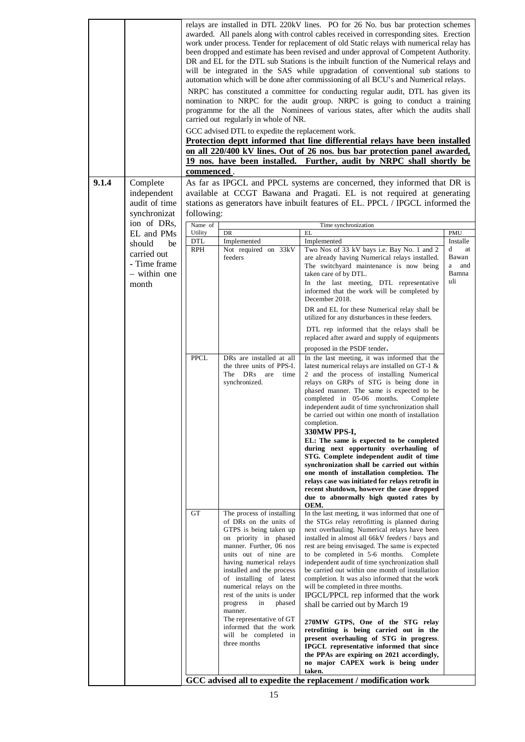| 9.1.4 | Complete<br>independent       | commenced         | carried out regularly in whole of NR.<br>GCC advised DTL to expedite the replacement work.                                                                                                                                                                                                                                                                                | relays are installed in DTL 220kV lines. PO for 26 No. bus bar protection schemes<br>awarded. All panels along with control cables received in corresponding sites. Erection<br>work under process. Tender for replacement of old Static relays with numerical relay has<br>been dropped and estimate has been revised and under approval of Competent Authority.<br>DR and EL for the DTL sub Stations is the inbuilt function of the Numerical relays and<br>will be integrated in the SAS while upgradation of conventional sub stations to<br>automation which will be done after commissioning of all BCU's and Numerical relays.<br>NRPC has constituted a committee for conducting regular audit, DTL has given its<br>nomination to NRPC for the audit group. NRPC is going to conduct a training<br>programme for the all the Nominees of various states, after which the audits shall<br>Protection deptt informed that line differential relays have been installed<br>on all 220/400 kV lines. Out of 26 nos. bus bar protection panel awarded,<br>19 nos. have been installed. Further, audit by NRPC shall shortly be<br>As far as IPGCL and PPCL systems are concerned, they informed that DR is<br>available at CCGT Bawana and Pragati. EL is not required at generating |                     |
|-------|-------------------------------|-------------------|---------------------------------------------------------------------------------------------------------------------------------------------------------------------------------------------------------------------------------------------------------------------------------------------------------------------------------------------------------------------------|-------------------------------------------------------------------------------------------------------------------------------------------------------------------------------------------------------------------------------------------------------------------------------------------------------------------------------------------------------------------------------------------------------------------------------------------------------------------------------------------------------------------------------------------------------------------------------------------------------------------------------------------------------------------------------------------------------------------------------------------------------------------------------------------------------------------------------------------------------------------------------------------------------------------------------------------------------------------------------------------------------------------------------------------------------------------------------------------------------------------------------------------------------------------------------------------------------------------------------------------------------------------------------------------|---------------------|
|       | audit of time<br>synchronizat | following:        |                                                                                                                                                                                                                                                                                                                                                                           | stations as generators have inbuilt features of EL. PPCL / IPGCL informed the                                                                                                                                                                                                                                                                                                                                                                                                                                                                                                                                                                                                                                                                                                                                                                                                                                                                                                                                                                                                                                                                                                                                                                                                             |                     |
|       | ion of DRs,                   | Name of           |                                                                                                                                                                                                                                                                                                                                                                           | Time synchronization                                                                                                                                                                                                                                                                                                                                                                                                                                                                                                                                                                                                                                                                                                                                                                                                                                                                                                                                                                                                                                                                                                                                                                                                                                                                      |                     |
|       | EL and PMs                    | Utility           | DR                                                                                                                                                                                                                                                                                                                                                                        | EL                                                                                                                                                                                                                                                                                                                                                                                                                                                                                                                                                                                                                                                                                                                                                                                                                                                                                                                                                                                                                                                                                                                                                                                                                                                                                        | PMU                 |
|       | should<br>be                  | DTL<br><b>RPH</b> | Implemented<br>Not required on 33kV                                                                                                                                                                                                                                                                                                                                       | Implemented<br>Two Nos of 33 kV bays i.e. Bay No. 1 and 2                                                                                                                                                                                                                                                                                                                                                                                                                                                                                                                                                                                                                                                                                                                                                                                                                                                                                                                                                                                                                                                                                                                                                                                                                                 | Installe<br>d<br>at |
|       | carried out                   |                   | feeders                                                                                                                                                                                                                                                                                                                                                                   | are already having Numerical relays installed.                                                                                                                                                                                                                                                                                                                                                                                                                                                                                                                                                                                                                                                                                                                                                                                                                                                                                                                                                                                                                                                                                                                                                                                                                                            | Bawan               |
|       | - Time frame<br>- within one  |                   |                                                                                                                                                                                                                                                                                                                                                                           | The switchyard maintenance is now being<br>taken care of by DTL.                                                                                                                                                                                                                                                                                                                                                                                                                                                                                                                                                                                                                                                                                                                                                                                                                                                                                                                                                                                                                                                                                                                                                                                                                          | and<br>a<br>Bamna   |
|       | month                         |                   |                                                                                                                                                                                                                                                                                                                                                                           | In the last meeting, DTL representative<br>informed that the work will be completed by                                                                                                                                                                                                                                                                                                                                                                                                                                                                                                                                                                                                                                                                                                                                                                                                                                                                                                                                                                                                                                                                                                                                                                                                    | uli                 |
|       |                               |                   |                                                                                                                                                                                                                                                                                                                                                                           | December 2018.<br>DR and EL for these Numerical relay shall be<br>utilized for any disturbances in these feeders.                                                                                                                                                                                                                                                                                                                                                                                                                                                                                                                                                                                                                                                                                                                                                                                                                                                                                                                                                                                                                                                                                                                                                                         |                     |
|       |                               |                   |                                                                                                                                                                                                                                                                                                                                                                           | DTL rep informed that the relays shall be<br>replaced after award and supply of equipments                                                                                                                                                                                                                                                                                                                                                                                                                                                                                                                                                                                                                                                                                                                                                                                                                                                                                                                                                                                                                                                                                                                                                                                                |                     |
|       |                               | <b>PPCL</b>       | DRs are installed at all<br>the three units of PPS-I.<br>The DRs<br>are<br>time<br>synchronized.                                                                                                                                                                                                                                                                          | proposed in the PSDF tender.<br>In the last meeting, it was informed that the<br>latest numerical relays are installed on GT-1 $\&$<br>2 and the process of installing Numerical<br>relays on GRPs of STG is being done in<br>phased manner. The same is expected to be<br>completed in 05-06 months.<br>Complete<br>independent audit of time synchronization shall<br>be carried out within one month of installation<br>completion.<br>330MW PPS-I,<br>EL: The same is expected to be completed<br>during next opportunity overhauling of<br>STG. Complete independent audit of time<br>synchronization shall be carried out within<br>one month of installation completion. The<br>relays case was initiated for relays retrofit in<br>recent shutdown, however the case dropped<br>due to abnormally high quoted rates by<br>OEM.                                                                                                                                                                                                                                                                                                                                                                                                                                                    |                     |
|       |                               | <b>GT</b>         | The process of installing<br>of DRs on the units of<br>GTPS is being taken up<br>on priority in phased<br>manner. Further, 06 nos<br>units out of nine are<br>having numerical relays<br>installed and the process<br>of installing of latest<br>numerical relays on the<br>rest of the units is under<br>progress<br>in<br>phased<br>manner.<br>The representative of GT | In the last meeting, it was informed that one of<br>the STGs relay retrofitting is planned during<br>next overhauling. Numerical relays have been<br>installed in almost all 66kV feeders / bays and<br>rest are being envisaged. The same is expected<br>to be completed in 5-6 months. Complete<br>independent audit of time synchronization shall<br>be carried out within one month of installation<br>completion. It was also informed that the work<br>will be completed in three months.<br>IPGCL/PPCL rep informed that the work<br>shall be carried out by March 19                                                                                                                                                                                                                                                                                                                                                                                                                                                                                                                                                                                                                                                                                                              |                     |
|       |                               |                   | informed that the work<br>will be completed in<br>three months                                                                                                                                                                                                                                                                                                            | 270MW GTPS, One of the STG relay<br>retrofitting is being carried out in the<br>present overhauling of STG in progress.<br>IPGCL representative informed that since<br>the PPAs are expiring on 2021 accordingly,<br>no major CAPEX work is being under<br>taken.                                                                                                                                                                                                                                                                                                                                                                                                                                                                                                                                                                                                                                                                                                                                                                                                                                                                                                                                                                                                                         |                     |
|       |                               |                   |                                                                                                                                                                                                                                                                                                                                                                           | GCC advised all to expedite the replacement / modification work                                                                                                                                                                                                                                                                                                                                                                                                                                                                                                                                                                                                                                                                                                                                                                                                                                                                                                                                                                                                                                                                                                                                                                                                                           |                     |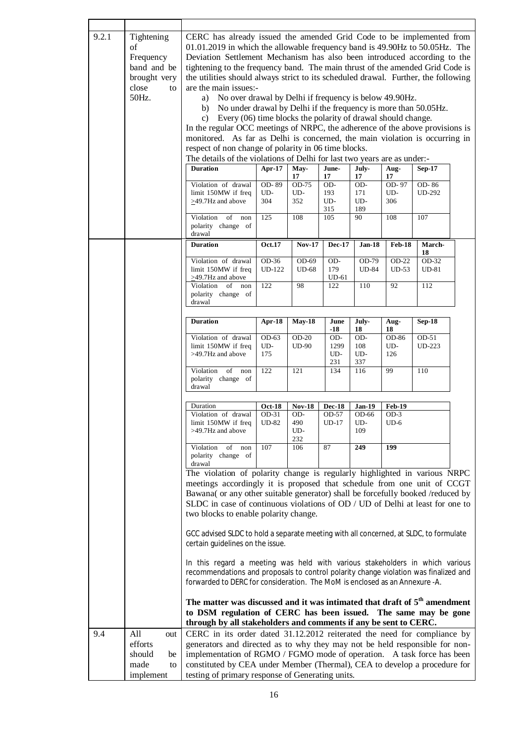| 9.2.1 | Tightening<br>of<br>Frequency<br>band and be<br>brought very<br>close<br>to<br>50Hz. | CERC has already issued the amended Grid Code to be implemented from<br>01.01.2019 in which the allowable frequency band is 49.90Hz to 50.05Hz. The<br>Deviation Settlement Mechanism has also been introduced according to the<br>tightening to the frequency band. The main thrust of the amended Grid Code is<br>the utilities should always strict to its scheduled drawal. Further, the following<br>are the main issues:-<br>No over drawal by Delhi if frequency is below 49.90Hz.<br>a)<br>No under drawal by Delhi if the frequency is more than 50.05Hz.<br>b)<br>Every (06) time blocks the polarity of drawal should change.<br>$\mathbf{c}$ )<br>In the regular OCC meetings of NRPC, the adherence of the above provisions is<br>monitored. As far as Delhi is concerned, the main violation is occurring in<br>respect of non change of polarity in 06 time blocks.<br>The details of the violations of Delhi for last two years are as under:-<br><b>Duration</b><br>Violation of drawal<br>limit 150MW if freq<br>$\geq$ 49.7Hz and above<br>Violation<br>of<br>non | Apr-17<br>OD-89<br>UD-<br>304<br>125 | May-<br>17<br>OD-75<br>UD-<br>352<br>108 | June-<br>17<br>OD-<br>193<br>UD-<br>315<br>105 | July-<br>17<br>OD-<br>171<br>UD-<br>189<br>90 | Aug-<br>17<br>OD-97<br>UD-<br>306<br>108 | <b>Sep-17</b><br>OD-86<br><b>UD-292</b><br>107 |  |  |  |
|-------|--------------------------------------------------------------------------------------|--------------------------------------------------------------------------------------------------------------------------------------------------------------------------------------------------------------------------------------------------------------------------------------------------------------------------------------------------------------------------------------------------------------------------------------------------------------------------------------------------------------------------------------------------------------------------------------------------------------------------------------------------------------------------------------------------------------------------------------------------------------------------------------------------------------------------------------------------------------------------------------------------------------------------------------------------------------------------------------------------------------------------------------------------------------------------------------|--------------------------------------|------------------------------------------|------------------------------------------------|-----------------------------------------------|------------------------------------------|------------------------------------------------|--|--|--|
|       |                                                                                      | polarity change of<br>drawal                                                                                                                                                                                                                                                                                                                                                                                                                                                                                                                                                                                                                                                                                                                                                                                                                                                                                                                                                                                                                                                         |                                      |                                          |                                                |                                               |                                          |                                                |  |  |  |
|       |                                                                                      | <b>Duration</b>                                                                                                                                                                                                                                                                                                                                                                                                                                                                                                                                                                                                                                                                                                                                                                                                                                                                                                                                                                                                                                                                      | <b>Oct.17</b>                        | <b>Nov-17</b>                            | <b>Dec-17</b>                                  | <b>Jan-18</b>                                 | <b>Feb-18</b>                            | March-<br>18                                   |  |  |  |
|       |                                                                                      | Violation of drawal<br>limit 150MW if freq<br>$\geq$ 49.7Hz and above<br>Violation<br>of<br>non<br>polarity change of<br>drawal                                                                                                                                                                                                                                                                                                                                                                                                                                                                                                                                                                                                                                                                                                                                                                                                                                                                                                                                                      | OD-36<br>UD-122<br>122               | OD-69<br><b>UD-68</b><br>98              | OD-<br>179<br>$UD-61$<br>122                   | OD-79<br>UD-84<br>110                         | OD-22<br>$UD-53$<br>92                   | OD-32<br><b>UD-81</b><br>112                   |  |  |  |
|       |                                                                                      | <b>Duration</b>                                                                                                                                                                                                                                                                                                                                                                                                                                                                                                                                                                                                                                                                                                                                                                                                                                                                                                                                                                                                                                                                      | Apr-18                               | May-18                                   | June                                           | July-                                         |                                          | $Sep-18$                                       |  |  |  |
|       |                                                                                      |                                                                                                                                                                                                                                                                                                                                                                                                                                                                                                                                                                                                                                                                                                                                                                                                                                                                                                                                                                                                                                                                                      |                                      |                                          | -18                                            | 18                                            | Aug-<br>18                               |                                                |  |  |  |
|       |                                                                                      | Violation of drawal<br>limit 150MW if freq<br>>49.7Hz and above                                                                                                                                                                                                                                                                                                                                                                                                                                                                                                                                                                                                                                                                                                                                                                                                                                                                                                                                                                                                                      | OD-63<br>UD-<br>175                  | $OD-20$<br>$UD-90$                       | OD-<br>1299<br>UD-<br>231                      | OD-<br>108<br>UD-<br>337                      | OD-86<br>UD-<br>126                      | OD-51<br>$UD-223$                              |  |  |  |
|       |                                                                                      | of<br>Violation<br>non<br>polarity change of<br>drawal                                                                                                                                                                                                                                                                                                                                                                                                                                                                                                                                                                                                                                                                                                                                                                                                                                                                                                                                                                                                                               | 122                                  | 121                                      | 134                                            | 116                                           | 99                                       | 110                                            |  |  |  |
|       |                                                                                      | Duration                                                                                                                                                                                                                                                                                                                                                                                                                                                                                                                                                                                                                                                                                                                                                                                                                                                                                                                                                                                                                                                                             | <b>Oct-18</b>                        | <b>Nov-18</b>                            | <b>Dec-18</b>                                  | Jan-19                                        | <b>Feb-19</b>                            |                                                |  |  |  |
|       |                                                                                      | Violation of drawal<br>limit 150MW if freq<br>>49.7Hz and above                                                                                                                                                                                                                                                                                                                                                                                                                                                                                                                                                                                                                                                                                                                                                                                                                                                                                                                                                                                                                      | $OD-31$<br><b>UD-82</b>              | $OD-$<br>490<br>UD-<br>232               | OD-57<br>$UD-17$                               | OD-66<br>UD-<br>109                           | $OD-3$<br>$UD-6$                         |                                                |  |  |  |
|       |                                                                                      | Violation<br>of<br>non<br>polarity change of                                                                                                                                                                                                                                                                                                                                                                                                                                                                                                                                                                                                                                                                                                                                                                                                                                                                                                                                                                                                                                         | 107                                  | 106                                      | 87                                             | 249                                           | 199                                      |                                                |  |  |  |
|       |                                                                                      | drawal<br>The violation of polarity change is regularly highlighted in various NRPC<br>meetings accordingly it is proposed that schedule from one unit of CCGT<br>Bawana( or any other suitable generator) shall be forcefully booked /reduced by<br>SLDC in case of continuous violations of OD / UD of Delhi at least for one to<br>two blocks to enable polarity change.<br>GCC advised SLDC to hold a separate meeting with all concerned, at SLDC, to formulate<br>certain guidelines on the issue.<br>In this regard a meeting was held with various stakeholders in which various<br>recommendations and proposals to control polarity change violation was finalized and<br>forwarded to DERC for consideration. The MoM is enclosed as an Annexure -A.<br>The matter was discussed and it was intimated that draft of $5th$ amendment<br>to DSM regulation of CERC has been issued. The same may be gone<br>through by all stakeholders and comments if any be sent to CERC.                                                                                                |                                      |                                          |                                                |                                               |                                          |                                                |  |  |  |
| 9.4   | All<br>out<br>efforts<br>should<br>be<br>made<br>to<br>implement                     | CERC in its order dated 31.12.2012 reiterated the need for compliance by<br>generators and directed as to why they may not be held responsible for non-<br>implementation of RGMO / FGMO mode of operation. A task force has been<br>constituted by CEA under Member (Thermal), CEA to develop a procedure for<br>testing of primary response of Generating units.                                                                                                                                                                                                                                                                                                                                                                                                                                                                                                                                                                                                                                                                                                                   |                                      |                                          |                                                |                                               |                                          |                                                |  |  |  |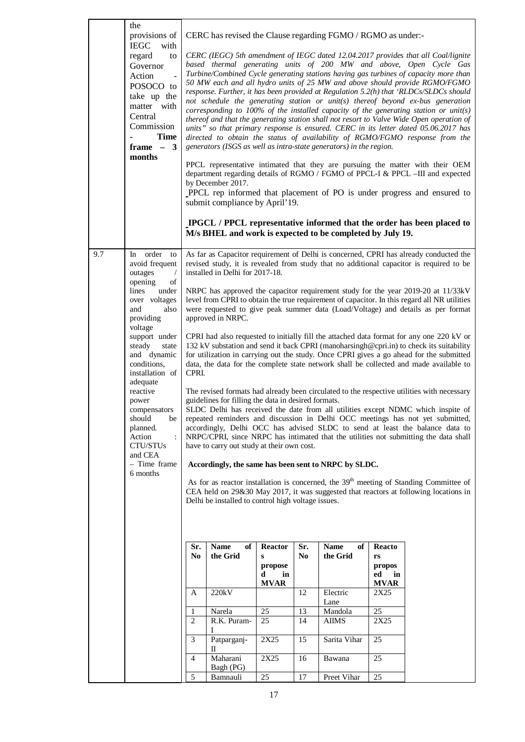|     | the<br>provisions of<br><b>IEGC</b><br>with<br>regard<br>to<br>Governor<br>Action<br>POSOCO to<br>take up the<br>matter with<br>Central<br>Commission<br><b>Time</b><br>frame $-3$<br>months                                                                                                                                                                                     | CERC has revised the Clause regarding FGMO / RGMO as under:-<br>CERC (IEGC) 5th amendment of IEGC dated 12.04.2017 provides that all Coal/lignite<br>based thermal generating units of 200 MW and above, Open Cycle Gas<br>Turbine/Combined Cycle generating stations having gas turbines of capacity more than<br>50 MW each and all hydro units of 25 MW and above should provide RGMO/FGMO<br>response. Further, it has been provided at Regulation 5.2(h) that 'RLDCs/SLDCs should<br>not schedule the generating station or unit(s) thereof beyond ex-bus generation<br>corresponding to 100% of the installed capacity of the generating station or unit(s)<br>thereof and that the generating station shall not resort to Valve Wide Open operation of<br>units" so that primary response is ensured. CERC in its letter dated 05.06.2017 has<br>directed to obtain the status of availability of RGMO/FGMO response from the<br>generators (ISGS as well as intra-state generators) in the region.<br>PPCL representative intimated that they are pursuing the matter with their OEM<br>department regarding details of RGMO / FGMO of PPCL-I & PPCL -III and expected<br>by December 2017.<br>PPCL rep informed that placement of PO is under progress and ensured to<br>submit compliance by April'19.                                                                                                                                                                                                                                                                                                                                                           |                                                                                                                                                                                                                              |                                   |                       |                               |                                   |  |  |  |  |  |  |  |
|-----|----------------------------------------------------------------------------------------------------------------------------------------------------------------------------------------------------------------------------------------------------------------------------------------------------------------------------------------------------------------------------------|----------------------------------------------------------------------------------------------------------------------------------------------------------------------------------------------------------------------------------------------------------------------------------------------------------------------------------------------------------------------------------------------------------------------------------------------------------------------------------------------------------------------------------------------------------------------------------------------------------------------------------------------------------------------------------------------------------------------------------------------------------------------------------------------------------------------------------------------------------------------------------------------------------------------------------------------------------------------------------------------------------------------------------------------------------------------------------------------------------------------------------------------------------------------------------------------------------------------------------------------------------------------------------------------------------------------------------------------------------------------------------------------------------------------------------------------------------------------------------------------------------------------------------------------------------------------------------------------------------------------------------------------------------------------------|------------------------------------------------------------------------------------------------------------------------------------------------------------------------------------------------------------------------------|-----------------------------------|-----------------------|-------------------------------|-----------------------------------|--|--|--|--|--|--|--|
|     |                                                                                                                                                                                                                                                                                                                                                                                  |                                                                                                                                                                                                                                                                                                                                                                                                                                                                                                                                                                                                                                                                                                                                                                                                                                                                                                                                                                                                                                                                                                                                                                                                                                                                                                                                                                                                                                                                                                                                                                                                                                                                            | IPGCL / PPCL representative informed that the order has been placed to<br>M/s BHEL and work is expected to be completed by July 19.<br>As far as Capacitor requirement of Delhi is concerned, CPRI has already conducted the |                                   |                       |                               |                                   |  |  |  |  |  |  |  |
| 9.7 | In order to<br>avoid frequent<br>outages<br>$\sqrt{2}$<br>opening<br>of<br>lines<br>under<br>over voltages<br>and<br>also<br>providing<br>voltage<br>support under<br>steady<br>state<br>and dynamic<br>conditions,<br>installation of<br>adequate<br>reactive<br>power<br>compensators<br>should<br>be<br>planned.<br>Action<br>CTU/STUs<br>and CEA<br>- Time frame<br>6 months | revised study, it is revealed from study that no additional capacitor is required to be<br>installed in Delhi for 2017-18.<br>NRPC has approved the capacitor requirement study for the year 2019-20 at 11/33kV<br>level from CPRI to obtain the true requirement of capacitor. In this regard all NR utilities<br>were requested to give peak summer data (Load/Voltage) and details as per format<br>approved in NRPC.<br>CPRI had also requested to initially fill the attached data format for any one 220 kV or<br>132 kV substation and send it back CPRI (manoharsingh@cpri.in) to check its suitability<br>for utilization in carrying out the study. Once CPRI gives a go ahead for the submitted<br>data, the data for the complete state network shall be collected and made available to<br>CPRI.<br>The revised formats had already been circulated to the respective utilities with necessary<br>guidelines for filling the data in desired formats.<br>SLDC Delhi has received the date from all utilities except NDMC which inspite of<br>repeated reminders and discussion in Delhi OCC meetings has not yet submitted,<br>accordingly, Delhi OCC has advised SLDC to send at least the balance data to<br>NRPC/CPRI, since NRPC has intimated that the utilities not submitting the data shall<br>have to carry out study at their own cost.<br>Accordingly, the same has been sent to NRPC by SLDC.<br>As for as reactor installation is concerned, the 39 <sup>th</sup> meeting of Standing Committee of<br>CEA held on 29&30 May 2017, it was suggested that reactors at following locations in<br>Delhi be installed to control high voltage issues. |                                                                                                                                                                                                                              |                                   |                       |                               |                                   |  |  |  |  |  |  |  |
|     |                                                                                                                                                                                                                                                                                                                                                                                  | Sr.<br>No.                                                                                                                                                                                                                                                                                                                                                                                                                                                                                                                                                                                                                                                                                                                                                                                                                                                                                                                                                                                                                                                                                                                                                                                                                                                                                                                                                                                                                                                                                                                                                                                                                                                                 | <b>Name</b><br>of<br>the Grid                                                                                                                                                                                                | <b>Reactor</b><br>${\bf S}$       | Sr.<br>N <sub>0</sub> | of<br><b>Name</b><br>the Grid | <b>Reacto</b><br>rs               |  |  |  |  |  |  |  |
|     |                                                                                                                                                                                                                                                                                                                                                                                  |                                                                                                                                                                                                                                                                                                                                                                                                                                                                                                                                                                                                                                                                                                                                                                                                                                                                                                                                                                                                                                                                                                                                                                                                                                                                                                                                                                                                                                                                                                                                                                                                                                                                            |                                                                                                                                                                                                                              | propose<br>d<br>in<br><b>MVAR</b> |                       |                               | propos<br>ed<br>in<br><b>MVAR</b> |  |  |  |  |  |  |  |
|     |                                                                                                                                                                                                                                                                                                                                                                                  | 220kV<br>12<br>Electric<br>A<br>2X25<br>Lane                                                                                                                                                                                                                                                                                                                                                                                                                                                                                                                                                                                                                                                                                                                                                                                                                                                                                                                                                                                                                                                                                                                                                                                                                                                                                                                                                                                                                                                                                                                                                                                                                               |                                                                                                                                                                                                                              |                                   |                       |                               |                                   |  |  |  |  |  |  |  |
|     |                                                                                                                                                                                                                                                                                                                                                                                  | Narela<br>25<br>25<br>13<br>Mandola<br>1                                                                                                                                                                                                                                                                                                                                                                                                                                                                                                                                                                                                                                                                                                                                                                                                                                                                                                                                                                                                                                                                                                                                                                                                                                                                                                                                                                                                                                                                                                                                                                                                                                   |                                                                                                                                                                                                                              |                                   |                       |                               |                                   |  |  |  |  |  |  |  |
|     |                                                                                                                                                                                                                                                                                                                                                                                  | $\overline{2}$                                                                                                                                                                                                                                                                                                                                                                                                                                                                                                                                                                                                                                                                                                                                                                                                                                                                                                                                                                                                                                                                                                                                                                                                                                                                                                                                                                                                                                                                                                                                                                                                                                                             | R.K. Puram-<br>Ι                                                                                                                                                                                                             | 25                                | 14                    | <b>AIIMS</b>                  | 2X25                              |  |  |  |  |  |  |  |
|     |                                                                                                                                                                                                                                                                                                                                                                                  | 3<br>4                                                                                                                                                                                                                                                                                                                                                                                                                                                                                                                                                                                                                                                                                                                                                                                                                                                                                                                                                                                                                                                                                                                                                                                                                                                                                                                                                                                                                                                                                                                                                                                                                                                                     | Patparganj-<br>П<br>Maharani                                                                                                                                                                                                 | 2X25<br>2X25                      | 15<br>16              | Sarita Vihar<br>Bawana        | 25<br>25                          |  |  |  |  |  |  |  |
|     |                                                                                                                                                                                                                                                                                                                                                                                  |                                                                                                                                                                                                                                                                                                                                                                                                                                                                                                                                                                                                                                                                                                                                                                                                                                                                                                                                                                                                                                                                                                                                                                                                                                                                                                                                                                                                                                                                                                                                                                                                                                                                            | Bagh (PG)                                                                                                                                                                                                                    |                                   |                       |                               |                                   |  |  |  |  |  |  |  |
|     |                                                                                                                                                                                                                                                                                                                                                                                  | 5                                                                                                                                                                                                                                                                                                                                                                                                                                                                                                                                                                                                                                                                                                                                                                                                                                                                                                                                                                                                                                                                                                                                                                                                                                                                                                                                                                                                                                                                                                                                                                                                                                                                          | Bamnauli                                                                                                                                                                                                                     | 25                                | 17                    | Preet Vihar                   | 25                                |  |  |  |  |  |  |  |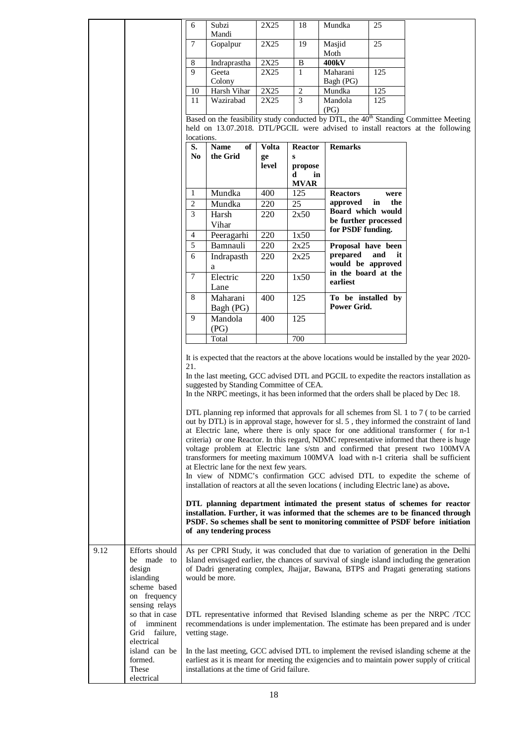|      |                                                                                                                                                                                                                           | 6                                                                                                                                                                                                                                                                                                                                                                                                                                                                                                                                                                                                                                                                                                                                                                                                                                                                                                                                                                                                                                                                                                                                                                                                                                                                                                                                                                                             | Subzi                                                                          | 2X25         | 18             | Mundka                         | 25        |                                                                                                                                                                                                                                                                                                                                                                                                                                                                                                                                                                                                                                             |  |  |  |
|------|---------------------------------------------------------------------------------------------------------------------------------------------------------------------------------------------------------------------------|-----------------------------------------------------------------------------------------------------------------------------------------------------------------------------------------------------------------------------------------------------------------------------------------------------------------------------------------------------------------------------------------------------------------------------------------------------------------------------------------------------------------------------------------------------------------------------------------------------------------------------------------------------------------------------------------------------------------------------------------------------------------------------------------------------------------------------------------------------------------------------------------------------------------------------------------------------------------------------------------------------------------------------------------------------------------------------------------------------------------------------------------------------------------------------------------------------------------------------------------------------------------------------------------------------------------------------------------------------------------------------------------------|--------------------------------------------------------------------------------|--------------|----------------|--------------------------------|-----------|---------------------------------------------------------------------------------------------------------------------------------------------------------------------------------------------------------------------------------------------------------------------------------------------------------------------------------------------------------------------------------------------------------------------------------------------------------------------------------------------------------------------------------------------------------------------------------------------------------------------------------------------|--|--|--|
|      |                                                                                                                                                                                                                           |                                                                                                                                                                                                                                                                                                                                                                                                                                                                                                                                                                                                                                                                                                                                                                                                                                                                                                                                                                                                                                                                                                                                                                                                                                                                                                                                                                                               | Mandi                                                                          |              |                |                                |           |                                                                                                                                                                                                                                                                                                                                                                                                                                                                                                                                                                                                                                             |  |  |  |
|      |                                                                                                                                                                                                                           | 7                                                                                                                                                                                                                                                                                                                                                                                                                                                                                                                                                                                                                                                                                                                                                                                                                                                                                                                                                                                                                                                                                                                                                                                                                                                                                                                                                                                             | Gopalpur                                                                       | 2X25         | 19             | Masjid                         | 25        |                                                                                                                                                                                                                                                                                                                                                                                                                                                                                                                                                                                                                                             |  |  |  |
|      |                                                                                                                                                                                                                           | 8                                                                                                                                                                                                                                                                                                                                                                                                                                                                                                                                                                                                                                                                                                                                                                                                                                                                                                                                                                                                                                                                                                                                                                                                                                                                                                                                                                                             | Indraprastha                                                                   | 2X25         | $\, {\bf B}$   | Moth<br>400kV                  |           |                                                                                                                                                                                                                                                                                                                                                                                                                                                                                                                                                                                                                                             |  |  |  |
|      |                                                                                                                                                                                                                           | 9                                                                                                                                                                                                                                                                                                                                                                                                                                                                                                                                                                                                                                                                                                                                                                                                                                                                                                                                                                                                                                                                                                                                                                                                                                                                                                                                                                                             | Geeta                                                                          | 2X25         | $\mathbf{1}$   | Maharani                       | 125       |                                                                                                                                                                                                                                                                                                                                                                                                                                                                                                                                                                                                                                             |  |  |  |
|      |                                                                                                                                                                                                                           |                                                                                                                                                                                                                                                                                                                                                                                                                                                                                                                                                                                                                                                                                                                                                                                                                                                                                                                                                                                                                                                                                                                                                                                                                                                                                                                                                                                               | Colony                                                                         |              |                | Bagh (PG)                      |           |                                                                                                                                                                                                                                                                                                                                                                                                                                                                                                                                                                                                                                             |  |  |  |
|      |                                                                                                                                                                                                                           | 10                                                                                                                                                                                                                                                                                                                                                                                                                                                                                                                                                                                                                                                                                                                                                                                                                                                                                                                                                                                                                                                                                                                                                                                                                                                                                                                                                                                            | Harsh Vihar                                                                    | 2X25         | 2              | Mundka                         | 125       |                                                                                                                                                                                                                                                                                                                                                                                                                                                                                                                                                                                                                                             |  |  |  |
|      |                                                                                                                                                                                                                           | 11                                                                                                                                                                                                                                                                                                                                                                                                                                                                                                                                                                                                                                                                                                                                                                                                                                                                                                                                                                                                                                                                                                                                                                                                                                                                                                                                                                                            | Wazirabad                                                                      | 2X25         | 3              | Mandola                        | 125       |                                                                                                                                                                                                                                                                                                                                                                                                                                                                                                                                                                                                                                             |  |  |  |
|      |                                                                                                                                                                                                                           |                                                                                                                                                                                                                                                                                                                                                                                                                                                                                                                                                                                                                                                                                                                                                                                                                                                                                                                                                                                                                                                                                                                                                                                                                                                                                                                                                                                               |                                                                                |              |                | (PG)                           |           |                                                                                                                                                                                                                                                                                                                                                                                                                                                                                                                                                                                                                                             |  |  |  |
|      |                                                                                                                                                                                                                           |                                                                                                                                                                                                                                                                                                                                                                                                                                                                                                                                                                                                                                                                                                                                                                                                                                                                                                                                                                                                                                                                                                                                                                                                                                                                                                                                                                                               |                                                                                |              |                |                                |           | Based on the feasibility study conducted by DTL, the 40 <sup>th</sup> Standing Committee Meeting                                                                                                                                                                                                                                                                                                                                                                                                                                                                                                                                            |  |  |  |
|      |                                                                                                                                                                                                                           |                                                                                                                                                                                                                                                                                                                                                                                                                                                                                                                                                                                                                                                                                                                                                                                                                                                                                                                                                                                                                                                                                                                                                                                                                                                                                                                                                                                               |                                                                                |              |                |                                |           | held on 13.07.2018. DTL/PGCIL were advised to install reactors at the following                                                                                                                                                                                                                                                                                                                                                                                                                                                                                                                                                             |  |  |  |
|      |                                                                                                                                                                                                                           | locations.<br>S.                                                                                                                                                                                                                                                                                                                                                                                                                                                                                                                                                                                                                                                                                                                                                                                                                                                                                                                                                                                                                                                                                                                                                                                                                                                                                                                                                                              | of<br><b>Name</b>                                                              | <b>Volta</b> | <b>Reactor</b> | <b>Remarks</b>                 |           |                                                                                                                                                                                                                                                                                                                                                                                                                                                                                                                                                                                                                                             |  |  |  |
|      |                                                                                                                                                                                                                           | N <sub>0</sub>                                                                                                                                                                                                                                                                                                                                                                                                                                                                                                                                                                                                                                                                                                                                                                                                                                                                                                                                                                                                                                                                                                                                                                                                                                                                                                                                                                                | the Grid                                                                       | ge           | $\bf{s}$       |                                |           |                                                                                                                                                                                                                                                                                                                                                                                                                                                                                                                                                                                                                                             |  |  |  |
|      |                                                                                                                                                                                                                           |                                                                                                                                                                                                                                                                                                                                                                                                                                                                                                                                                                                                                                                                                                                                                                                                                                                                                                                                                                                                                                                                                                                                                                                                                                                                                                                                                                                               |                                                                                | level        | propose        |                                |           |                                                                                                                                                                                                                                                                                                                                                                                                                                                                                                                                                                                                                                             |  |  |  |
|      |                                                                                                                                                                                                                           |                                                                                                                                                                                                                                                                                                                                                                                                                                                                                                                                                                                                                                                                                                                                                                                                                                                                                                                                                                                                                                                                                                                                                                                                                                                                                                                                                                                               |                                                                                |              | d<br>in        |                                |           |                                                                                                                                                                                                                                                                                                                                                                                                                                                                                                                                                                                                                                             |  |  |  |
|      |                                                                                                                                                                                                                           |                                                                                                                                                                                                                                                                                                                                                                                                                                                                                                                                                                                                                                                                                                                                                                                                                                                                                                                                                                                                                                                                                                                                                                                                                                                                                                                                                                                               |                                                                                |              | <b>MVAR</b>    |                                |           |                                                                                                                                                                                                                                                                                                                                                                                                                                                                                                                                                                                                                                             |  |  |  |
|      |                                                                                                                                                                                                                           | 1                                                                                                                                                                                                                                                                                                                                                                                                                                                                                                                                                                                                                                                                                                                                                                                                                                                                                                                                                                                                                                                                                                                                                                                                                                                                                                                                                                                             | Mundka                                                                         | 400          | 125            | <b>Reactors</b>                | were      |                                                                                                                                                                                                                                                                                                                                                                                                                                                                                                                                                                                                                                             |  |  |  |
|      |                                                                                                                                                                                                                           | $\overline{2}$                                                                                                                                                                                                                                                                                                                                                                                                                                                                                                                                                                                                                                                                                                                                                                                                                                                                                                                                                                                                                                                                                                                                                                                                                                                                                                                                                                                | Mundka                                                                         | 220          | 25             | approved<br>Board which would  | in<br>the |                                                                                                                                                                                                                                                                                                                                                                                                                                                                                                                                                                                                                                             |  |  |  |
|      |                                                                                                                                                                                                                           | 3                                                                                                                                                                                                                                                                                                                                                                                                                                                                                                                                                                                                                                                                                                                                                                                                                                                                                                                                                                                                                                                                                                                                                                                                                                                                                                                                                                                             | Harsh                                                                          | 220          | 2x50           | be further processed           |           |                                                                                                                                                                                                                                                                                                                                                                                                                                                                                                                                                                                                                                             |  |  |  |
|      |                                                                                                                                                                                                                           |                                                                                                                                                                                                                                                                                                                                                                                                                                                                                                                                                                                                                                                                                                                                                                                                                                                                                                                                                                                                                                                                                                                                                                                                                                                                                                                                                                                               | Vihar                                                                          |              |                | for PSDF funding.              |           |                                                                                                                                                                                                                                                                                                                                                                                                                                                                                                                                                                                                                                             |  |  |  |
|      |                                                                                                                                                                                                                           | 4                                                                                                                                                                                                                                                                                                                                                                                                                                                                                                                                                                                                                                                                                                                                                                                                                                                                                                                                                                                                                                                                                                                                                                                                                                                                                                                                                                                             | Peeragarhi                                                                     | 220          | 1x50           |                                |           |                                                                                                                                                                                                                                                                                                                                                                                                                                                                                                                                                                                                                                             |  |  |  |
|      |                                                                                                                                                                                                                           | 5<br>6                                                                                                                                                                                                                                                                                                                                                                                                                                                                                                                                                                                                                                                                                                                                                                                                                                                                                                                                                                                                                                                                                                                                                                                                                                                                                                                                                                                        | Bamnauli                                                                       | 220          | 2x25           | Proposal have been<br>prepared | and<br>it |                                                                                                                                                                                                                                                                                                                                                                                                                                                                                                                                                                                                                                             |  |  |  |
|      |                                                                                                                                                                                                                           |                                                                                                                                                                                                                                                                                                                                                                                                                                                                                                                                                                                                                                                                                                                                                                                                                                                                                                                                                                                                                                                                                                                                                                                                                                                                                                                                                                                               | Indrapasth                                                                     | 220          | 2x25           | would be approved              |           |                                                                                                                                                                                                                                                                                                                                                                                                                                                                                                                                                                                                                                             |  |  |  |
|      |                                                                                                                                                                                                                           | 7                                                                                                                                                                                                                                                                                                                                                                                                                                                                                                                                                                                                                                                                                                                                                                                                                                                                                                                                                                                                                                                                                                                                                                                                                                                                                                                                                                                             | a<br>Electric                                                                  | 220          | 1x50           | in the board at the            |           |                                                                                                                                                                                                                                                                                                                                                                                                                                                                                                                                                                                                                                             |  |  |  |
|      |                                                                                                                                                                                                                           |                                                                                                                                                                                                                                                                                                                                                                                                                                                                                                                                                                                                                                                                                                                                                                                                                                                                                                                                                                                                                                                                                                                                                                                                                                                                                                                                                                                               | Lane                                                                           |              |                | earliest                       |           |                                                                                                                                                                                                                                                                                                                                                                                                                                                                                                                                                                                                                                             |  |  |  |
|      |                                                                                                                                                                                                                           | 8                                                                                                                                                                                                                                                                                                                                                                                                                                                                                                                                                                                                                                                                                                                                                                                                                                                                                                                                                                                                                                                                                                                                                                                                                                                                                                                                                                                             | Maharani                                                                       | 400          | 125            | To be installed by             |           |                                                                                                                                                                                                                                                                                                                                                                                                                                                                                                                                                                                                                                             |  |  |  |
|      |                                                                                                                                                                                                                           |                                                                                                                                                                                                                                                                                                                                                                                                                                                                                                                                                                                                                                                                                                                                                                                                                                                                                                                                                                                                                                                                                                                                                                                                                                                                                                                                                                                               | Bagh (PG)                                                                      |              |                | Power Grid.                    |           |                                                                                                                                                                                                                                                                                                                                                                                                                                                                                                                                                                                                                                             |  |  |  |
|      |                                                                                                                                                                                                                           | 9                                                                                                                                                                                                                                                                                                                                                                                                                                                                                                                                                                                                                                                                                                                                                                                                                                                                                                                                                                                                                                                                                                                                                                                                                                                                                                                                                                                             | Mandola                                                                        | 400          | 125            |                                |           |                                                                                                                                                                                                                                                                                                                                                                                                                                                                                                                                                                                                                                             |  |  |  |
|      |                                                                                                                                                                                                                           |                                                                                                                                                                                                                                                                                                                                                                                                                                                                                                                                                                                                                                                                                                                                                                                                                                                                                                                                                                                                                                                                                                                                                                                                                                                                                                                                                                                               | (PG)                                                                           |              |                |                                |           |                                                                                                                                                                                                                                                                                                                                                                                                                                                                                                                                                                                                                                             |  |  |  |
|      |                                                                                                                                                                                                                           |                                                                                                                                                                                                                                                                                                                                                                                                                                                                                                                                                                                                                                                                                                                                                                                                                                                                                                                                                                                                                                                                                                                                                                                                                                                                                                                                                                                               | Total                                                                          |              | 700            |                                |           |                                                                                                                                                                                                                                                                                                                                                                                                                                                                                                                                                                                                                                             |  |  |  |
|      |                                                                                                                                                                                                                           | It is expected that the reactors at the above locations would be installed by the year 2020-<br>21.<br>In the last meeting, GCC advised DTL and PGCIL to expedite the reactors installation as<br>suggested by Standing Committee of CEA.<br>In the NRPC meetings, it has been informed that the orders shall be placed by Dec 18.<br>DTL planning rep informed that approvals for all schemes from Sl. 1 to 7 ( to be carried<br>out by DTL) is in approval stage, however for sl. 5, they informed the constraint of land<br>at Electric lane, where there is only space for one additional transformer (for n-1<br>criteria) or one Reactor. In this regard, NDMC representative informed that there is huge<br>voltage problem at Electric lane s/stn and confirmed that present two 100MVA<br>transformers for meeting maximum 100MVA load with n-1 criteria shall be sufficient<br>at Electric lane for the next few years.<br>In view of NDMC's confirmation GCC advised DTL to expedite the scheme of<br>installation of reactors at all the seven locations (including Electric lane) as above.<br>DTL planning department intimated the present status of schemes for reactor<br>installation. Further, it was informed that the schemes are to be financed through<br>PSDF. So schemes shall be sent to monitoring committee of PSDF before initiation<br>of any tendering process |                                                                                |              |                |                                |           |                                                                                                                                                                                                                                                                                                                                                                                                                                                                                                                                                                                                                                             |  |  |  |
| 9.12 | Efforts should<br>be made to<br>design<br>islanding<br>scheme based<br>on frequency<br>sensing relays<br>so that in case<br>of imminent<br>Grid failure,<br>electrical<br>island can be<br>formed.<br>These<br>electrical |                                                                                                                                                                                                                                                                                                                                                                                                                                                                                                                                                                                                                                                                                                                                                                                                                                                                                                                                                                                                                                                                                                                                                                                                                                                                                                                                                                                               | would be more.<br>vetting stage.<br>installations at the time of Grid failure. |              |                |                                |           | As per CPRI Study, it was concluded that due to variation of generation in the Delhi<br>Island envisaged earlier, the chances of survival of single island including the generation<br>of Dadri generating complex, Jhajjar, Bawana, BTPS and Pragati generating stations<br>DTL representative informed that Revised Islanding scheme as per the NRPC /TCC<br>recommendations is under implementation. The estimate has been prepared and is under<br>In the last meeting, GCC advised DTL to implement the revised islanding scheme at the<br>earliest as it is meant for meeting the exigencies and to maintain power supply of critical |  |  |  |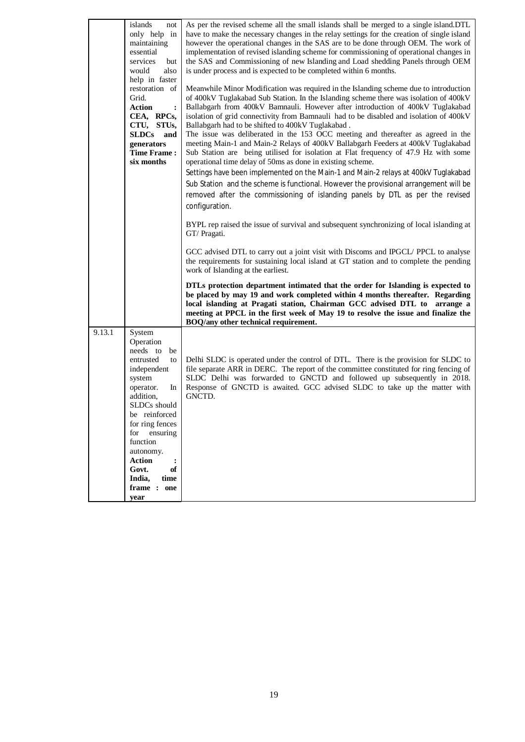|        | islands<br>not<br>only help in<br>maintaining<br>essential<br>services<br>but<br>would<br>also<br>help in faster<br>restoration of<br>Grid.<br>Action<br>$\ddot{\cdot}$<br>CEA, RPCs,                                                                                                                    | As per the revised scheme all the small islands shall be merged to a single island. DTL<br>have to make the necessary changes in the relay settings for the creation of single island<br>however the operational changes in the SAS are to be done through OEM. The work of<br>implementation of revised islanding scheme for commissioning of operational changes in<br>the SAS and Commissioning of new Islanding and Load shedding Panels through OEM<br>is under process and is expected to be completed within 6 months.<br>Meanwhile Minor Modification was required in the Islanding scheme due to introduction<br>of 400kV Tuglakabad Sub Station. In the Islanding scheme there was isolation of 400kV<br>Ballabgarh from 400kV Bamnauli. However after introduction of 400kV Tuglakabad<br>isolation of grid connectivity from Bamnauli had to be disabled and isolation of 400kV |
|--------|----------------------------------------------------------------------------------------------------------------------------------------------------------------------------------------------------------------------------------------------------------------------------------------------------------|---------------------------------------------------------------------------------------------------------------------------------------------------------------------------------------------------------------------------------------------------------------------------------------------------------------------------------------------------------------------------------------------------------------------------------------------------------------------------------------------------------------------------------------------------------------------------------------------------------------------------------------------------------------------------------------------------------------------------------------------------------------------------------------------------------------------------------------------------------------------------------------------|
|        | CTU, STUs,<br><b>SLDCs</b><br>and<br>generators<br><b>Time Frame:</b><br>six months                                                                                                                                                                                                                      | Ballabgarh had to be shifted to 400kV Tuglakabad.<br>The issue was deliberated in the 153 OCC meeting and thereafter as agreed in the<br>meeting Main-1 and Main-2 Relays of 400kV Ballabgarh Feeders at 400kV Tuglakabad<br>Sub Station are being utilised for isolation at Flat frequency of 47.9 Hz with some<br>operational time delay of 50ms as done in existing scheme.<br>Settings have been implemented on the Main-1 and Main-2 relays at 400kV Tuglakabad<br>Sub Station and the scheme is functional. However the provisional arrangement will be<br>removed after the commissioning of islanding panels by DTL as per the revised<br>configuration.                                                                                                                                                                                                                            |
|        |                                                                                                                                                                                                                                                                                                          | BYPL rep raised the issue of survival and subsequent synchronizing of local islanding at<br>GT/ Pragati.<br>GCC advised DTL to carry out a joint visit with Discoms and IPGCL/PPCL to analyse<br>the requirements for sustaining local island at GT station and to complete the pending<br>work of Islanding at the earliest.                                                                                                                                                                                                                                                                                                                                                                                                                                                                                                                                                               |
|        |                                                                                                                                                                                                                                                                                                          | DTLs protection department intimated that the order for Islanding is expected to<br>be placed by may 19 and work completed within 4 months thereafter. Regarding<br>local islanding at Pragati station, Chairman GCC advised DTL to arrange a<br>meeting at PPCL in the first week of May 19 to resolve the issue and finalize the<br>BOQ/any other technical requirement.                                                                                                                                                                                                                                                                                                                                                                                                                                                                                                                  |
| 9.13.1 | System<br>Operation<br>needs to<br>be<br>entrusted<br>to<br>independent<br>system<br>operator.<br>In<br>addition,<br>SLDCs should<br>be reinforced<br>for ring fences<br>for ensuring<br>function<br>autonomy.<br><b>Action</b><br>$\ddot{\cdot}$<br>Govt.<br>of<br>India,<br>time<br>frame: one<br>year | Delhi SLDC is operated under the control of DTL. There is the provision for SLDC to<br>file separate ARR in DERC. The report of the committee constituted for ring fencing of<br>SLDC Delhi was forwarded to GNCTD and followed up subsequently in 2018.<br>Response of GNCTD is awaited. GCC advised SLDC to take up the matter with<br>GNCTD.                                                                                                                                                                                                                                                                                                                                                                                                                                                                                                                                             |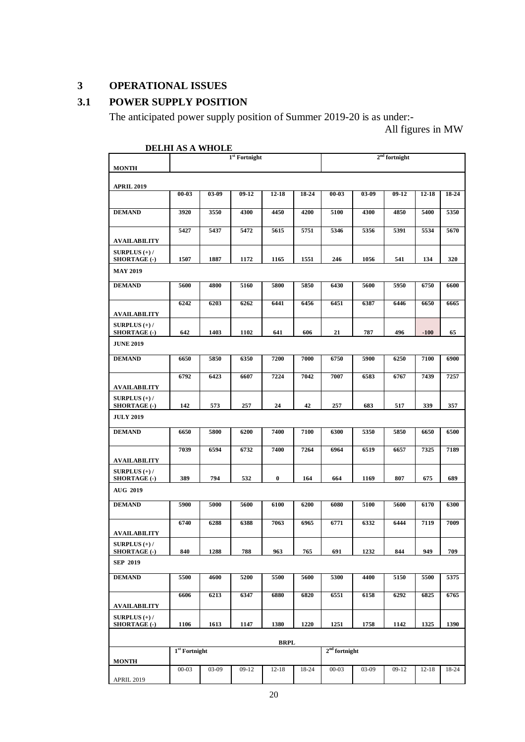#### **3 OPERATIONAL ISSUES**

#### **3.1 POWER SUPPLY POSITION**

The anticipated power supply position of Summer 2019-20 is as under:-

|                                                | <u>DEEIN AO A WHOER</u>   |       | $1st$ Fortnight |             | $2nd$ fortnight |                           |       |         |           |       |
|------------------------------------------------|---------------------------|-------|-----------------|-------------|-----------------|---------------------------|-------|---------|-----------|-------|
| <b>MONTH</b>                                   |                           |       |                 |             |                 |                           |       |         |           |       |
| <b>APRIL 2019</b>                              |                           |       |                 |             |                 |                           |       |         |           |       |
|                                                | $00 - 03$                 | 03-09 | $09-12$         | $12 - 18$   | 18-24           | $00 - 03$                 | 03-09 | $09-12$ | $12 - 18$ | 18-24 |
| <b>DEMAND</b>                                  | 3920                      | 3550  | 4300            | 4450        | 4200            | 5100                      | 4300  | 4850    | 5400      | 5350  |
|                                                | 5427                      | 5437  | 5472            | 5615        | 5751            | 5346                      | 5356  | 5391    | 5534      | 5670  |
| <b>AVAILABILITY</b>                            |                           |       |                 |             |                 |                           |       |         |           |       |
| $SUBPLUS (+) /$<br><b>SHORTAGE</b> (-)         | 1507                      | 1887  | 1172            | 1165        | 1551            | 246                       | 1056  | 541     | 134       | 320   |
| <b>MAY 2019</b>                                |                           |       |                 |             |                 |                           |       |         |           |       |
| <b>DEMAND</b>                                  | 5600                      | 4800  | 5160            | 5800        | 5850            | 6430                      | 5600  | 5950    | 6750      | 6600  |
|                                                | 6242                      | 6203  | 6262            | 6441        | 6456            | 6451                      | 6387  | 6446    | 6650      | 6665  |
| <b>AVAILABILITY</b><br>$\textbf{SURPLUS}(+)$ / |                           |       |                 |             |                 |                           |       |         |           |       |
| <b>SHORTAGE (-)</b>                            | 642                       | 1403  | 1102            | 641         | 606             | 21                        | 787   | 496     | $-100$    | 65    |
| <b>JUNE 2019</b>                               |                           |       |                 |             |                 |                           |       |         |           |       |
| <b>DEMAND</b>                                  | 6650                      | 5850  | 6350            | 7200        | 7000            | 6750                      | 5900  | 6250    | 7100      | 6900  |
|                                                | 6792                      | 6423  | 6607            | 7224        | 7042            | 7007                      | 6583  | 6767    | 7439      | 7257  |
| <b>AVAILABILITY</b><br>$\textbf{SURPLUS}(+)$ / |                           |       |                 |             |                 |                           |       |         |           |       |
| <b>SHORTAGE (-)</b>                            | 142                       | 573   | 257             | 24          | 42              | 257                       | 683   | 517     | 339       | 357   |
| <b>JULY 2019</b>                               |                           |       |                 |             |                 |                           |       |         |           |       |
| <b>DEMAND</b>                                  | 6650                      | 5800  | 6200            | 7400        | 7100            | 6300                      | 5350  | 5850    | 6650      | 6500  |
| <b>AVAILABILITY</b>                            | 7039                      | 6594  | 6732            | 7400        | 7264            | 6964                      | 6519  | 6657    | 7325      | 7189  |
| $\textbf{SURPLUS}(+)$ /                        |                           |       |                 |             |                 |                           |       |         |           |       |
| <b>SHORTAGE (-)</b><br><b>AUG 2019</b>         | 389                       | 794   | 532             | $\bf{0}$    | 164             | 664                       | 1169  | 807     | 675       | 689   |
|                                                |                           |       |                 |             |                 |                           |       |         |           |       |
| <b>DEMAND</b>                                  | 5900                      | 5000  | 5600            | 6100        | 6200            | 6080                      | 5100  | 5600    | 6170      | 6300  |
|                                                | 6740                      | 6288  | 6388            | 7063        | 6965            | 6771                      | 6332  | 6444    | 7119      | 7009  |
| AVAILABILITY<br>$\textbf{SUBPLUS}$ (+)/        |                           |       |                 |             |                 |                           |       |         |           |       |
| <b>SHORTAGE (-)</b>                            | 840                       | 1288  | 788             | 963         | 765             | 691                       | 1232  | 844     | 949       | 709   |
| <b>SEP 2019</b>                                |                           |       |                 |             |                 |                           |       |         |           |       |
| <b>DEMAND</b>                                  | 5500                      | 4600  | 5200            | 5500        | 5600            | 5300                      | 4400  | 5150    | 5500      | 5375  |
| AVAILABILITY                                   | 6606                      | 6213  | 6347            | 6880        | 6820            | 6551                      | 6158  | 6292    | 6825      | 6765  |
| $\textbf{SURPLUS}(+)$ /                        |                           |       |                 |             |                 |                           |       |         |           |       |
| <b>SHORTAGE (-)</b>                            | 1106                      | 1613  | 1147            | 1380        | 1220            | 1251                      | 1758  | 1142    | 1325      | 1390  |
|                                                |                           |       |                 | <b>BRPL</b> |                 |                           |       |         |           |       |
| <b>MONTH</b>                                   | 1 <sup>st</sup> Fortnight |       |                 |             |                 | 2 <sup>nd</sup> fortnight |       |         |           |       |
|                                                | $00 - 03$                 | 03-09 | $09-12$         | $12 - 18$   | 18-24           | $00 - 03$                 | 03-09 | $09-12$ | $12 - 18$ | 18-24 |
| APRIL 2019                                     |                           |       |                 |             |                 |                           |       |         |           |       |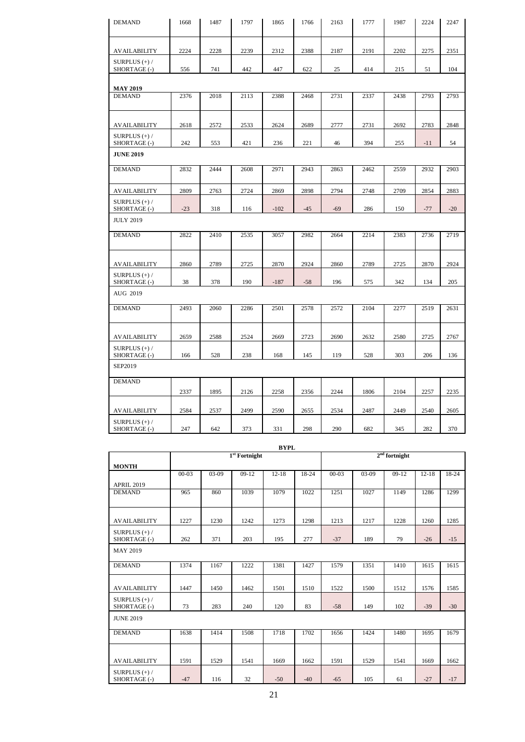| <b>DEMAND</b>                   | 1668  | 1487 | 1797 | 1865   | 1766  | 2163  | 1777 | 1987 | 2224  | 2247  |
|---------------------------------|-------|------|------|--------|-------|-------|------|------|-------|-------|
| AVAILABILITY                    | 2224  | 2228 | 2239 | 2312   | 2388  | 2187  | 2191 | 2202 | 2275  | 2351  |
| SURPLUS $(+)$ /<br>SHORTAGE (-) | 556   | 741  | 442  | 447    | 622   | 25    | 414  | 215  | 51    | 104   |
| <b>MAY 2019</b>                 |       |      |      |        |       |       |      |      |       |       |
| <b>DEMAND</b>                   | 2376  | 2018 | 2113 | 2388   | 2468  | 2731  | 2337 | 2438 | 2793  | 2793  |
| <b>AVAILABILITY</b>             | 2618  | 2572 | 2533 | 2624   | 2689  | 2777  | 2731 | 2692 | 2783  | 2848  |
| SURPLUS $(+)$ /<br>SHORTAGE (-) | 242   | 553  | 421  | 236    | 221   | 46    | 394  | 255  | $-11$ | 54    |
| <b>JUNE 2019</b>                |       |      |      |        |       |       |      |      |       |       |
| <b>DEMAND</b>                   | 2832  | 2444 | 2608 | 2971   | 2943  | 2863  | 2462 | 2559 | 2932  | 2903  |
| <b>AVAILABILITY</b>             | 2809  | 2763 | 2724 | 2869   | 2898  | 2794  | 2748 | 2709 | 2854  | 2883  |
| SURPLUS $(+)$ /<br>SHORTAGE (-) | $-23$ | 318  | 116  | $-102$ | $-45$ | $-69$ | 286  | 150  | $-77$ | $-20$ |
| <b>JULY 2019</b>                |       |      |      |        |       |       |      |      |       |       |
| <b>DEMAND</b>                   | 2822  | 2410 | 2535 | 3057   | 2982  | 2664  | 2214 | 2383 | 2736  | 2719  |
| AVAILABILITY                    | 2860  | 2789 | 2725 | 2870   | 2924  | 2860  | 2789 | 2725 | 2870  | 2924  |
| SURPLUS $(+)$ /<br>SHORTAGE (-) | 38    | 378  | 190  | $-187$ | $-58$ | 196   | 575  | 342  | 134   | 205   |
| AUG 2019                        |       |      |      |        |       |       |      |      |       |       |
| <b>DEMAND</b>                   | 2493  | 2060 | 2286 | 2501   | 2578  | 2572  | 2104 | 2277 | 2519  | 2631  |
| AVAILABILITY                    | 2659  | 2588 | 2524 | 2669   | 2723  | 2690  | 2632 | 2580 | 2725  | 2767  |
| SURPLUS $(+)$ /<br>SHORTAGE (-) | 166   | 528  | 238  | 168    | 145   | 119   | 528  | 303  | 206   | 136   |
| SEP2019                         |       |      |      |        |       |       |      |      |       |       |
| <b>DEMAND</b>                   |       |      |      |        |       |       |      |      |       |       |
|                                 | 2337  | 1895 | 2126 | 2258   | 2356  | 2244  | 1806 | 2104 | 2257  | 2235  |
| <b>AVAILABILITY</b>             | 2584  | 2537 | 2499 | 2590   | 2655  | 2534  | 2487 | 2449 | 2540  | 2605  |
| SURPLUS $(+)$ /<br>SHORTAGE (-) | 247   | 642  | 373  | 331    | 298   | 290   | 682  | 345  | 282   | 370   |

| <b>BYPL</b>                     |           |       |                 |           |           |                 |       |         |           |         |
|---------------------------------|-----------|-------|-----------------|-----------|-----------|-----------------|-------|---------|-----------|---------|
|                                 |           |       | $1st$ Fortnight |           |           | $2nd$ fortnight |       |         |           |         |
| <b>MONTH</b>                    |           |       |                 |           |           |                 |       |         |           |         |
|                                 | $00 - 03$ | 03-09 | $09-12$         | $12 - 18$ | $18 - 24$ | $00 - 03$       | 03-09 | $09-12$ | $12 - 18$ | $18-24$ |
| <b>APRIL 2019</b>               |           |       |                 |           |           |                 |       |         |           |         |
| <b>DEMAND</b>                   | 965       | 860   | 1039            | 1079      | 1022      | 1251            | 1027  | 1149    | 1286      | 1299    |
|                                 |           |       |                 |           |           |                 |       |         |           |         |
| <b>AVAILABILITY</b>             | 1227      | 1230  | 1242            | 1273      | 1298      | 1213            | 1217  | 1228    | 1260      | 1285    |
| SURPLUS $(+)$ /<br>SHORTAGE (-) | 262       | 371   | 203             | 195       | 277       | $-37$           | 189   | 79      | $-26$     | $-15$   |
| MAY 2019                        |           |       |                 |           |           |                 |       |         |           |         |
| <b>DEMAND</b>                   | 1374      | 1167  | 1222            | 1381      | 1427      | 1579            | 1351  | 1410    | 1615      | 1615    |
| <b>AVAILABILITY</b>             | 1447      | 1450  | 1462            | 1501      | 1510      | 1522            | 1500  | 1512    | 1576      | 1585    |
| SURPLUS $(+)$ /<br>SHORTAGE (-) | 73        | 283   | 240             | 120       | 83        | $-58$           | 149   | 102     | $-39$     | $-30$   |
| <b>JUNE 2019</b>                |           |       |                 |           |           |                 |       |         |           |         |
| <b>DEMAND</b>                   | 1638      | 1414  | 1508            | 1718      | 1702      | 1656            | 1424  | 1480    | 1695      | 1679    |
|                                 |           |       |                 |           |           |                 |       |         |           |         |
| <b>AVAILABILITY</b>             | 1591      | 1529  | 1541            | 1669      | 1662      | 1591            | 1529  | 1541    | 1669      | 1662    |
| SURPLUS $(+)$ /<br>SHORTAGE (-) | $-47$     | 116   | 32              | $-50$     | $-40$     | $-65$           | 105   | 61      | $-27$     | $-17$   |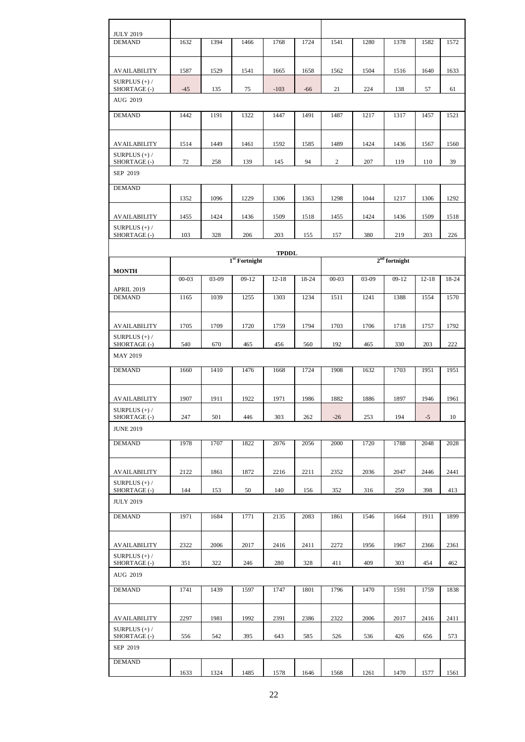| <b>JULY 2019</b><br><b>DEMAND</b> | 1632      | 1394    | 1466                      | 1768         | 1724  | 1541      | 1280  | 1378                      | 1582      | 1572  |  |
|-----------------------------------|-----------|---------|---------------------------|--------------|-------|-----------|-------|---------------------------|-----------|-------|--|
|                                   |           |         |                           |              |       |           |       |                           |           |       |  |
| <b>AVAILABILITY</b>               | 1587      | 1529    | 1541                      | 1665         | 1658  | 1562      | 1504  | 1516                      | 1640      | 1633  |  |
| SURPLUS $(+)$ /<br>SHORTAGE (-)   | $-45$     | 135     | 75                        | $-103$       | $-66$ | 21        | 224   | 138                       | 57        | 61    |  |
| AUG 2019                          |           |         |                           |              |       |           |       |                           |           |       |  |
| <b>DEMAND</b>                     | 1442      | 1191    | 1322                      | 1447         | 1491  | 1487      | 1217  | 1317                      | 1457      | 1521  |  |
|                                   |           |         |                           |              |       |           |       |                           |           |       |  |
| AVAILABILITY                      | 1514      | 1449    | 1461                      | 1592         | 1585  | 1489      | 1424  | 1436                      | 1567      | 1560  |  |
| SURPLUS $(+)$ /                   |           |         |                           |              |       |           |       |                           |           |       |  |
| SHORTAGE (-)<br>SEP 2019          | 72        | 258     | 139                       | 145          | 94    | 2         | 207   | 119                       | 110       | 39    |  |
|                                   |           |         |                           |              |       |           |       |                           |           |       |  |
| <b>DEMAND</b>                     | 1352      | 1096    | 1229                      | 1306         | 1363  | 1298      | 1044  | 1217                      | 1306      | 1292  |  |
|                                   |           |         |                           |              |       |           |       |                           |           |       |  |
| <b>AVAILABILITY</b>               | 1455      | 1424    | 1436                      | 1509         | 1518  | 1455      | 1424  | 1436                      | 1509      | 1518  |  |
| SURPLUS $(+)$ /<br>SHORTAGE (-)   | 103       | 328     | 206                       | 203          | 155   | 157       | 380   | 219                       | 203       | 226   |  |
|                                   |           |         |                           | <b>TPDDL</b> |       |           |       |                           |           |       |  |
|                                   |           |         | 1 <sup>st</sup> Fortnight |              |       |           |       | 2 <sup>nd</sup> fortnight |           |       |  |
| <b>MONTH</b>                      | $00 - 03$ | $03-09$ | $09-12$                   | $12 - 18$    | 18-24 | $00 - 03$ | 03-09 | $09-12$                   | $12 - 18$ | 18-24 |  |
| APRIL 2019                        |           |         |                           |              |       |           |       |                           |           |       |  |
| <b>DEMAND</b>                     | 1165      | 1039    | 1255                      | 1303         | 1234  | 1511      | 1241  | 1388                      | 1554      | 1570  |  |
|                                   |           |         |                           |              |       |           |       |                           |           |       |  |
| AVAILABILITY                      | 1705      | 1709    | 1720                      | 1759         | 1794  | 1703      | 1706  | 1718                      | 1757      | 1792  |  |
| SURPLUS $(+)$ /<br>SHORTAGE (-)   | 540       | 670     | 465                       | 456          | 560   | 192       | 465   | 330                       | 203       | 222   |  |
| <b>MAY 2019</b>                   |           |         |                           |              |       |           |       |                           |           |       |  |
| <b>DEMAND</b>                     | 1660      | 1410    | 1476                      | 1668         | 1724  | 1908      | 1632  | 1703                      | 1951      | 1951  |  |
|                                   |           |         |                           |              |       |           |       |                           |           |       |  |
| AVAILABILITY                      | 1907      | 1911    | 1922                      | 1971         | 1986  | 1882      | 1886  | 1897                      | 1946      | 1961  |  |
| SURPLUS $(+)$ /                   |           |         |                           |              |       |           |       |                           |           |       |  |
| SHORTAGE (-)                      | 247       | 501     | 446                       | 303          | 262   | $-26$     | 253   | 194                       | $-5$      | 10    |  |
| <b>JUNE 2019</b>                  |           |         |                           |              |       |           |       |                           |           |       |  |
| <b>DEMAND</b>                     | 1978      | 1707    | 1822                      | 2076         | 2056  | 2000      | 1720  | 1788                      | 2048      | 2028  |  |
|                                   |           |         |                           |              |       |           |       |                           |           |       |  |
| AVAILABILITY                      | 2122      | 1861    | 1872                      | 2216         | 2211  | 2352      | 2036  | 2047                      | 2446      | 2441  |  |
| SURPLUS $(+)$ /<br>SHORTAGE (-)   | 144       | 153     | 50                        | 140          | 156   | 352       | 316   | 259                       | 398       | 413   |  |
| <b>JULY 2019</b>                  |           |         |                           |              |       |           |       |                           |           |       |  |
| <b>DEMAND</b>                     | 1971      | 1684    | 1771                      | 2135         | 2083  | 1861      | 1546  | 1664                      | 1911      | 1899  |  |
|                                   |           |         |                           |              |       |           |       |                           |           |       |  |
| AVAILABILITY                      | 2322      | 2006    | 2017                      | 2416         | 2411  | 2272      | 1956  | 1967                      | 2366      | 2361  |  |
| SURPLUS $(+)$ /                   |           |         |                           |              |       |           |       |                           |           |       |  |
| SHORTAGE (-)                      | 351       | 322     | 246                       | 280          | 328   | 411       | 409   | 303                       | 454       | 462   |  |
| AUG 2019                          |           |         |                           |              |       |           |       |                           |           |       |  |
| <b>DEMAND</b>                     | 1741      | 1439    | 1597                      | 1747         | 1801  | 1796      | 1470  | 1591                      | 1759      | 1838  |  |
|                                   |           |         |                           |              |       |           |       |                           |           |       |  |
| AVAILABILITY                      | 2297      | 1981    | 1992                      | 2391         | 2386  | 2322      | 2006  | 2017                      | 2416      | 2411  |  |
| SURPLUS $(+)$ /<br>SHORTAGE (-)   | 556       | 542     | 395                       | 643          | 585   | 526       | 536   | 426                       | 656       | 573   |  |
| SEP 2019                          |           |         |                           |              |       |           |       |                           |           |       |  |
| <b>DEMAND</b>                     |           |         |                           |              |       |           |       |                           |           |       |  |
|                                   | 1633      | 1324    | 1485                      | 1578         | 1646  | 1568      | 1261  | 1470                      | 1577      | 1561  |  |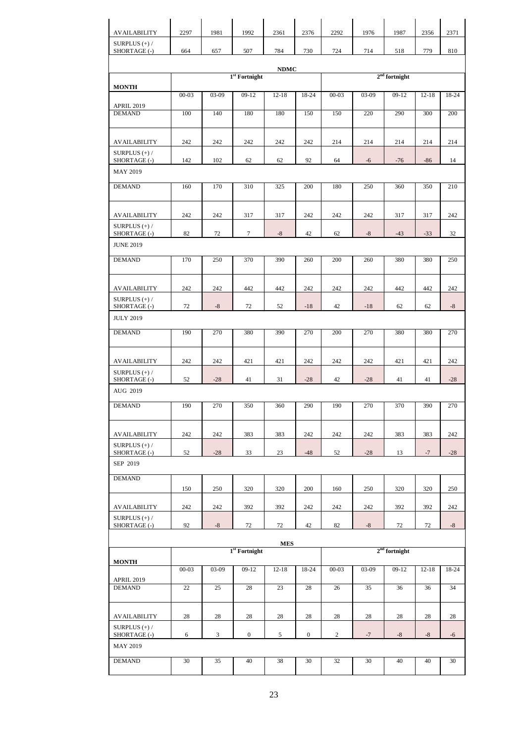| <b>AVAILABILITY</b>                    | 2297      | 1981        | 1992                      | 2361        | 2376             | 2292            | 1976  | 1987            | 2356      | 2371  |
|----------------------------------------|-----------|-------------|---------------------------|-------------|------------------|-----------------|-------|-----------------|-----------|-------|
| SURPLUS $(+)$ /<br>SHORTAGE (-)        | 664       | 657         | 507                       | 784         | 730              | 724             | 714   | 518             | 779       | 810   |
|                                        |           |             |                           |             |                  |                 |       |                 |           |       |
|                                        |           |             | 1 <sup>st</sup> Fortnight | <b>NDMC</b> |                  | $2nd$ fortnight |       |                 |           |       |
| <b>MONTH</b>                           | $00 - 03$ | 03-09       | $09-12$                   | $12 - 18$   | 18-24            | $00 - 03$       | 03-09 | $09-12$         | $12 - 18$ | 18-24 |
| APRIL 2019                             |           |             |                           |             |                  |                 |       |                 |           |       |
| <b>DEMAND</b>                          | 100       | 140         | 180                       | 180         | 150              | 150             | 220   | 290             | 300       | 200   |
| <b>AVAILABILITY</b>                    | 242       | 242         | 242                       | 242         | 242              | 214             | 214   | 214             | 214       | 214   |
| SURPLUS $(+)$ /<br>SHORTAGE (-)        | 142       | 102         | 62                        | 62          | 92               | 64              | $-6$  | $-76$           | $-86$     | 14    |
| MAY 2019                               |           |             |                           |             |                  |                 |       |                 |           |       |
| <b>DEMAND</b>                          | 160       | 170         | 310                       | 325         | 200              | 180             | 250   | 360             | 350       | 210   |
| <b>AVAILABILITY</b>                    | 242       | 242         | 317                       | 317         | 242              | 242             | 242   | 317             | 317       | 242   |
| SURPLUS $(+)$ /<br>SHORTAGE (-)        | 82        | 72          | $\boldsymbol{7}$          | $-8$        | 42               | 62              | $-8$  | $-43$           | $-33$     | 32    |
| <b>JUNE 2019</b>                       |           |             |                           |             |                  |                 |       |                 |           |       |
| <b>DEMAND</b>                          | 170       | 250         | 370                       | 390         | 260              | 200             | 260   | 380             | 380       | 250   |
| AVAILABILITY                           | 242       | 242         | 442                       | 442         | 242              | 242             | 242   | 442             | 442       | 242   |
| SURPLUS $(+)$ /<br>SHORTAGE (-)        | 72        | $-8$        | 72                        | 52          | $-18$            | 42              | $-18$ | 62              | 62        | $-8$  |
| <b>JULY 2019</b>                       |           |             |                           |             |                  |                 |       |                 |           |       |
| <b>DEMAND</b>                          | 190       | 270         | 380                       | 390         | 270              | 200             | 270   | 380             | 380       | 270   |
| AVAILABILITY                           | 242       | 242         | 421                       | 421         | 242              | 242             | 242   | 421             | 421       | 242   |
| SURPLUS $(+)$ /<br>SHORTAGE (-)        | 52        | $-28$       | 41                        | 31          | $-28$            | 42              | $-28$ | 41              | 41        | $-28$ |
| AUG 2019                               |           |             |                           |             |                  |                 |       |                 |           |       |
| <b>DEMAND</b>                          | 190       | 270         | 350                       | 360         | 290              | 190             | 270   | 370             | 390       | 270   |
| AVAILABILITY                           | 242       | 242         | 383                       | 383         | 242              | 242             | 242   | 383             | 383       | 242   |
| SURPLUS $(+)$ /<br>SHORTAGE (-)        | 52        | $-28$       | 33                        | 23          | $-48$            | 52              | $-28$ | 13              | $-7$      | $-28$ |
| SEP 2019                               |           |             |                           |             |                  |                 |       |                 |           |       |
| <b>DEMAND</b>                          |           |             |                           |             |                  |                 |       |                 |           |       |
|                                        | 150       | 250         | 320                       | 320         | 200              | 160             | 250   | 320             | 320       | 250   |
| <b>AVAILABILITY</b><br>SURPLUS $(+)$ / | 242       | 242         | 392                       | 392         | 242              | 242             | 242   | 392             | 392       | 242   |
| SHORTAGE (-)                           | 92        | $\mbox{-}8$ | 72                        | 72          | 42               | 82              | $-8$  | 72              | 72        | $-8$  |
|                                        |           |             | 1 <sup>st</sup> Fortnight | <b>MES</b>  |                  |                 |       | $2nd$ fortnight |           |       |
| <b>MONTH</b>                           |           |             |                           |             |                  |                 |       |                 |           |       |
| <b>APRIL 2019</b>                      | $00 - 03$ | 03-09       | $09-12$                   | $12 - 18$   | 18-24            | $00 - 03$       | 03-09 | $09-12$         | $12 - 18$ | 18-24 |
| <b>DEMAND</b>                          | 22        | 25          | 28                        | 23          | 28               | 26              | 35    | 36              | 36        | 34    |
| AVAILABILITY                           | 28        | 28          | 28                        | 28          | 28               | 28              | 28    | 28              | 28        | 28    |
| SURPLUS $(+)$ /<br>SHORTAGE (-)        | 6         | 3           | $\boldsymbol{0}$          | $\sqrt{5}$  | $\boldsymbol{0}$ | $\overline{2}$  | $-7$  | $-8$            | $-8$      | $-6$  |
| <b>MAY 2019</b>                        |           |             |                           |             |                  |                 |       |                 |           |       |
| <b>DEMAND</b>                          | 30        | 35          | 40                        | 38          | 30               | 32              | 30    | 40              | 40        | 30    |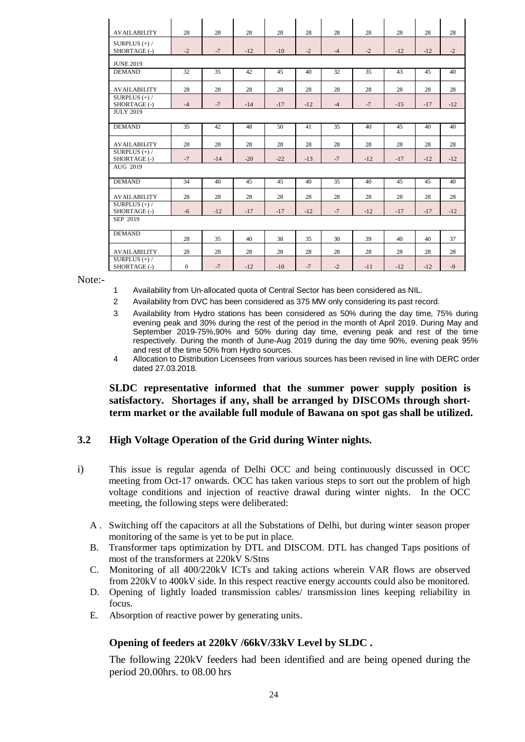| <b>AVAILABILITY</b>             | 28           | 28    | 28    | 28    | 28    | 28   | 28    | 28    | 28    | 28    |
|---------------------------------|--------------|-------|-------|-------|-------|------|-------|-------|-------|-------|
| SURPLUS $(+)$ /<br>SHORTAGE (-) | $-2$         | $-7$  | $-12$ | $-10$ | $-2$  | $-4$ | $-2$  | $-12$ | $-12$ | $-2$  |
| <b>JUNE 2019</b>                |              |       |       |       |       |      |       |       |       |       |
| <b>DEMAND</b>                   | 32           | 35    | 42    | 45    | 40    | 32   | 35    | 43    | 45    | 40    |
| <b>AVAILABILITY</b>             | 28           | 28    | 28    | 28    | 28    | 28   | 28    | 28    | 28    | 28    |
| SURPLUS $(+)$ /<br>SHORTAGE (-) | $-4$         | $-7$  | $-14$ | $-17$ | $-12$ | $-4$ | $-7$  | $-15$ | $-17$ | $-12$ |
| <b>JULY 2019</b>                |              |       |       |       |       |      |       |       |       |       |
| <b>DEMAND</b>                   | 35           | 42    | 48    | 50    | 41    | 35   | 40    | 45    | 40    | 40    |
| <b>AVAILABILITY</b>             | 28           | 28    | 28    | 28    | 28    | 28   | 28    | 28    | 28    | 28    |
| SURPLUS $(+)$ /<br>SHORTAGE (-) | $-7$         | $-14$ | $-20$ | $-22$ | $-13$ | $-7$ | $-12$ | $-17$ | $-12$ | $-12$ |
| AUG 2019                        |              |       |       |       |       |      |       |       |       |       |
| <b>DEMAND</b>                   | 34           | 40    | 45    | 45    | 40    | 35   | 40    | 45    | 45    | 40    |
| <b>AVAILABILITY</b>             | 28           | 28    | 28    | 28    | 28    | 28   | 28    | 28    | 28    | 28    |
| SURPLUS $(+)$ /<br>SHORTAGE (-) | $-6$         | $-12$ | $-17$ | $-17$ | $-12$ | $-7$ | $-12$ | $-17$ | $-17$ | $-12$ |
| SEP 2019                        |              |       |       |       |       |      |       |       |       |       |
| <b>DEMAND</b>                   | 28           | 35    | 40    | 38    | 35    | 30   | 39    | 40    | 40    | 37    |
| <b>AVAILABILITY</b>             | 28           | 28    | 28    | 28    | 28    | 28   | 28    | 28    | 28    | 28    |
| SURPLUS $(+)$ /<br>SHORTAGE (-) | $\mathbf{0}$ | $-7$  | $-12$ | $-10$ | $-7$  | $-2$ | $-11$ | $-12$ | $-12$ | $-9$  |

Note:-

- 1 Availability from Un-allocated quota of Central Sector has been considered as NIL.
- 2 Availability from DVC has been considered as 375 MW only considering its past record.
- 3 Availability from Hydro stations has been considered as 50% during the day time, 75% during evening peak and 30% during the rest of the period in the month of April 2019. During May and September 2019-75%,90% and 50% during day time, evening peak and rest of the time respectively. During the month of June-Aug 2019 during the day time 90%, evening peak 95% and rest of the time 50% from Hydro sources.
- 4 Allocation to Distribution Licensees from various sources has been revised in line with DERC order dated 27.03.2018.

**SLDC representative informed that the summer power supply position is satisfactory. Shortages if any, shall be arranged by DISCOMs through shortterm market or the available full module of Bawana on spot gas shall be utilized.** 

#### **3.2 High Voltage Operation of the Grid during Winter nights.**

- i) This issue is regular agenda of Delhi OCC and being continuously discussed in OCC meeting from Oct-17 onwards. OCC has taken various steps to sort out the problem of high voltage conditions and injection of reactive drawal during winter nights. In the OCC meeting, the following steps were deliberated:
	- A . Switching off the capacitors at all the Substations of Delhi, but during winter season proper monitoring of the same is yet to be put in place.
	- B. Transformer taps optimization by DTL and DISCOM. DTL has changed Taps positions of most of the transformers at 220kV S/Stns
	- C. Monitoring of all 400/220kV ICTs and taking actions wherein VAR flows are observed from 220kV to 400kV side. In this respect reactive energy accounts could also be monitored.
	- D. Opening of lightly loaded transmission cables/ transmission lines keeping reliability in focus.
	- E. Absorption of reactive power by generating units.

#### **Opening of feeders at 220kV /66kV/33kV Level by SLDC .**

The following 220kV feeders had been identified and are being opened during the period 20.00hrs. to 08.00 hrs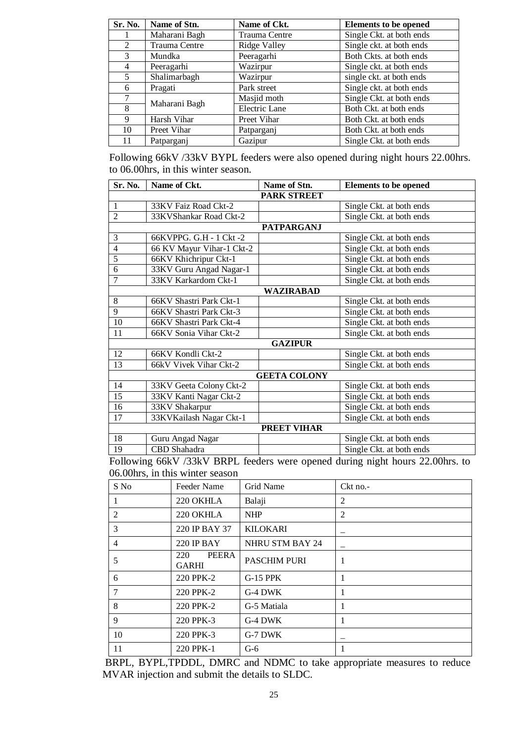| Sr. No.        | Name of Stn.  | Name of Ckt.        | <b>Elements to be opened</b> |
|----------------|---------------|---------------------|------------------------------|
|                | Maharani Bagh | Trauma Centre       | Single Ckt. at both ends     |
| 2              | Trauma Centre | <b>Ridge Valley</b> | Single ckt. at both ends     |
| 3              | Mundka        | Peeragarhi          | Both Ckts. at both ends      |
| $\overline{4}$ | Peeragarhi    | Wazirpur            | Single ckt. at both ends     |
| .5             | Shalimarbagh  | Wazirpur            | single ckt. at both ends     |
| 6              | Pragati       | Park street         | Single ckt. at both ends     |
|                | Maharani Bagh | Masjid moth         | Single Ckt. at both ends     |
| 8              |               | Electric Lane       | Both Ckt. at both ends       |
| 9              | Harsh Vihar   | Preet Vihar         | Both Ckt. at both ends       |
| 10             | Preet Vihar   | Patparganj          | Both Ckt. at both ends       |
| 11             | Patparganj    | Gazipur             | Single Ckt. at both ends     |

Following 66kV /33kV BYPL feeders were also opened during night hours 22.00hrs. to 06.00hrs, in this winter season.

| <b>Sr. No.</b> | Name of Ckt.              | Name of Stn.        | <b>Elements to be opened</b> |  |  |  |  |  |
|----------------|---------------------------|---------------------|------------------------------|--|--|--|--|--|
|                | <b>PARK STREET</b>        |                     |                              |  |  |  |  |  |
| 1              | 33KV Faiz Road Ckt-2      |                     | Single Ckt. at both ends     |  |  |  |  |  |
| $\overline{2}$ | 33KVShankar Road Ckt-2    |                     | Single Ckt. at both ends     |  |  |  |  |  |
|                |                           | <b>PATPARGANJ</b>   |                              |  |  |  |  |  |
| 3              | 66KVPPG. G.H - 1 Ckt -2   |                     | Single Ckt. at both ends     |  |  |  |  |  |
| $\overline{4}$ | 66 KV Mayur Vihar-1 Ckt-2 |                     | Single Ckt. at both ends     |  |  |  |  |  |
| 5              | 66KV Khichripur Ckt-1     |                     | Single Ckt. at both ends     |  |  |  |  |  |
| 6              | 33KV Guru Angad Nagar-1   |                     | Single Ckt. at both ends     |  |  |  |  |  |
| 7              | 33KV Karkardom Ckt-1      |                     | Single Ckt. at both ends     |  |  |  |  |  |
|                |                           | <b>WAZIRABAD</b>    |                              |  |  |  |  |  |
| 8              | 66KV Shastri Park Ckt-1   |                     | Single Ckt. at both ends     |  |  |  |  |  |
| 9              | 66KV Shastri Park Ckt-3   |                     | Single Ckt. at both ends     |  |  |  |  |  |
| 10             | 66KV Shastri Park Ckt-4   |                     | Single Ckt. at both ends     |  |  |  |  |  |
| 11             | 66KV Sonia Vihar Ckt-2    |                     | Single Ckt. at both ends     |  |  |  |  |  |
|                |                           | <b>GAZIPUR</b>      |                              |  |  |  |  |  |
| 12             | 66KV Kondli Ckt-2         |                     | Single Ckt. at both ends     |  |  |  |  |  |
| 13             | 66kV Vivek Vihar Ckt-2    |                     | Single Ckt. at both ends     |  |  |  |  |  |
|                |                           | <b>GEETA COLONY</b> |                              |  |  |  |  |  |
| 14             | 33KV Geeta Colony Ckt-2   |                     | Single Ckt. at both ends     |  |  |  |  |  |
| 15             | 33KV Kanti Nagar Ckt-2    |                     | Single Ckt. at both ends     |  |  |  |  |  |
| 16             | 33KV Shakarpur            |                     | Single Ckt. at both ends     |  |  |  |  |  |
| 17             | 33KVKailash Nagar Ckt-1   |                     | Single Ckt. at both ends     |  |  |  |  |  |
|                |                           | PREET VIHAR         |                              |  |  |  |  |  |
| 18             | Guru Angad Nagar          |                     | Single Ckt. at both ends     |  |  |  |  |  |
| 19             | CBD Shahadra              |                     | Single Ckt. at both ends     |  |  |  |  |  |

Following 66kV /33kV BRPL feeders were opened during night hours 22.00hrs. to 06.00hrs, in this winter season

| $S$ No         | Feeder Name                  | Grid Name           | Ckt no.-       |
|----------------|------------------------------|---------------------|----------------|
|                | 220 OKHLA                    | Balaji              | 2              |
| 2              | 220 OKHLA                    | <b>NHP</b>          | $\overline{2}$ |
| 3              | 220 IP BAY 37                | <b>KILOKARI</b>     |                |
| $\overline{4}$ | <b>220 IP BAY</b>            | NHRU STM BAY 24     |                |
| 5              | PEERA<br>220<br><b>GARHI</b> | <b>PASCHIM PURI</b> |                |
| 6              | 220 PPK-2                    | <b>G-15 PPK</b>     |                |
| 7              | 220 PPK-2                    | G-4 DWK             | 1              |
| 8              | 220 PPK-2                    | G-5 Matiala         |                |
| 9              | 220 PPK-3                    | G-4 DWK             |                |
| 10             | 220 PPK-3                    | G-7 DWK             |                |
| 11             | 220 PPK-1                    | $G-6$               |                |

BRPL, BYPL,TPDDL, DMRC and NDMC to take appropriate measures to reduce MVAR injection and submit the details to SLDC.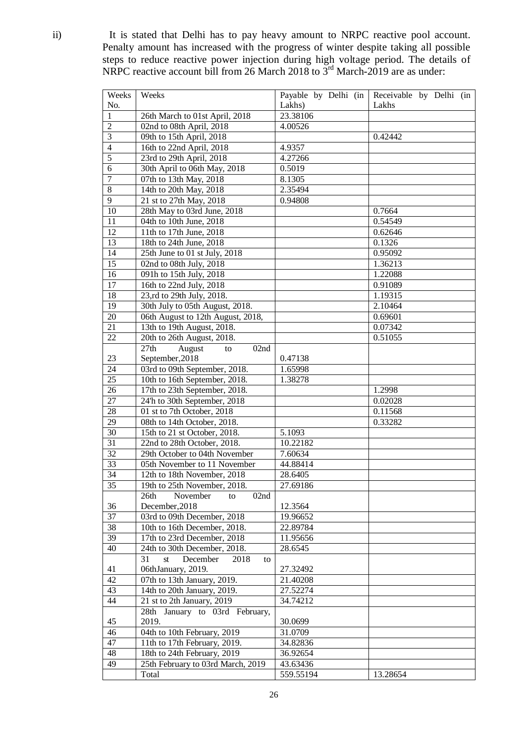ii) It is stated that Delhi has to pay heavy amount to NRPC reactive pool account. Penalty amount has increased with the progress of winter despite taking all possible steps to reduce reactive power injection during high voltage period. The details of NRPC reactive account bill from 26 March 2018 to  $3<sup>rd</sup>$  March-2019 are as under:

| Weeks           | Weeks                              |           | Payable by Delhi (in Receivable by Delhi (in |
|-----------------|------------------------------------|-----------|----------------------------------------------|
| No.             |                                    | Lakhs)    | Lakhs                                        |
| $\mathbf{1}$    | 26th March to 01st April, 2018     | 23.38106  |                                              |
| $\overline{2}$  | 02nd to 08th April, 2018           | 4.00526   |                                              |
| $\overline{3}$  | 09th to 15th April, 2018           |           | 0.42442                                      |
| $\overline{4}$  | 16th to 22nd April, 2018           | 4.9357    |                                              |
| $\overline{5}$  | 23rd to 29th April, 2018           | 4.27266   |                                              |
| 6               | 30th April to 06th May, 2018       | 0.5019    |                                              |
| $\overline{7}$  | 07th to 13th May, 2018             | 8.1305    |                                              |
| $\overline{8}$  | 14th to 20th May, 2018             | 2.35494   |                                              |
| $\overline{9}$  | 21 st to 27th May, 2018            | 0.94808   |                                              |
| 10              | 28th May to 03rd June, 2018        |           | 0.7664                                       |
| 11              | 04th to 10th June, 2018            |           | 0.54549                                      |
| $\overline{12}$ | 11th to 17th June, 2018            |           | 0.62646                                      |
| $\overline{13}$ | 18th to 24th June, 2018            |           | 0.1326                                       |
| $\overline{14}$ | 25th June to 01 st July, 2018      |           | 0.95092                                      |
| $\overline{15}$ | 02nd to 08th July, 2018            |           | 1.36213                                      |
| 16              | 091h to 15th July, 2018            |           | 1.22088                                      |
| 17              | 16th to 22nd July, 2018            |           | 0.91089                                      |
| 18              | 23,rd to 29th July, 2018.          |           | 1.19315                                      |
| 19              | 30th July to 05th August, 2018.    |           | 2.10464                                      |
| $20\,$          | 06th August to 12th August, 2018,  |           | 0.69601                                      |
| 21              | 13th to 19th August, 2018.         |           | 0.07342                                      |
| 22              | 20th to 26th August, 2018.         |           | 0.51055                                      |
|                 | 27th<br>August<br>02nd<br>to       |           |                                              |
| 23              | September, 2018                    | 0.47138   |                                              |
| 24              | 03rd to 09th September, 2018.      | 1.65998   |                                              |
| 25              | 10th to 16th September, 2018.      | 1.38278   |                                              |
| $\overline{26}$ | 17th to 23th September, 2018.      |           | 1.2998                                       |
| $\overline{27}$ | 24'h to 30th September, 2018       |           | 0.02028                                      |
| $\overline{28}$ | 01 st to 7th October, 2018         |           | 0.11568                                      |
| $\overline{29}$ | 08th to 14th October, 2018.        |           | 0.33282                                      |
| $\overline{30}$ | 15th to 21 st October, 2018.       | 5.1093    |                                              |
| 31              | 22nd to 28th October, 2018.        | 10.22182  |                                              |
| $\overline{32}$ | 29th October to 04th November      | 7.60634   |                                              |
| $\overline{33}$ | 05th November to 11 November       | 44.88414  |                                              |
| $\overline{34}$ | 12th to 18th November, 2018        | 28.6405   |                                              |
| 35              | 19th to 25th November, 2018.       | 27.69186  |                                              |
|                 | November<br>02nd<br>26th<br>to     |           |                                              |
| 36              | December, 2018                     | 12.3564   |                                              |
| $\overline{37}$ | 03rd to 09th December, 2018        | 19.96652  |                                              |
| $\overline{38}$ | 10th to 16th December, 2018.       | 22.89784  |                                              |
| 39              | 17th to 23rd December, 2018        | 11.95656  |                                              |
| 40              | 24th to 30th December, 2018.       | 28.6545   |                                              |
|                 | December<br>31<br>st<br>2018<br>to |           |                                              |
| 41              | 06thJanuary, 2019.                 | 27.32492  |                                              |
| 42              | 07th to 13th January, 2019.        | 21.40208  |                                              |
| 43              | 14th to 20th January, 2019.        | 27.52274  |                                              |
| 44              | 21 st to 2th January, 2019         | 34.74212  |                                              |
|                 | 28th January to 03rd February,     |           |                                              |
| 45              | 2019.                              | 30.0699   |                                              |
| 46              | 04th to 10th February, 2019        | 31.0709   |                                              |
| 47              | 11th to 17th February, 2019.       | 34.82836  |                                              |
| 48              | 18th to 24th February, 2019        | 36.92654  |                                              |
| 49              | 25th February to 03rd March, 2019  | 43.63436  |                                              |
|                 | Total                              | 559.55194 | 13.28654                                     |
|                 |                                    |           |                                              |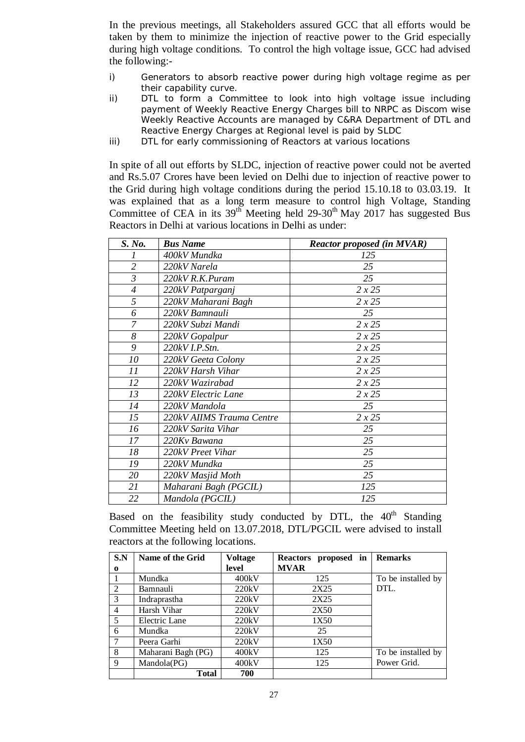In the previous meetings, all Stakeholders assured GCC that all efforts would be taken by them to minimize the injection of reactive power to the Grid especially during high voltage conditions. To control the high voltage issue, GCC had advised the following:-

- i) Generators to absorb reactive power during high voltage regime as per their capability curve.
- ii) DTL to form a Committee to look into high voltage issue including payment of Weekly Reactive Energy Charges bill to NRPC as Discom wise Weekly Reactive Accounts are managed by C&RA Department of DTL and Reactive Energy Charges at Regional level is paid by SLDC
- iii) DTL for early commissioning of Reactors at various locations

In spite of all out efforts by SLDC, injection of reactive power could not be averted and Rs.5.07 Crores have been levied on Delhi due to injection of reactive power to the Grid during high voltage conditions during the period 15.10.18 to 03.03.19. It was explained that as a long term measure to control high Voltage, Standing Committee of CEA in its  $39<sup>th</sup>$  Meeting held 29-30<sup>th</sup> May 2017 has suggested Bus Reactors in Delhi at various locations in Delhi as under:

| S. No.         | <b>Bus Name</b>           | <b>Reactor proposed (in MVAR)</b> |
|----------------|---------------------------|-----------------------------------|
|                | 400kV Mundka              | 125                               |
| $\overline{2}$ | 220kV Narela              | 25                                |
| $\mathfrak{Z}$ | 220kV R.K.Puram           | 25                                |
| $\overline{4}$ | 220kV Patparganj          | 2 x 25                            |
| 5              | 220kV Maharani Bagh       | 2 x 25                            |
| 6              | 220kV Bamnauli            | 25                                |
| 7              | 220kV Subzi Mandi         | 2x25                              |
| 8              | 220kV Gopalpur            | 2 x 25                            |
| 9              | 220kV I.P.Stn.            | 2 x 25                            |
| 10             | 220kV Geeta Colony        | 2 x 25                            |
| 11             | 220kV Harsh Vihar         | 2 x 25                            |
| 12             | 220kV Wazirabad           | 2 x 25                            |
| 13             | 220kV Electric Lane       | 2 x 25                            |
| 14             | 220kV Mandola             | 25                                |
| 15             | 220kV AIIMS Trauma Centre | 2 x 25                            |
| 16             | 220kV Sarita Vihar        | 25                                |
| 17             | 220Kv Bawana              | 25                                |
| 18             | 220kV Preet Vihar         | 25                                |
| 19             | 220kV Mundka              | 25                                |
| 20             | 220kV Masjid Moth         | 25                                |
| 21             | Maharani Bagh (PGCIL)     | 125                               |
| 22             | Mandola (PGCIL)           | 125                               |

Based on the feasibility study conducted by DTL, the  $40<sup>th</sup>$  Standing Committee Meeting held on 13.07.2018, DTL/PGCIL were advised to install reactors at the following locations.

| S.N            | Name of the Grid   | <b>Voltage</b> | Reactors proposed in | <b>Remarks</b>     |
|----------------|--------------------|----------------|----------------------|--------------------|
| $\bf{0}$       |                    | level          | <b>MVAR</b>          |                    |
|                | Mundka             | 400kV          | 125                  | To be installed by |
| $\mathfrak{D}$ | Bamnauli           | 220kV          | 2X25                 | DTL.               |
| 3              | Indraprastha       | 220kV          | 2X25                 |                    |
| 4              | Harsh Vihar        | 220kV          | 2X50                 |                    |
| 5              | Electric Lane      | 220kV          | 1X50                 |                    |
| 6              | Mundka             | 220kV          | 25                   |                    |
|                | Peera Garhi        | 220kV          | 1X50                 |                    |
| 8              | Maharani Bagh (PG) | 400kV          | 125                  | To be installed by |
| 9              | Mandola(PG)        | 400kV          | 125                  | Power Grid.        |
|                | <b>Total</b>       | 700            |                      |                    |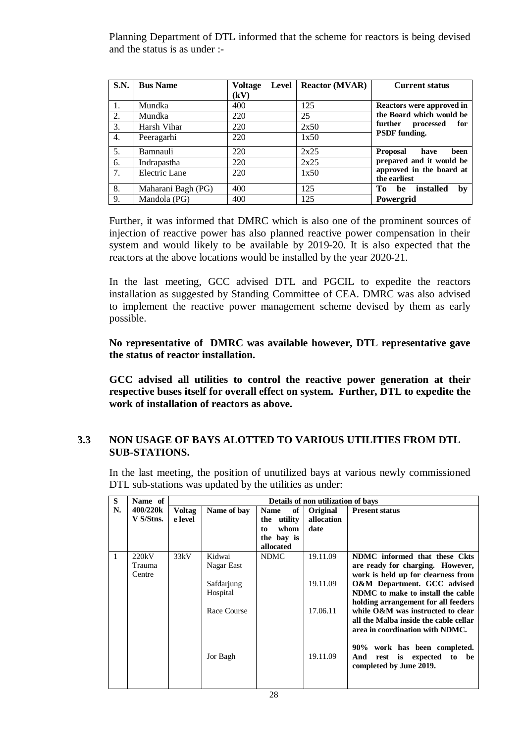Planning Department of DTL informed that the scheme for reactors is being devised and the status is as under :-

| <b>S.N.</b> | <b>Bus Name</b>    | Level<br><b>Voltage</b> | <b>Reactor (MVAR)</b> | <b>Current status</b>                    |  |  |
|-------------|--------------------|-------------------------|-----------------------|------------------------------------------|--|--|
|             |                    | (kV)                    |                       |                                          |  |  |
|             | Mundka             | 400                     | 125                   | Reactors were approved in                |  |  |
| 2.          | Mundka             | 220                     | 25                    | the Board which would be                 |  |  |
| 3.          | Harsh Vihar        | 220                     | 2x50                  | further<br>processed<br>for              |  |  |
| 4.          | Peeragarhi         | 220                     | 1x50                  | <b>PSDF</b> funding.                     |  |  |
| 5.          | Bamnauli           | 220                     | 2x25                  | <b>Proposal</b><br>have<br>been          |  |  |
| 6.          | Indrapastha        | 220                     | 2x25                  | prepared and it would be                 |  |  |
| 7.          | Electric Lane      | 220                     | 1x50                  | approved in the board at<br>the earliest |  |  |
| 8.          | Maharani Bagh (PG) | 400                     | 125                   | installed<br>To T<br>by<br>be            |  |  |
| 9.          | Mandola (PG)       | 400                     | 125                   | Powergrid                                |  |  |

Further, it was informed that DMRC which is also one of the prominent sources of injection of reactive power has also planned reactive power compensation in their system and would likely to be available by 2019-20. It is also expected that the reactors at the above locations would be installed by the year 2020-21.

In the last meeting, GCC advised DTL and PGCIL to expedite the reactors installation as suggested by Standing Committee of CEA. DMRC was also advised to implement the reactive power management scheme devised by them as early possible.

**No representative of DMRC was available however, DTL representative gave the status of reactor installation.** 

**GCC advised all utilities to control the reactive power generation at their respective buses itself for overall effect on system. Further, DTL to expedite the work of installation of reactors as above.**

#### **3.3 NON USAGE OF BAYS ALOTTED TO VARIOUS UTILITIES FROM DTL SUB-STATIONS.**

In the last meeting, the position of unutilized bays at various newly commissioned DTL sub-stations was updated by the utilities as under:

| S  | Name of   |               | Details of non utilization of bays |                   |            |                                       |  |  |  |  |
|----|-----------|---------------|------------------------------------|-------------------|------------|---------------------------------------|--|--|--|--|
| N. | 400/220k  | <b>Voltag</b> | Name of bay                        | of<br><b>Name</b> | Original   | <b>Present status</b>                 |  |  |  |  |
|    | V S/Stns. | e level       |                                    | the utility       | allocation |                                       |  |  |  |  |
|    |           |               |                                    | whom<br>to        | date       |                                       |  |  |  |  |
|    |           |               |                                    | the bay is        |            |                                       |  |  |  |  |
|    |           |               |                                    | allocated         |            |                                       |  |  |  |  |
| 1  | 220kV     | 33kV          | Kidwai                             | <b>NDMC</b>       | 19.11.09   | NDMC informed that these Ckts         |  |  |  |  |
|    | Trauma    |               | Nagar East                         |                   |            | are ready for charging. However,      |  |  |  |  |
|    | Centre    |               |                                    |                   |            | work is held up for clearness from    |  |  |  |  |
|    |           |               | Safdarjung                         |                   | 19.11.09   | O&M Department. GCC advised           |  |  |  |  |
|    |           |               | Hospital                           |                   |            | NDMC to make to install the cable     |  |  |  |  |
|    |           |               |                                    |                   |            | holding arrangement for all feeders   |  |  |  |  |
|    |           |               | Race Course                        |                   | 17.06.11   | while O&M was instructed to clear     |  |  |  |  |
|    |           |               |                                    |                   |            | all the Malba inside the cable cellar |  |  |  |  |
|    |           |               |                                    |                   |            | area in coordination with NDMC.       |  |  |  |  |
|    |           |               |                                    |                   |            |                                       |  |  |  |  |
|    |           |               |                                    |                   |            | 90% work has been completed.          |  |  |  |  |
|    |           |               | Jor Bagh                           |                   | 19.11.09   | And rest is expected<br>to be         |  |  |  |  |
|    |           |               |                                    |                   |            | completed by June 2019.               |  |  |  |  |
|    |           |               |                                    |                   |            |                                       |  |  |  |  |
|    |           |               |                                    |                   |            |                                       |  |  |  |  |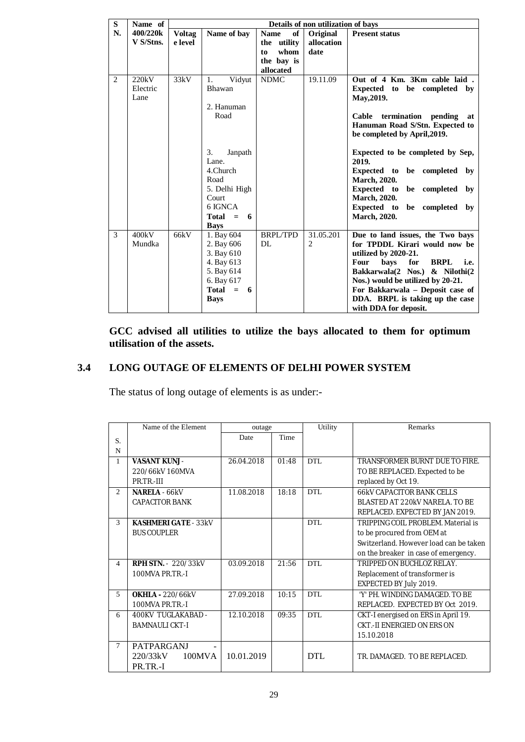| S  | Name of   | Details of non utilization of bays |                   |                   |                             |                                         |  |
|----|-----------|------------------------------------|-------------------|-------------------|-----------------------------|-----------------------------------------|--|
| N. | 400/220k  | <b>Voltag</b>                      | Name of bay       | of<br><b>Name</b> | Original                    | <b>Present status</b>                   |  |
|    | V S/Stns. | e level                            |                   | utility<br>the    | allocation                  |                                         |  |
|    |           |                                    |                   | whom<br>to        | date                        |                                         |  |
|    |           |                                    |                   | the bay is        |                             |                                         |  |
|    |           |                                    |                   | allocated         |                             |                                         |  |
| 2  | 220kV     | 33kV                               | Vidyut<br>1.      | <b>NDMC</b>       | 19.11.09                    | Out of 4 Km. 3Km cable laid.            |  |
|    | Electric  |                                    | Bhawan            |                   |                             | Expected to be completed by             |  |
|    | Lane      |                                    |                   |                   |                             | May, 2019.                              |  |
|    |           |                                    | 2. Hanuman        |                   |                             |                                         |  |
|    |           |                                    | Road              |                   |                             | Cable termination pending<br>at         |  |
|    |           |                                    |                   |                   |                             | Hanuman Road S/Stn. Expected to         |  |
|    |           |                                    |                   |                   |                             | be completed by April, 2019.            |  |
|    |           |                                    | 3.<br>Janpath     |                   |                             | Expected to be completed by Sep,        |  |
|    |           |                                    | Lane.             |                   |                             | 2019.                                   |  |
|    |           |                                    | 4.Church          |                   |                             | Expected to be completed<br>by          |  |
|    |           |                                    | Road              |                   |                             | <b>March</b> , 2020.                    |  |
|    |           |                                    | 5. Delhi High     |                   |                             | Expected to<br>be completed<br>by       |  |
|    |           |                                    | Court             |                   |                             | <b>March</b> , 2020.                    |  |
|    |           |                                    | 6 IGNCA           |                   |                             | Expected to be completed<br>by          |  |
|    |           |                                    | $Total =$<br>6    |                   |                             | <b>March</b> , 2020.                    |  |
|    |           |                                    | <b>Bays</b>       |                   |                             |                                         |  |
| 3  | 400kV     | 66kV                               | 1. Bay 604        | <b>BRPL/TPD</b>   | 31.05.201                   | Due to land issues, the Two bays        |  |
|    | Mundka    |                                    | 2. Bay 606        | DL                | $\mathcal{D}_{\mathcal{L}}$ | for TPDDL Kirari would now be           |  |
|    |           |                                    | 3. Bay 610        |                   |                             | utilized by 2020-21.                    |  |
|    |           |                                    | 4. Bay 613        |                   |                             | Four<br>bays for<br><b>BRPL</b><br>i.e. |  |
|    |           |                                    | 5. Bay 614        |                   |                             | Bakkarwala(2 Nos.) & Nilothi(2          |  |
|    |           |                                    | 6. Bay 617        |                   |                             | Nos.) would be utilized by 20-21.       |  |
|    |           |                                    | Total<br>$=$<br>6 |                   |                             | For Bakkarwala - Deposit case of        |  |
|    |           |                                    | <b>Bays</b>       |                   |                             | DDA. BRPL is taking up the case         |  |
|    |           |                                    |                   |                   |                             | with DDA for deposit.                   |  |

#### **GCC advised all utilities to utilize the bays allocated to them for optimum utilisation of the assets.**

#### **3.4 LONG OUTAGE OF ELEMENTS OF DELHI POWER SYSTEM**

The status of long outage of elements is as under:-

|                | Name of the Element         | outage     |       | Utility    | Remarks                                   |
|----------------|-----------------------------|------------|-------|------------|-------------------------------------------|
| S.             |                             | Date       | Time  |            |                                           |
| N              |                             |            |       |            |                                           |
| $\mathbf{1}$   | <b>VASANT KUNJ -</b>        | 26.04.2018 | 01:48 | DTL        | TRANSFORMER BURNT DUE TO FIRE.            |
|                | 220/66kV 160MVA             |            |       |            | TO BE REPLACED. Expected to be            |
|                | PR.TR.-III                  |            |       |            | replaced by Oct 19.                       |
| $\overline{2}$ | NARELA - 66kV               | 11.08.2018 | 18:18 | <b>DTL</b> | <b>66kV CAPACITOR BANK CELLS</b>          |
|                | <b>CAPACITOR BANK</b>       |            |       |            | BLASTED AT 220KV NARELA. TO BE            |
|                |                             |            |       |            | REPLACED. EXPECTED BY JAN 2019.           |
| $\mathcal{F}$  | <b>KASHMERI GATE - 33kV</b> |            |       | DTL        | <b>TRIPPING COIL PROBLEM, Material is</b> |
|                | <b>BUS COUPLER</b>          |            |       |            | to be procured from OEM at                |
|                |                             |            |       |            | Switzerland, However load can be taken    |
|                |                             |            |       |            | on the breaker in case of emergency.      |
| $\overline{4}$ | <b>RPH STN. - 220/33kV</b>  | 03.09.2018 | 21:56 | DTL        | TRIPPED ON BUCHLOZ RELAY.                 |
|                | 100MVA PR.TR.-I             |            |       |            | Replacement of transformer is             |
|                |                             |            |       |            | EXPECTED BY July 2019.                    |
| $\overline{5}$ | <b>OKHLA - 220/66kV</b>     | 27.09.2018 | 10:15 | DTL        | 'Y' PH. WINDING DAMAGED. TO BE            |
|                | 100MVA PR.TR.-I             |            |       |            | REPLACED. EXPECTED BY Oct 2019.           |
| 6              | 400KV TUGLAKABAD -          | 12.10.2018 | 09:35 | DTL        | CKT-I energised on ERS in April 19.       |
|                | BAMNAULI CKT-I              |            |       |            | <b>CKT.-II ENERGIED ON ERS ON</b>         |
|                |                             |            |       |            | 15.10.2018                                |
| $\tau$         | <b>PATPARGANJ</b>           |            |       |            |                                           |
|                | 220/33kV<br>100MVA          | 10.01.2019 |       | <b>DTL</b> | TR. DAMAGED. TO BE REPLACED.              |
|                | PR.TR.-I                    |            |       |            |                                           |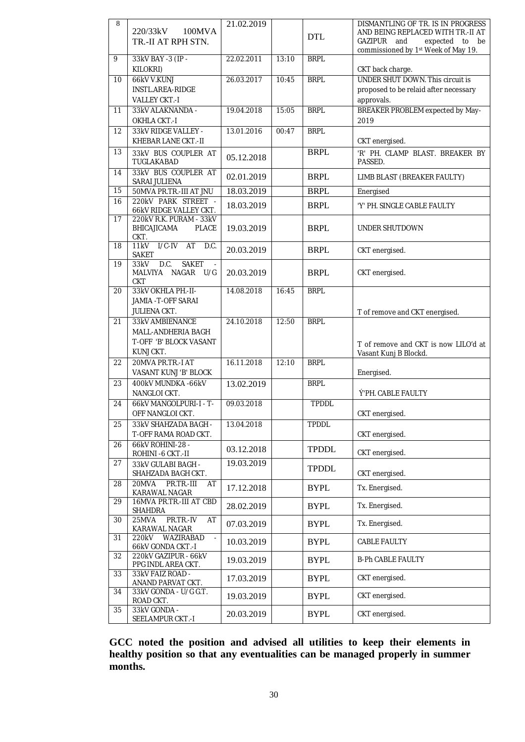| 8  | 220/33kV<br>100MVA<br>TR.-II AT RPH STN.                                     | 21.02.2019 |       | <b>DTL</b>   | DISMANTLING OF TR. IS IN PROGRESS<br>AND BEING REPLACED WITH TR.-II AT<br><b>GAZIPUR</b><br>expected to be<br>and<br>commissioned by 1 <sup>st</sup> Week of May 19. |
|----|------------------------------------------------------------------------------|------------|-------|--------------|----------------------------------------------------------------------------------------------------------------------------------------------------------------------|
| 9  | 33kV BAY -3 (IP -<br>KILOKRI)                                                | 22.02.2011 | 13:10 | <b>BRPL</b>  | CKT back charge.                                                                                                                                                     |
| 10 | 66kV V.KUNJ<br>INSTL.AREA-RIDGE<br><b>VALLEY CKT.-I</b>                      | 26.03.2017 | 10:45 | <b>BRPL</b>  | <b>UNDER SHUT DOWN. This circuit is</b><br>proposed to be relaid after necessary<br>approvals.                                                                       |
| 11 | 33kV ALAKNANDA -<br>OKHLA CKT.-I                                             | 19.04.2018 | 15:05 | <b>BRPL</b>  | BREAKER PROBLEM expected by May-<br>2019                                                                                                                             |
| 12 | 33kV RIDGE VALLEY -<br>KHEBAR LANE CKT.-II                                   | 13.01.2016 | 00:47 | <b>BRPL</b>  | CKT energised.                                                                                                                                                       |
| 13 | 33kV BUS COUPLER AT<br>TUGLAKABAD                                            | 05.12.2018 |       | <b>BRPL</b>  | 'R' PH. CLAMP BLAST. BREAKER BY<br>PASSED.                                                                                                                           |
| 14 | 33kV BUS COUPLER AT<br>SARAI JULIENA                                         | 02.01.2019 |       | <b>BRPL</b>  | LIMB BLAST (BREAKER FAULTY)                                                                                                                                          |
| 15 | 50MVA PR.TR.-III AT JNU                                                      | 18.03.2019 |       | <b>BRPL</b>  | Energised                                                                                                                                                            |
| 16 | 220kV PARK STREET -<br>66kV RIDGE VALLEY CKT.                                | 18.03.2019 |       | <b>BRPL</b>  | 'Y' PH. SINGLE CABLE FAULTY                                                                                                                                          |
| 17 | 220kV R.K. PURAM - 33kV<br>BHICAJICAMA<br><b>PLACE</b><br>CKT.               | 19.03.2019 |       | <b>BRPL</b>  | UNDER SHUTDOWN                                                                                                                                                       |
| 18 | $\overline{1/C-IV}$<br>11kV<br>AT<br>D.C.<br><b>SAKET</b>                    | 20.03.2019 |       | <b>BRPL</b>  | CKT energised.                                                                                                                                                       |
| 19 | <b>SAKET</b><br>D.C.<br>33kV<br>NAGAR<br><b>MALVIYA</b><br>U/G<br><b>CKT</b> | 20.03.2019 |       | <b>BRPL</b>  | CKT energised.                                                                                                                                                       |
| 20 | 33kV OKHLA PH.-II-<br>JAMIA - T-OFF SARAI<br><b>JULIENA CKT.</b>             | 14.08.2018 | 16:45 | <b>BRPL</b>  | T of remove and CKT energised.                                                                                                                                       |
| 21 | 33kV AMBIENANCE                                                              | 24.10.2018 | 12:50 | <b>BRPL</b>  |                                                                                                                                                                      |
|    | MALL-ANDHERIA BAGH<br>T-OFF 'B' BLOCK VASANT<br>KUNJ CKT.                    |            |       |              | T of remove and CKT is now LILO'd at<br>Vasant Kunj B Blockd.                                                                                                        |
| 22 | 20MVA PR.TR.-I AT<br>VASANT KUNJ 'B' BLOCK                                   | 16.11.2018 | 12:10 | <b>BRPL</b>  | Energised.                                                                                                                                                           |
| 23 | 400kV MUNDKA -66kV<br>NANGLOI CKT.                                           | 13.02.2019 |       | <b>BRPL</b>  | Ý'PH. CABLE FAULTY                                                                                                                                                   |
| 24 | 66kV MANGOLPURI-I - T-<br>OFF NANGLOI CKT.                                   | 09.03.2018 |       | <b>TPDDL</b> | CKT energised.                                                                                                                                                       |
| 25 | 33kV SHAHZADA BAGH -<br>T-OFF RAMA ROAD CKT.                                 | 13.04.2018 |       | <b>TPDDL</b> | CKT energised.                                                                                                                                                       |
| 26 | 66kV ROHINI-28 -<br>ROHINI-6 CKT.-II                                         | 03.12.2018 |       | TPDDL        | CKT energised.                                                                                                                                                       |
| 27 | 33kV GULABI BAGH -<br>SHAHZADA BAGH CKT.                                     | 19.03.2019 |       | <b>TPDDL</b> | CKT energised.                                                                                                                                                       |
| 28 | 20MVA PR.TR.-III<br>AT<br>KARAWAL NAGAR                                      | 17.12.2018 |       | <b>BYPL</b>  | Tx. Energised.                                                                                                                                                       |
| 29 | 16MVA PR.TR.-III AT CBD<br>SHAHDRA                                           | 28.02.2019 |       | <b>BYPL</b>  | Tx. Energised.                                                                                                                                                       |
| 30 | PR.TR.-IV<br>25MVA<br>AT<br>KARAWAL NAGAR                                    | 07.03.2019 |       | <b>BYPL</b>  | Tx. Energised.                                                                                                                                                       |
| 31 | WAZIRABAD<br>220kV<br>66kV GONDA CKT.-I                                      | 10.03.2019 |       | <b>BYPL</b>  | CABLE FAULTY                                                                                                                                                         |
| 32 | 220kV GAZIPUR - 66kV<br>PPG INDL AREA CKT.                                   | 19.03.2019 |       | <b>BYPL</b>  | <b>B-Ph CABLE FAULTY</b>                                                                                                                                             |
| 33 | 33kV FAIZ ROAD -<br>ANAND PARVAT CKT.                                        | 17.03.2019 |       | <b>BYPL</b>  | CKT energised.                                                                                                                                                       |
| 34 | 33kV GONDA - U/G G.T.<br>ROAD CKT.                                           | 19.03.2019 |       | <b>BYPL</b>  | CKT energised.                                                                                                                                                       |
| 35 | 33kV GONDA -<br>SEELAMPUR CKT.-I                                             | 20.03.2019 |       | <b>BYPL</b>  | CKT energised.                                                                                                                                                       |

**GCC noted the position and advised all utilities to keep their elements in healthy position so that any eventualities can be managed properly in summer months.**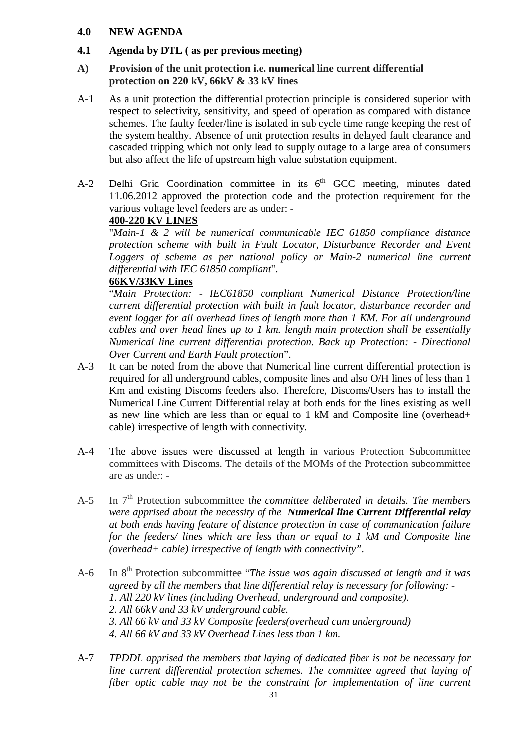#### **4.0 NEW AGENDA**

#### **4.1 Agenda by DTL ( as per previous meeting)**

#### **A) Provision of the unit protection i.e. numerical line current differential protection on 220 kV, 66kV & 33 kV lines**

- A-1 As a unit protection the differential protection principle is considered superior with respect to selectivity, sensitivity, and speed of operation as compared with distance schemes. The faulty feeder/line is isolated in sub cycle time range keeping the rest of the system healthy. Absence of unit protection results in delayed fault clearance and cascaded tripping which not only lead to supply outage to a large area of consumers but also affect the life of upstream high value substation equipment.
- A-2 Delhi Grid Coordination committee in its 6<sup>th</sup> GCC meeting, minutes dated 11.06.2012 approved the protection code and the protection requirement for the various voltage level feeders are as under: -

#### **400-220 KV LINES**

"*Main-1 & 2 will be numerical communicable IEC 61850 compliance distance protection scheme with built in Fault Locator, Disturbance Recorder and Event*  Loggers of scheme as per national policy or Main-2 numerical line current *differential with IEC 61850 compliant*".

#### **66KV/33KV Lines**

"*Main Protection: - IEC61850 compliant Numerical Distance Protection/line current differential protection with built in fault locator, disturbance recorder and event logger for all overhead lines of length more than 1 KM. For all underground cables and over head lines up to 1 km. length main protection shall be essentially Numerical line current differential protection. Back up Protection: - Directional Over Current and Earth Fault protection*".

- A-3 It can be noted from the above that Numerical line current differential protection is required for all underground cables, composite lines and also O/H lines of less than 1 Km and existing Discoms feeders also. Therefore, Discoms/Users has to install the Numerical Line Current Differential relay at both ends for the lines existing as well as new line which are less than or equal to 1 kM and Composite line (overhead+ cable) irrespective of length with connectivity.
- A-4 The above issues were discussed at length in various Protection Subcommittee committees with Discoms. The details of the MOMs of the Protection subcommittee are as under: -
- A-5 In 7<sup>th</sup> Protection subcommittee the committee deliberated in details. The members *were apprised about the necessity of the Numerical line Current Differential relay at both ends having feature of distance protection in case of communication failure for the feeders/ lines which are less than or equal to 1 kM and Composite line (overhead+ cable) irrespective of length with connectivity".*
- A-6 In 8th Protection subcommittee "*The issue was again discussed at length and it was agreed by all the members that line differential relay is necessary for following: - 1. All 220 kV lines (including Overhead, underground and composite). 2. All 66kV and 33 kV underground cable. 3. All 66 kV and 33 kV Composite feeders(overhead cum underground) 4. All 66 kV and 33 kV Overhead Lines less than 1 km.*
- A-7 *TPDDL apprised the members that laying of dedicated fiber is not be necessary for line current differential protection schemes. The committee agreed that laying of fiber optic cable may not be the constraint for implementation of line current*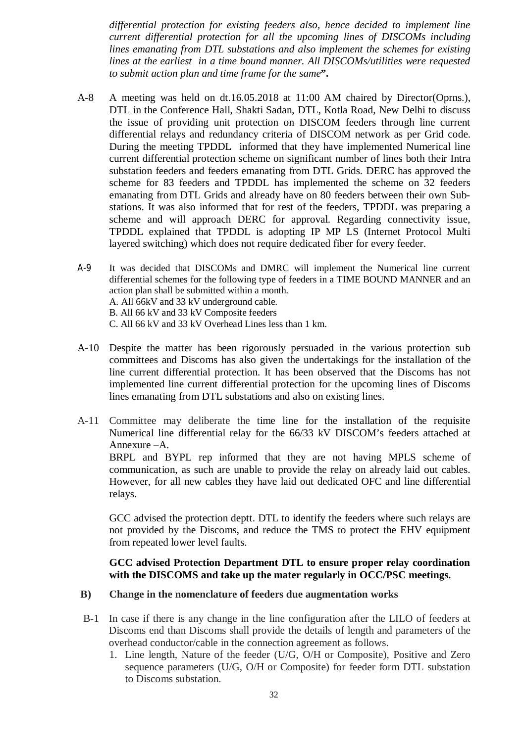*differential protection for existing feeders also, hence decided to implement line current differential protection for all the upcoming lines of DISCOMs including lines emanating from DTL substations and also implement the schemes for existing lines at the earliest in a time bound manner. All DISCOMs/utilities were requested to submit action plan and time frame for the same***".** 

- A-8 A meeting was held on dt.16.05.2018 at 11:00 AM chaired by Director(Oprns.), DTL in the Conference Hall, Shakti Sadan, DTL, Kotla Road, New Delhi to discuss the issue of providing unit protection on DISCOM feeders through line current differential relays and redundancy criteria of DISCOM network as per Grid code. During the meeting TPDDL informed that they have implemented Numerical line current differential protection scheme on significant number of lines both their Intra substation feeders and feeders emanating from DTL Grids. DERC has approved the scheme for 83 feeders and TPDDL has implemented the scheme on 32 feeders emanating from DTL Grids and already have on 80 feeders between their own Substations. It was also informed that for rest of the feeders, TPDDL was preparing a scheme and will approach DERC for approval. Regarding connectivity issue, TPDDL explained that TPDDL is adopting IP MP LS (Internet Protocol Multi layered switching) which does not require dedicated fiber for every feeder.
- A-9 It was decided that DISCOMs and DMRC will implement the Numerical line current differential schemes for the following type of feeders in a TIME BOUND MANNER and an action plan shall be submitted within a month. A. All 66kV and 33 kV underground cable. B. All 66 kV and 33 kV Composite feeders C. All 66 kV and 33 kV Overhead Lines less than 1 km.
- A-10 Despite the matter has been rigorously persuaded in the various protection sub committees and Discoms has also given the undertakings for the installation of the line current differential protection. It has been observed that the Discoms has not implemented line current differential protection for the upcoming lines of Discoms lines emanating from DTL substations and also on existing lines.
- A-11 Committee may deliberate the time line for the installation of the requisite Numerical line differential relay for the 66/33 kV DISCOM's feeders attached at Annexure –A. BRPL and BYPL rep informed that they are not having MPLS scheme of communication, as such are unable to provide the relay on already laid out cables. However, for all new cables they have laid out dedicated OFC and line differential relays.

GCC advised the protection deptt. DTL to identify the feeders where such relays are not provided by the Discoms, and reduce the TMS to protect the EHV equipment from repeated lower level faults.

#### **GCC advised Protection Department DTL to ensure proper relay coordination with the DISCOMS and take up the mater regularly in OCC/PSC meetings.**

#### **B) Change in the nomenclature of feeders due augmentation works**

- B-1 In case if there is any change in the line configuration after the LILO of feeders at Discoms end than Discoms shall provide the details of length and parameters of the overhead conductor/cable in the connection agreement as follows.
	- 1. Line length, Nature of the feeder (U/G, O/H or Composite), Positive and Zero sequence parameters (U/G, O/H or Composite) for feeder form DTL substation to Discoms substation.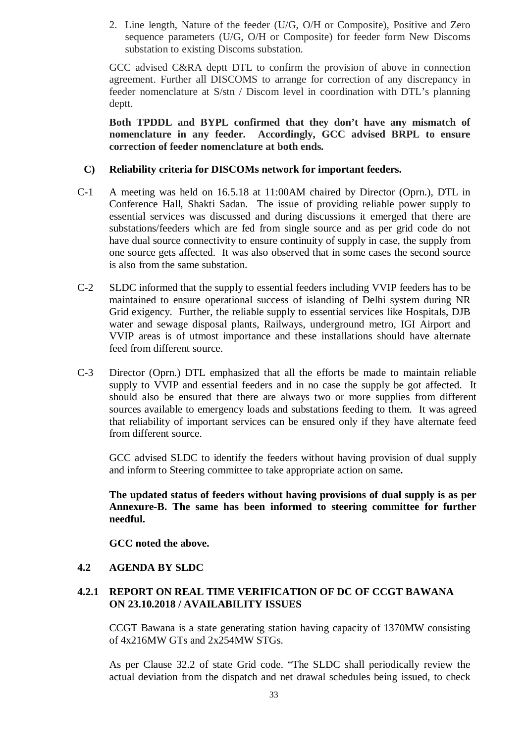2. Line length, Nature of the feeder (U/G, O/H or Composite), Positive and Zero sequence parameters (U/G, O/H or Composite) for feeder form New Discoms substation to existing Discoms substation.

GCC advised C&RA deptt DTL to confirm the provision of above in connection agreement. Further all DISCOMS to arrange for correction of any discrepancy in feeder nomenclature at S/stn / Discom level in coordination with DTL's planning deptt.

**Both TPDDL and BYPL confirmed that they don't have any mismatch of nomenclature in any feeder. Accordingly, GCC advised BRPL to ensure correction of feeder nomenclature at both ends.** 

#### **C) Reliability criteria for DISCOMs network for important feeders.**

- C-1 A meeting was held on 16.5.18 at 11:00AM chaired by Director (Oprn.), DTL in Conference Hall, Shakti Sadan. The issue of providing reliable power supply to essential services was discussed and during discussions it emerged that there are substations/feeders which are fed from single source and as per grid code do not have dual source connectivity to ensure continuity of supply in case, the supply from one source gets affected. It was also observed that in some cases the second source is also from the same substation.
- C-2 SLDC informed that the supply to essential feeders including VVIP feeders has to be maintained to ensure operational success of islanding of Delhi system during NR Grid exigency. Further, the reliable supply to essential services like Hospitals, DJB water and sewage disposal plants, Railways, underground metro, IGI Airport and VVIP areas is of utmost importance and these installations should have alternate feed from different source.
- C-3 Director (Oprn.) DTL emphasized that all the efforts be made to maintain reliable supply to VVIP and essential feeders and in no case the supply be got affected. It should also be ensured that there are always two or more supplies from different sources available to emergency loads and substations feeding to them. It was agreed that reliability of important services can be ensured only if they have alternate feed from different source.

GCC advised SLDC to identify the feeders without having provision of dual supply and inform to Steering committee to take appropriate action on same**.**

**The updated status of feeders without having provisions of dual supply is as per Annexure-B. The same has been informed to steering committee for further needful.** 

**GCC noted the above.** 

#### **4.2 AGENDA BY SLDC**

#### **4.2.1 REPORT ON REAL TIME VERIFICATION OF DC OF CCGT BAWANA ON 23.10.2018 / AVAILABILITY ISSUES**

CCGT Bawana is a state generating station having capacity of 1370MW consisting of 4x216MW GTs and 2x254MW STGs.

As per Clause 32.2 of state Grid code. "The SLDC shall periodically review the actual deviation from the dispatch and net drawal schedules being issued, to check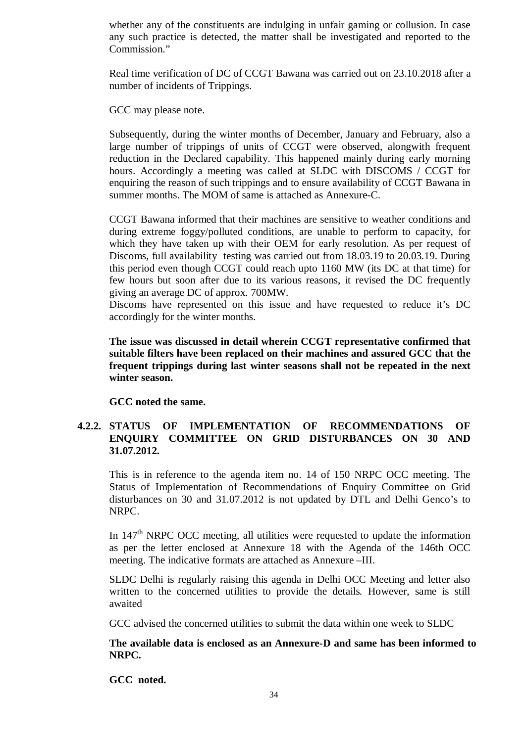whether any of the constituents are indulging in unfair gaming or collusion. In case any such practice is detected, the matter shall be investigated and reported to the Commission."

Real time verification of DC of CCGT Bawana was carried out on 23.10.2018 after a number of incidents of Trippings.

GCC may please note.

Subsequently, during the winter months of December, January and February, also a large number of trippings of units of CCGT were observed, alongwith frequent reduction in the Declared capability. This happened mainly during early morning hours. Accordingly a meeting was called at SLDC with DISCOMS / CCGT for enquiring the reason of such trippings and to ensure availability of CCGT Bawana in summer months. The MOM of same is attached as Annexure-C.

CCGT Bawana informed that their machines are sensitive to weather conditions and during extreme foggy/polluted conditions, are unable to perform to capacity, for which they have taken up with their OEM for early resolution. As per request of Discoms, full availability testing was carried out from 18.03.19 to 20.03.19. During this period even though CCGT could reach upto 1160 MW (its DC at that time) for few hours but soon after due to its various reasons, it revised the DC frequently giving an average DC of approx. 700MW.

Discoms have represented on this issue and have requested to reduce it's DC accordingly for the winter months.

**The issue was discussed in detail wherein CCGT representative confirmed that suitable filters have been replaced on their machines and assured GCC that the frequent trippings during last winter seasons shall not be repeated in the next winter season.** 

**GCC noted the same.** 

#### **4.2.2. STATUS OF IMPLEMENTATION OF RECOMMENDATIONS OF ENQUIRY COMMITTEE ON GRID DISTURBANCES ON 30 AND 31.07.2012.**

This is in reference to the agenda item no. 14 of 150 NRPC OCC meeting. The Status of Implementation of Recommendations of Enquiry Committee on Grid disturbances on 30 and 31.07.2012 is not updated by DTL and Delhi Genco's to NRPC.

In  $147<sup>th</sup>$  NRPC OCC meeting, all utilities were requested to update the information as per the letter enclosed at Annexure 18 with the Agenda of the 146th OCC meeting. The indicative formats are attached as Annexure –III.

SLDC Delhi is regularly raising this agenda in Delhi OCC Meeting and letter also written to the concerned utilities to provide the details*.* However, same is still awaited

GCC advised the concerned utilities to submit the data within one week to SLDC

**The available data is enclosed as an Annexure-D and same has been informed to NRPC.**

**GCC noted.**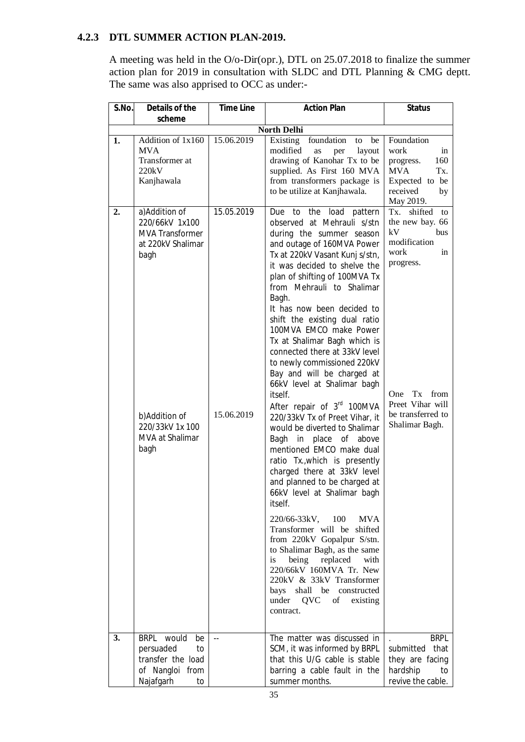#### **4.2.3 DTL SUMMER ACTION PLAN-2019.**

A meeting was held in the O/o-Dir(opr.), DTL on 25.07.2018 to finalize the summer action plan for 2019 in consultation with SLDC and DTL Planning & CMG deptt. The same was also apprised to OCC as under:-

| S.No. | Details of the                                                                                                                                         | <b>Time Line</b>         | <b>Action Plan</b>                                                                                                                                                                                                                                                                                                                                                                                                                                                                                                                                                                                                                                                                                                                                                                                                                                                                                                                                                                                                                                                                                                               | <b>Status</b>                                                                                                                                                                |
|-------|--------------------------------------------------------------------------------------------------------------------------------------------------------|--------------------------|----------------------------------------------------------------------------------------------------------------------------------------------------------------------------------------------------------------------------------------------------------------------------------------------------------------------------------------------------------------------------------------------------------------------------------------------------------------------------------------------------------------------------------------------------------------------------------------------------------------------------------------------------------------------------------------------------------------------------------------------------------------------------------------------------------------------------------------------------------------------------------------------------------------------------------------------------------------------------------------------------------------------------------------------------------------------------------------------------------------------------------|------------------------------------------------------------------------------------------------------------------------------------------------------------------------------|
|       | scheme                                                                                                                                                 |                          |                                                                                                                                                                                                                                                                                                                                                                                                                                                                                                                                                                                                                                                                                                                                                                                                                                                                                                                                                                                                                                                                                                                                  |                                                                                                                                                                              |
|       |                                                                                                                                                        |                          | <b>North Delhi</b>                                                                                                                                                                                                                                                                                                                                                                                                                                                                                                                                                                                                                                                                                                                                                                                                                                                                                                                                                                                                                                                                                                               |                                                                                                                                                                              |
| 1.    | Addition of 1x160<br><b>MVA</b><br>Transformer at<br>220kV<br>Kanjhawala                                                                               | 15.06.2019               | foundation<br>Existing<br>be<br>to<br>modified<br>layout<br>as<br>per<br>drawing of Kanohar Tx to be<br>supplied. As First 160 MVA<br>from transformers package is<br>to be utilize at Kanjhawala.                                                                                                                                                                                                                                                                                                                                                                                                                                                                                                                                                                                                                                                                                                                                                                                                                                                                                                                               | Foundation<br>work<br>in<br>160<br>progress.<br><b>MVA</b><br>T <sub>x</sub> .<br>Expected to be<br>received<br>by<br>May 2019.                                              |
| 2.    | a) Addition of<br>220/66kV 1x100<br><b>MVA Transformer</b><br>at 220kV Shalimar<br>bagh<br>b)Addition of<br>220/33kV 1x 100<br>MVA at Shalimar<br>bagh | 15.05.2019<br>15.06.2019 | Due to the load pattern<br>observed at Mehrauli s/stn<br>during the summer season<br>and outage of 160MVA Power<br>Tx at 220kV Vasant Kunj s/stn,<br>it was decided to shelve the<br>plan of shifting of 100MVA Tx<br>from Mehrauli to Shalimar<br>Bagh.<br>It has now been decided to<br>shift the existing dual ratio<br>100MVA EMCO make Power<br>Tx at Shalimar Bagh which is<br>connected there at 33kV level<br>to newly commissioned 220kV<br>Bay and will be charged at<br>66kV level at Shalimar bagh<br>itself.<br>After repair of 3rd 100MVA<br>220/33kV Tx of Preet Vihar, it<br>would be diverted to Shalimar<br>Bagh in place of above<br>mentioned EMCO make dual<br>ratio Tx., which is presently<br>charged there at 33kV level<br>and planned to be charged at<br>66kV level at Shalimar bagh<br>itself.<br>220/66-33kV, 100<br><b>MVA</b><br>Transformer will be shifted<br>from 220kV Gopalpur S/stn.<br>to Shalimar Bagh, as the same<br>is<br>being<br>replaced<br>with<br>220/66kV 160MVA Tr. New<br>220kV & 33kV Transformer<br>bays shall be constructed<br>under<br>QVC<br>of<br>existing<br>contract. | Tx. shifted<br>to<br>the new bay. 66<br>kV<br>bus<br>modification<br>work<br>in<br>progress.<br>Tx<br>from<br>One<br>Preet Vihar will<br>be transferred to<br>Shalimar Bagh. |
| 3.    | BRPL would<br>be<br>persuaded<br>to<br>transfer the load<br>of Nangloi from<br>Najafgarh<br>to                                                         | $\overline{\phantom{a}}$ | The matter was discussed in<br>SCM, it was informed by BRPL<br>that this U/G cable is stable<br>barring a cable fault in the<br>summer months.                                                                                                                                                                                                                                                                                                                                                                                                                                                                                                                                                                                                                                                                                                                                                                                                                                                                                                                                                                                   | <b>BRPL</b><br>submitted<br>that<br>they are facing<br>hardship<br>to<br>revive the cable.                                                                                   |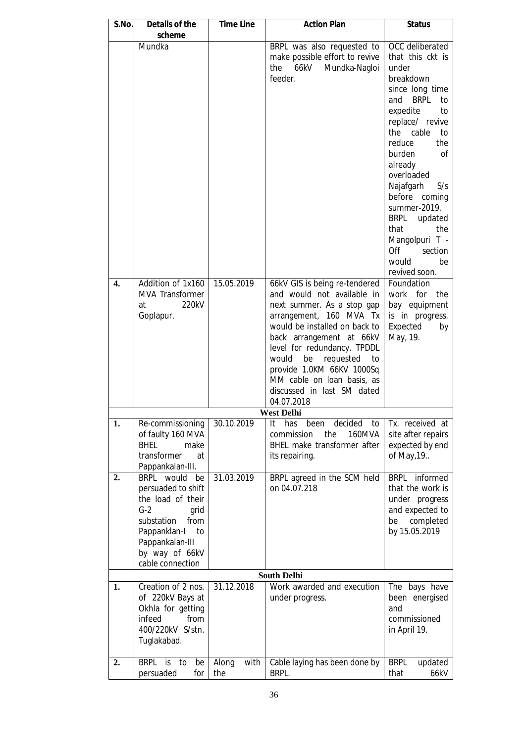| S.No.            | Details of the                          | <b>Time Line</b>     | <b>Action Plan</b>                                           | <b>Status</b>                          |
|------------------|-----------------------------------------|----------------------|--------------------------------------------------------------|----------------------------------------|
|                  | scheme<br>Mundka                        |                      |                                                              |                                        |
|                  |                                         |                      | BRPL was also requested to<br>make possible effort to revive | OCC deliberated<br>that this ckt is    |
|                  |                                         |                      | the 66kV<br>Mundka-Nagloi                                    | under                                  |
|                  |                                         |                      | feeder.                                                      | breakdown                              |
|                  |                                         |                      |                                                              | since long time                        |
|                  |                                         |                      |                                                              | <b>BRPL</b><br>and<br>to               |
|                  |                                         |                      |                                                              | expedite<br>to                         |
|                  |                                         |                      |                                                              | replace/ revive                        |
|                  |                                         |                      |                                                              | the cable<br>to                        |
|                  |                                         |                      |                                                              | reduce<br>the<br>burden<br>0f          |
|                  |                                         |                      |                                                              | already                                |
|                  |                                         |                      |                                                              | overloaded                             |
|                  |                                         |                      |                                                              | Najafgarh<br>S/s                       |
|                  |                                         |                      |                                                              | before coming                          |
|                  |                                         |                      |                                                              | summer-2019.                           |
|                  |                                         |                      |                                                              | BRPL<br>updated                        |
|                  |                                         |                      |                                                              | the<br>that                            |
|                  |                                         |                      |                                                              | Mangolpuri T -<br>Off<br>section       |
|                  |                                         |                      |                                                              | would<br>be                            |
|                  |                                         |                      |                                                              | revived soon.                          |
| $\overline{4}$ . | Addition of 1x160                       | 15.05.2019           | 66kV GIS is being re-tendered                                | Foundation                             |
|                  | <b>MVA Transformer</b>                  |                      | and would not available in                                   | work<br>for<br>the                     |
|                  | 220kV<br>at                             |                      | next summer. As a stop gap                                   | bay equipment                          |
|                  | Goplapur.                               |                      | arrangement, 160 MVA Tx                                      | is in progress.                        |
|                  |                                         |                      | would be installed on back to<br>back arrangement at 66kV    | Expected<br>by<br>May, 19.             |
|                  |                                         |                      | level for redundancy. TPDDL                                  |                                        |
|                  |                                         |                      | would<br>be<br>requested<br>to                               |                                        |
|                  |                                         |                      | provide 1.0KM 66KV 1000Sq                                    |                                        |
|                  |                                         |                      | MM cable on loan basis, as                                   |                                        |
|                  |                                         |                      | discussed in last SM dated                                   |                                        |
|                  |                                         |                      | 04.07.2018<br>West Delhi                                     |                                        |
| 1.               | Re-commissioning                        | 30.10.2019           | decided<br>It<br>been<br>to<br>has                           | Tx. received at                        |
|                  | of faulty 160 MVA                       |                      | commission<br>the<br>160MVA                                  | site after repairs                     |
|                  | make<br><b>BHEL</b>                     |                      | BHEL make transformer after                                  | expected by end                        |
|                  | transformer<br>at                       |                      | its repairing.                                               | of May, 19                             |
|                  | Pappankalan-III.                        |                      |                                                              |                                        |
| $\overline{2}$ . | BRPL would<br>be                        | 31.03.2019           | BRPL agreed in the SCM held<br>on 04.07.218                  | BRPL informed<br>that the work is      |
|                  | persuaded to shift<br>the load of their |                      |                                                              | under progress                         |
|                  | $G-2$<br>grid                           |                      |                                                              | and expected to                        |
|                  | from<br>substation                      |                      |                                                              | completed<br>be                        |
|                  | Pappanklan-I<br>to                      |                      |                                                              | by 15.05.2019                          |
|                  | Pappankalan-III                         |                      |                                                              |                                        |
|                  | by way of 66kV                          |                      |                                                              |                                        |
|                  | cable connection                        |                      |                                                              |                                        |
| 1.               | Creation of 2 nos.                      | 31.12.2018           | <b>South Delhi</b><br>Work awarded and execution             | The bays have                          |
|                  | of 220kV Bays at                        |                      | under progress.                                              | been energised                         |
|                  | Okhla for getting                       |                      |                                                              | and                                    |
|                  | infeed<br>from                          |                      |                                                              | commissioned                           |
|                  | 400/220kV S/stn.                        |                      |                                                              | in April 19.                           |
|                  | Tuglakabad.                             |                      |                                                              |                                        |
| 2.               | BRPL<br>is                              |                      |                                                              |                                        |
|                  | to<br>be<br>persuaded<br>for            | Along<br>with<br>the | Cable laying has been done by<br>BRPL.                       | <b>BRPL</b><br>updated<br>66kV<br>that |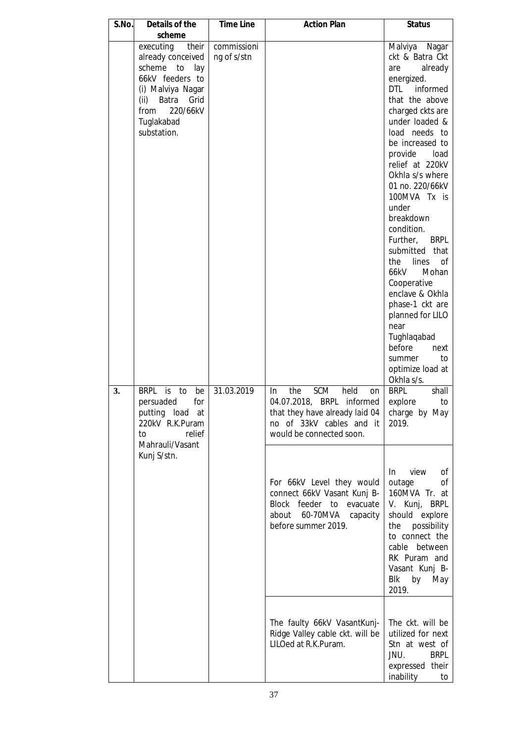| S.No. | Details of the                                                                                                                                                                | <b>Time Line</b>           | <b>Action Plan</b>                                                                                                                                      | <b>Status</b>                                                                                                                                                                                                                                                                                                                                                                                                                                                                                                               |
|-------|-------------------------------------------------------------------------------------------------------------------------------------------------------------------------------|----------------------------|---------------------------------------------------------------------------------------------------------------------------------------------------------|-----------------------------------------------------------------------------------------------------------------------------------------------------------------------------------------------------------------------------------------------------------------------------------------------------------------------------------------------------------------------------------------------------------------------------------------------------------------------------------------------------------------------------|
|       | scheme                                                                                                                                                                        |                            |                                                                                                                                                         |                                                                                                                                                                                                                                                                                                                                                                                                                                                                                                                             |
|       | executing<br>their<br>already conceived<br>scheme<br>lay<br>to<br>66kV feeders to<br>(i) Malviya Nagar<br>Batra Grid<br>(ii)<br>from<br>220/66kV<br>Tuglakabad<br>substation. | commissioni<br>ng of s/stn |                                                                                                                                                         | Malviya Nagar<br>ckt & Batra Ckt<br>already<br>are<br>energized.<br>dtl<br>informed<br>that the above<br>charged ckts are<br>under loaded &<br>load needs to<br>be increased to<br>provide<br>load<br>relief at 220kV<br>Okhla s/s where<br>01 no. 220/66kV<br>100MVA Tx is<br>under<br>breakdown<br>condition.<br>Further, BRPL<br>submitted that<br>lines<br>the<br>οf<br>66kV<br>Mohan<br>Cooperative<br>enclave & Okhla<br>phase-1 ckt are<br>planned for LILO<br>near<br>Tughlaqabad<br>before<br>next<br>summer<br>to |
| 3.    | BRPL is<br>to<br>be<br>persuaded<br>for<br>putting load<br>at<br>220kV R.K.Puram<br>relief<br>to<br>Mahrauli/Vasant                                                           | 31.03.2019                 | SCM<br>held<br>the<br>In<br>on<br>04.07.2018, BRPL informed<br>that they have already laid $04$<br>no of 33kV cables and it<br>would be connected soon. | optimize load at<br>Okhla s/s.<br>shall<br><b>BRPL</b><br>explore<br>to<br>charge by May<br>2019.                                                                                                                                                                                                                                                                                                                                                                                                                           |
|       | Kunj S/stn.                                                                                                                                                                   |                            | For 66kV Level they would<br>connect 66kV Vasant Kunj B-<br>Block feeder to evacuate<br>about 60-70MVA capacity<br>before summer 2019.                  | view<br>In<br>οf<br>outage<br>οf<br>160MVA Tr. at<br>V. Kunj, BRPL<br>should explore<br>the possibility<br>to connect the<br>cable between<br>RK Puram and<br>Vasant Kunj B-<br>Blk by May<br>2019.                                                                                                                                                                                                                                                                                                                         |
|       |                                                                                                                                                                               |                            | The faulty 66kV VasantKunj-<br>Ridge Valley cable ckt. will be<br>LILOed at R.K.Puram.                                                                  | The ckt. will be<br>utilized for next<br>Stn at west of<br>JNU.<br><b>BRPL</b><br>expressed their<br>inability<br>to                                                                                                                                                                                                                                                                                                                                                                                                        |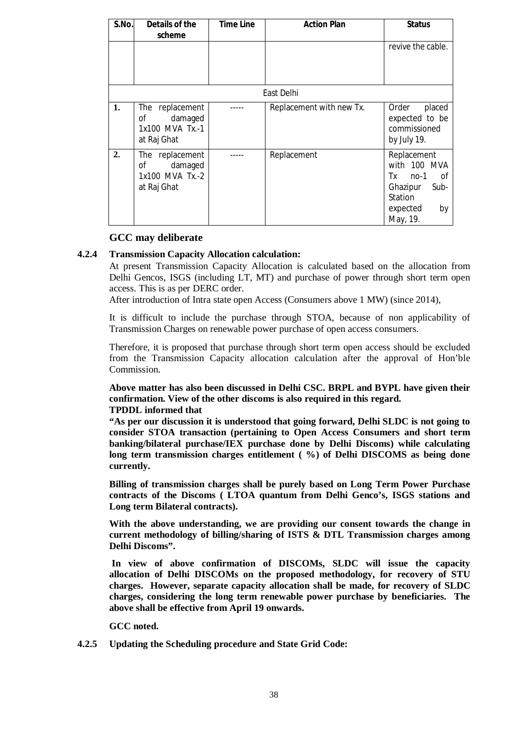| S.No. | Details of the<br>scheme                                                          | <b>Time Line</b> | <b>Action Plan</b>       | <b>Status</b>                                                                                                    |
|-------|-----------------------------------------------------------------------------------|------------------|--------------------------|------------------------------------------------------------------------------------------------------------------|
|       |                                                                                   |                  |                          | revive the cable.                                                                                                |
|       |                                                                                   |                  | East Delhi               |                                                                                                                  |
| 1.    | replacement<br>The<br>damaged<br>of the control<br>1x100 MVA Tx.-1<br>at Raj Ghat |                  | Replacement with new Tx. | Order<br>placed<br>expected to be<br>commissioned<br>by July 19.                                                 |
| 2.    | The replacement<br>damaged<br>οf<br>1x100 MVA Tx.-2<br>at Raj Ghat                |                  | Replacement              | Replacement<br>with 100 MVA<br>Tx<br>$no-1$<br>- of<br>Sub-<br>Ghazipur<br>Station<br>expected<br>by<br>May, 19. |

#### **GCC may deliberate**

#### **4.2.4 Transmission Capacity Allocation calculation:**

At present Transmission Capacity Allocation is calculated based on the allocation from Delhi Gencos, ISGS (including LT, MT) and purchase of power through short term open access. This is as per DERC order.

After introduction of Intra state open Access (Consumers above 1 MW) (since 2014),

It is difficult to include the purchase through STOA, because of non applicability of Transmission Charges on renewable power purchase of open access consumers.

Therefore, it is proposed that purchase through short term open access should be excluded from the Transmission Capacity allocation calculation after the approval of Hon'ble Commission.

**Above matter has also been discussed in Delhi CSC. BRPL and BYPL have given their confirmation. View of the other discoms is also required in this regard. TPDDL informed that** 

**"As per our discussion it is understood that going forward, Delhi SLDC is not going to consider STOA transaction (pertaining to Open Access Consumers and short term banking/bilateral purchase/IEX purchase done by Delhi Discoms) while calculating long term transmission charges entitlement ( %) of Delhi DISCOMS as being done currently.**

**Billing of transmission charges shall be purely based on Long Term Power Purchase contracts of the Discoms ( LTOA quantum from Delhi Genco's, ISGS stations and Long term Bilateral contracts).**

**With the above understanding, we are providing our consent towards the change in current methodology of billing/sharing of ISTS & DTL Transmission charges among Delhi Discoms".**

**In view of above confirmation of DISCOMs, SLDC will issue the capacity allocation of Delhi DISCOMs on the proposed methodology, for recovery of STU charges. However, separate capacity allocation shall be made, for recovery of SLDC charges, considering the long term renewable power purchase by beneficiaries. The above shall be effective from April 19 onwards.** 

**GCC noted.** 

**4.2.5 Updating the Scheduling procedure and State Grid Code:**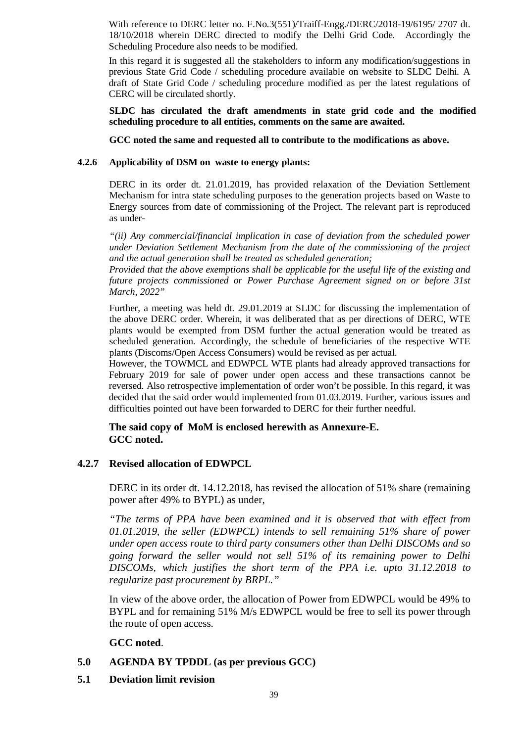With reference to DERC letter no. F.No.3(551)/Traiff-Engg./DERC/2018-19/6195/ 2707 dt. 18/10/2018 wherein DERC directed to modify the Delhi Grid Code. Accordingly the Scheduling Procedure also needs to be modified.

In this regard it is suggested all the stakeholders to inform any modification/suggestions in previous State Grid Code / scheduling procedure available on website to SLDC Delhi. A draft of State Grid Code / scheduling procedure modified as per the latest regulations of CERC will be circulated shortly.

**SLDC has circulated the draft amendments in state grid code and the modified scheduling procedure to all entities, comments on the same are awaited.** 

**GCC noted the same and requested all to contribute to the modifications as above.**

#### **4.2.6 Applicability of DSM on waste to energy plants:**

DERC in its order dt. 21.01.2019, has provided relaxation of the Deviation Settlement Mechanism for intra state scheduling purposes to the generation projects based on Waste to Energy sources from date of commissioning of the Project. The relevant part is reproduced as under-

*"(ii) Any commercial/financial implication in case of deviation from the scheduled power under Deviation Settlement Mechanism from the date of the commissioning of the project and the actual generation shall be treated as scheduled generation;*

*Provided that the above exemptions shall be applicable for the useful life of the existing and future projects commissioned or Power Purchase Agreement signed on or before 31st March, 2022"*

Further, a meeting was held dt. 29.01.2019 at SLDC for discussing the implementation of the above DERC order. Wherein, it was deliberated that as per directions of DERC, WTE plants would be exempted from DSM further the actual generation would be treated as scheduled generation. Accordingly, the schedule of beneficiaries of the respective WTE plants (Discoms/Open Access Consumers) would be revised as per actual.

However, the TOWMCL and EDWPCL WTE plants had already approved transactions for February 2019 for sale of power under open access and these transactions cannot be reversed. Also retrospective implementation of order won't be possible. In this regard, it was decided that the said order would implemented from 01.03.2019. Further, various issues and difficulties pointed out have been forwarded to DERC for their further needful.

#### **The said copy of MoM is enclosed herewith as Annexure-E. GCC noted.**

#### **4.2.7 Revised allocation of EDWPCL**

DERC in its order dt. 14.12.2018, has revised the allocation of 51% share (remaining power after 49% to BYPL) as under,

*"The terms of PPA have been examined and it is observed that with effect from 01.01.2019, the seller (EDWPCL) intends to sell remaining 51% share of power under open access route to third party consumers other than Delhi DISCOMs and so going forward the seller would not sell 51% of its remaining power to Delhi DISCOMs, which justifies the short term of the PPA i.e. upto 31.12.2018 to regularize past procurement by BRPL."*

In view of the above order, the allocation of Power from EDWPCL would be 49% to BYPL and for remaining 51% M/s EDWPCL would be free to sell its power through the route of open access.

#### **GCC noted**.

#### **5.0 AGENDA BY TPDDL (as per previous GCC)**

**5.1 Deviation limit revision**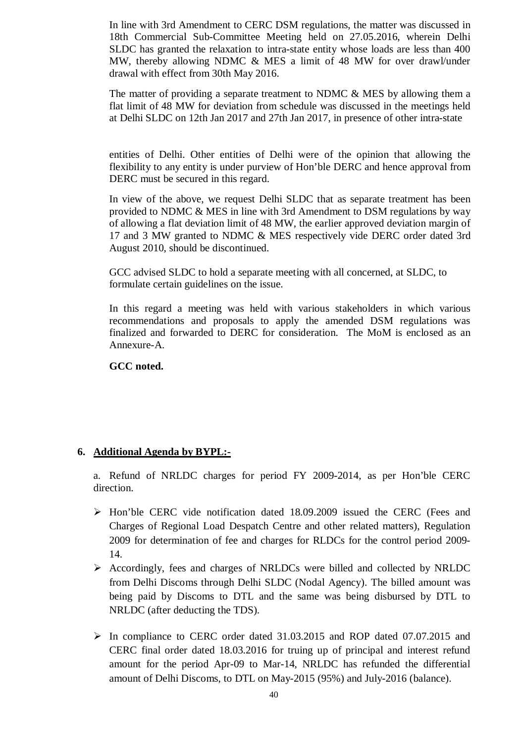In line with 3rd Amendment to CERC DSM regulations, the matter was discussed in 18th Commercial Sub-Committee Meeting held on 27.05.2016, wherein Delhi SLDC has granted the relaxation to intra-state entity whose loads are less than 400 MW, thereby allowing NDMC & MES a limit of 48 MW for over drawl/under drawal with effect from 30th May 2016.

The matter of providing a separate treatment to NDMC  $& MES$  by allowing them a flat limit of 48 MW for deviation from schedule was discussed in the meetings held at Delhi SLDC on 12th Jan 2017 and 27th Jan 2017, in presence of other intra-state

entities of Delhi. Other entities of Delhi were of the opinion that allowing the flexibility to any entity is under purview of Hon'ble DERC and hence approval from DERC must be secured in this regard.

In view of the above, we request Delhi SLDC that as separate treatment has been provided to NDMC & MES in line with 3rd Amendment to DSM regulations by way of allowing a flat deviation limit of 48 MW, the earlier approved deviation margin of 17 and 3 MW granted to NDMC & MES respectively vide DERC order dated 3rd August 2010, should be discontinued.

GCC advised SLDC to hold a separate meeting with all concerned, at SLDC, to formulate certain guidelines on the issue.

In this regard a meeting was held with various stakeholders in which various recommendations and proposals to apply the amended DSM regulations was finalized and forwarded to DERC for consideration. The MoM is enclosed as an Annexure-A.

**GCC noted.**

#### **6. Additional Agenda by BYPL:-**

a. Refund of NRLDC charges for period FY 2009-2014, as per Hon'ble CERC direction.

- Hon'ble CERC vide notification dated 18.09.2009 issued the CERC (Fees and Charges of Regional Load Despatch Centre and other related matters), Regulation 2009 for determination of fee and charges for RLDCs for the control period 2009- 14.
- Accordingly, fees and charges of NRLDCs were billed and collected by NRLDC from Delhi Discoms through Delhi SLDC (Nodal Agency). The billed amount was being paid by Discoms to DTL and the same was being disbursed by DTL to NRLDC (after deducting the TDS).
- $\triangleright$  In compliance to CERC order dated 31.03.2015 and ROP dated 07.07.2015 and CERC final order dated 18.03.2016 for truing up of principal and interest refund amount for the period Apr-09 to Mar-14, NRLDC has refunded the differential amount of Delhi Discoms, to DTL on May-2015 (95%) and July-2016 (balance).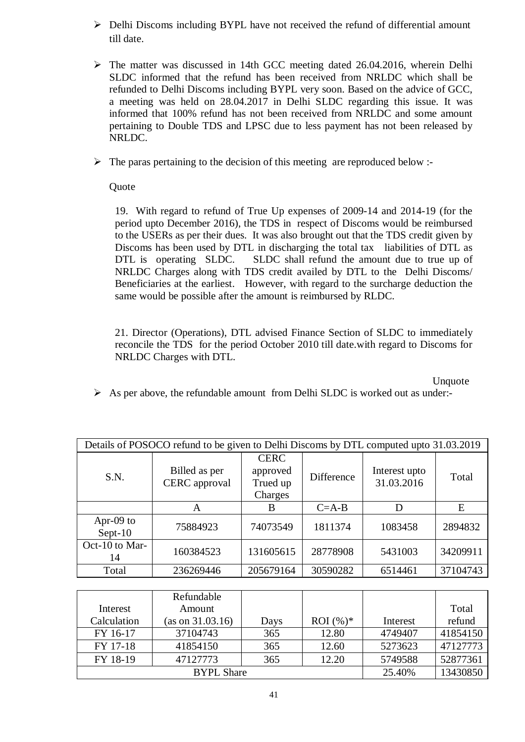- $\triangleright$  Delhi Discoms including BYPL have not received the refund of differential amount till date.
- $\triangleright$  The matter was discussed in 14th GCC meeting dated 26.04.2016, wherein Delhi SLDC informed that the refund has been received from NRLDC which shall be refunded to Delhi Discoms including BYPL very soon. Based on the advice of GCC, a meeting was held on 28.04.2017 in Delhi SLDC regarding this issue. It was informed that 100% refund has not been received from NRLDC and some amount pertaining to Double TDS and LPSC due to less payment has not been released by NRLDC.
- $\triangleright$  The paras pertaining to the decision of this meeting are reproduced below :-

Quote

19. With regard to refund of True Up expenses of 2009-14 and 2014-19 (for the period upto December 2016), the TDS in respect of Discoms would be reimbursed to the USERs as per their dues. It was also brought out that the TDS credit given by Discoms has been used by DTL in discharging the total tax liabilities of DTL as DTL is operating SLDC. SLDC shall refund the amount due to true up of NRLDC Charges along with TDS credit availed by DTL to the Delhi Discoms/ Beneficiaries at the earliest. However, with regard to the surcharge deduction the same would be possible after the amount is reimbursed by RLDC.

21. Director (Operations), DTL advised Finance Section of SLDC to immediately reconcile the TDS for the period October 2010 till date.with regard to Discoms for NRLDC Charges with DTL.

Unquote

 $\triangleright$  As per above, the refundable amount from Delhi SLDC is worked out as under:-

| Details of POSOCO refund to be given to Delhi Discoms by DTL computed upto 31.03.2019 |                                |                                                |             |                             |          |  |
|---------------------------------------------------------------------------------------|--------------------------------|------------------------------------------------|-------------|-----------------------------|----------|--|
| S.N.                                                                                  | Billed as per<br>CERC approval | <b>CERC</b><br>approved<br>Trued up<br>Charges | Difference  | Interest upto<br>31.03.2016 | Total    |  |
|                                                                                       | A                              | B                                              | $C = A - B$ | D                           | E        |  |
| Apr-09 to<br>Sept-10                                                                  | 75884923                       | 74073549                                       | 1811374     | 1083458                     | 2894832  |  |
| Oct-10 to Mar-<br>14                                                                  | 160384523                      | 131605615                                      | 28778908    | 5431003                     | 34209911 |  |
| Total                                                                                 | 236269446                      | 205679164                                      | 30590282    | 6514461                     | 37104743 |  |

|             | Refundable       |          |              |          |          |
|-------------|------------------|----------|--------------|----------|----------|
| Interest    | Amount           |          |              |          | Total    |
| Calculation | (as on 31.03.16) | Days     | ROI $(\%)^*$ | Interest | refund   |
| FY 16-17    | 37104743         | 365      | 12.80        | 4749407  | 41854150 |
| FY 17-18    | 41854150         | 365      | 12.60        | 5273623  | 47127773 |
| FY 18-19    | 47127773         | 365      | 12.20        | 5749588  | 52877361 |
|             | 25.40%           | 13430850 |              |          |          |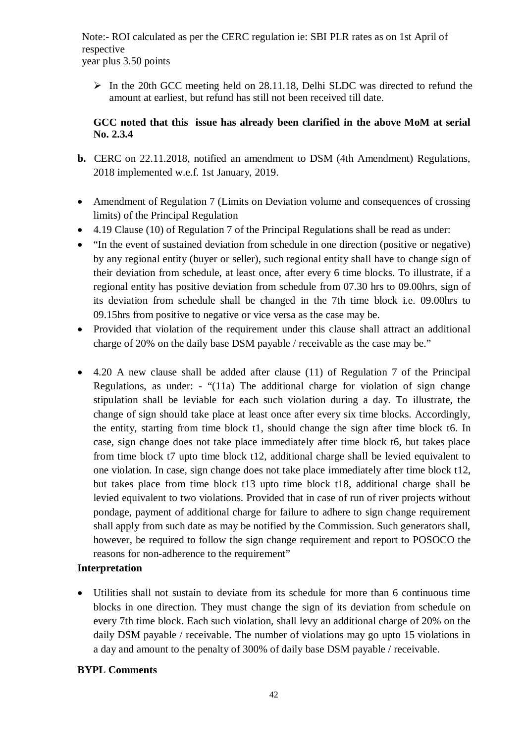Note:- ROI calculated as per the CERC regulation ie: SBI PLR rates as on 1st April of respective year plus 3.50 points

 $\triangleright$  In the 20th GCC meeting held on 28.11.18, Delhi SLDC was directed to refund the amount at earliest, but refund has still not been received till date.

#### **GCC noted that this issue has already been clarified in the above MoM at serial No. 2.3.4**

- **b.** CERC on 22.11.2018, notified an amendment to DSM (4th Amendment) Regulations, 2018 implemented w.e.f. 1st January, 2019.
- Amendment of Regulation 7 (Limits on Deviation volume and consequences of crossing limits) of the Principal Regulation
- 4.19 Clause (10) of Regulation 7 of the Principal Regulations shall be read as under:
- "In the event of sustained deviation from schedule in one direction (positive or negative) by any regional entity (buyer or seller), such regional entity shall have to change sign of their deviation from schedule, at least once, after every 6 time blocks. To illustrate, if a regional entity has positive deviation from schedule from 07.30 hrs to 09.00hrs, sign of its deviation from schedule shall be changed in the 7th time block i.e. 09.00hrs to 09.15hrs from positive to negative or vice versa as the case may be.
- Provided that violation of the requirement under this clause shall attract an additional charge of 20% on the daily base DSM payable / receivable as the case may be."
- 4.20 A new clause shall be added after clause (11) of Regulation 7 of the Principal Regulations, as under: - "(11a) The additional charge for violation of sign change stipulation shall be leviable for each such violation during a day. To illustrate, the change of sign should take place at least once after every six time blocks. Accordingly, the entity, starting from time block t1, should change the sign after time block t6. In case, sign change does not take place immediately after time block t6, but takes place from time block t7 upto time block t12, additional charge shall be levied equivalent to one violation. In case, sign change does not take place immediately after time block t12, but takes place from time block t13 upto time block t18, additional charge shall be levied equivalent to two violations. Provided that in case of run of river projects without pondage, payment of additional charge for failure to adhere to sign change requirement shall apply from such date as may be notified by the Commission. Such generators shall, however, be required to follow the sign change requirement and report to POSOCO the reasons for non-adherence to the requirement"

#### **Interpretation**

 Utilities shall not sustain to deviate from its schedule for more than 6 continuous time blocks in one direction. They must change the sign of its deviation from schedule on every 7th time block. Each such violation, shall levy an additional charge of 20% on the daily DSM payable / receivable. The number of violations may go upto 15 violations in a day and amount to the penalty of 300% of daily base DSM payable / receivable.

#### **BYPL Comments**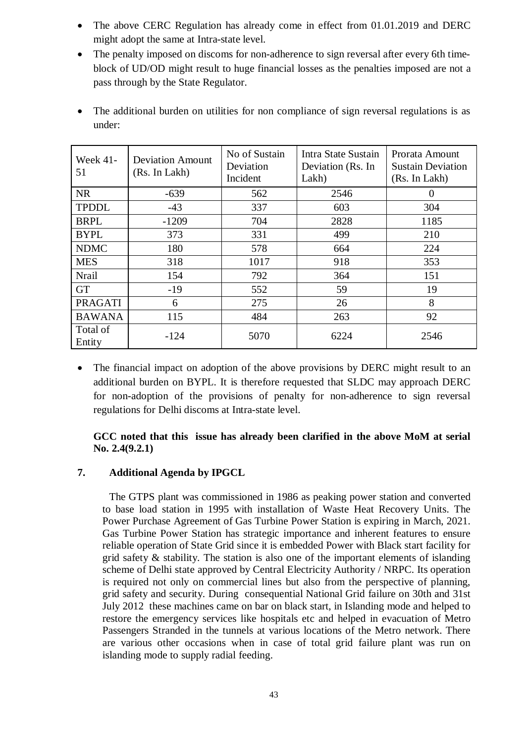- The above CERC Regulation has already come in effect from 01.01.2019 and DERC might adopt the same at Intra-state level.
- The penalty imposed on discoms for non-adherence to sign reversal after every 6th timeblock of UD/OD might result to huge financial losses as the penalties imposed are not a pass through by the State Regulator.
- The additional burden on utilities for non compliance of sign reversal regulations is as under:

| <b>Week 41-</b><br>51 | <b>Deviation Amount</b><br>(Rs. In Lakh) | No of Sustain<br>Deviation<br>Incident | Intra State Sustain<br>Deviation (Rs. In<br>Lakh) | Prorata Amount<br><b>Sustain Deviation</b><br>(Rs. In Lakh) |
|-----------------------|------------------------------------------|----------------------------------------|---------------------------------------------------|-------------------------------------------------------------|
| <b>NR</b>             | $-639$                                   | 562                                    | 2546                                              | $\Omega$                                                    |
| <b>TPDDL</b>          | $-43$                                    | 337                                    | 603                                               | 304                                                         |
| <b>BRPL</b>           | $-1209$                                  | 704                                    | 2828                                              | 1185                                                        |
| <b>BYPL</b>           | 373                                      | 331                                    | 499                                               | 210                                                         |
| <b>NDMC</b>           | 180                                      | 578                                    | 664                                               | 224                                                         |
| <b>MES</b>            | 318                                      | 1017                                   | 918                                               | 353                                                         |
| Nrail                 | 154                                      | 792                                    | 364                                               | 151                                                         |
| <b>GT</b>             | $-19$                                    | 552                                    | 59                                                | 19                                                          |
| <b>PRAGATI</b>        | 6                                        | 275                                    | 26                                                | 8                                                           |
| <b>BAWANA</b>         | 115                                      | 484                                    | 263                                               | 92                                                          |
| Total of<br>Entity    | $-124$                                   | 5070                                   | 6224                                              | 2546                                                        |

 The financial impact on adoption of the above provisions by DERC might result to an additional burden on BYPL. It is therefore requested that SLDC may approach DERC for non-adoption of the provisions of penalty for non-adherence to sign reversal regulations for Delhi discoms at Intra-state level.

#### **GCC noted that this issue has already been clarified in the above MoM at serial No. 2.4(9.2.1)**

#### **7. Additional Agenda by IPGCL**

The GTPS plant was commissioned in 1986 as peaking power station and converted to base load station in 1995 with installation of Waste Heat Recovery Units. The Power Purchase Agreement of Gas Turbine Power Station is expiring in March, 2021. Gas Turbine Power Station has strategic importance and inherent features to ensure reliable operation of State Grid since it is embedded Power with Black start facility for grid safety  $\&$  stability. The station is also one of the important elements of islanding scheme of Delhi state approved by Central Electricity Authority / NRPC. Its operation is required not only on commercial lines but also from the perspective of planning, grid safety and security. During consequential National Grid failure on 30th and 31st July 2012 these machines came on bar on black start, in Islanding mode and helped to restore the emergency services like hospitals etc and helped in evacuation of Metro Passengers Stranded in the tunnels at various locations of the Metro network. There are various other occasions when in case of total grid failure plant was run on islanding mode to supply radial feeding.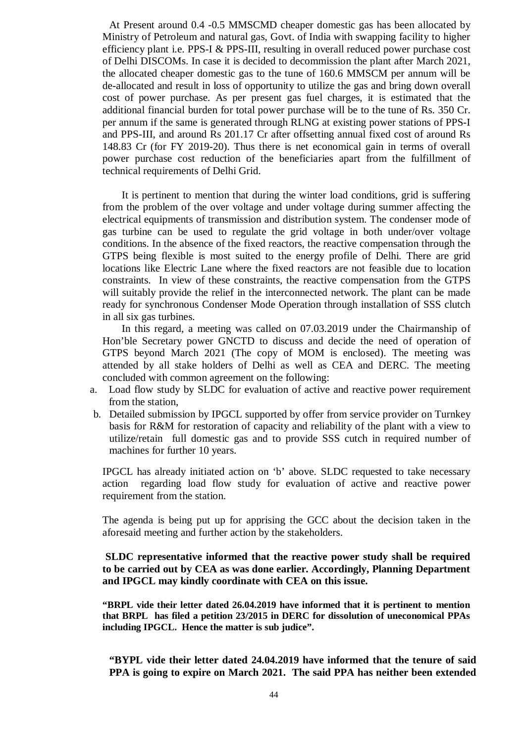At Present around 0.4 -0.5 MMSCMD cheaper domestic gas has been allocated by Ministry of Petroleum and natural gas, Govt. of India with swapping facility to higher efficiency plant i.e. PPS-I & PPS-III, resulting in overall reduced power purchase cost of Delhi DISCOMs. In case it is decided to decommission the plant after March 2021, the allocated cheaper domestic gas to the tune of 160.6 MMSCM per annum will be de-allocated and result in loss of opportunity to utilize the gas and bring down overall cost of power purchase. As per present gas fuel charges, it is estimated that the additional financial burden for total power purchase will be to the tune of Rs. 350 Cr. per annum if the same is generated through RLNG at existing power stations of PPS-I and PPS-III, and around Rs 201.17 Cr after offsetting annual fixed cost of around Rs 148.83 Cr (for FY 2019-20). Thus there is net economical gain in terms of overall power purchase cost reduction of the beneficiaries apart from the fulfillment of technical requirements of Delhi Grid.

It is pertinent to mention that during the winter load conditions, grid is suffering from the problem of the over voltage and under voltage during summer affecting the electrical equipments of transmission and distribution system. The condenser mode of gas turbine can be used to regulate the grid voltage in both under/over voltage conditions. In the absence of the fixed reactors, the reactive compensation through the GTPS being flexible is most suited to the energy profile of Delhi. There are grid locations like Electric Lane where the fixed reactors are not feasible due to location constraints. In view of these constraints, the reactive compensation from the GTPS will suitably provide the relief in the interconnected network. The plant can be made ready for synchronous Condenser Mode Operation through installation of SSS clutch in all six gas turbines.

In this regard, a meeting was called on 07.03.2019 under the Chairmanship of Hon'ble Secretary power GNCTD to discuss and decide the need of operation of GTPS beyond March 2021 (The copy of MOM is enclosed). The meeting was attended by all stake holders of Delhi as well as CEA and DERC. The meeting concluded with common agreement on the following:

- a. Load flow study by SLDC for evaluation of active and reactive power requirement from the station,
- b. Detailed submission by IPGCL supported by offer from service provider on Turnkey basis for R&M for restoration of capacity and reliability of the plant with a view to utilize/retain full domestic gas and to provide SSS cutch in required number of machines for further 10 years.

IPGCL has already initiated action on 'b' above. SLDC requested to take necessary action regarding load flow study for evaluation of active and reactive power requirement from the station.

The agenda is being put up for apprising the GCC about the decision taken in the aforesaid meeting and further action by the stakeholders.

#### **SLDC representative informed that the reactive power study shall be required to be carried out by CEA as was done earlier. Accordingly, Planning Department and IPGCL may kindly coordinate with CEA on this issue.**

**"BRPL vide their letter dated 26.04.2019 have informed that it is pertinent to mention that BRPL has filed a petition 23/2015 in DERC for dissolution of uneconomical PPAs including IPGCL. Hence the matter is sub judice".**

**"BYPL vide their letter dated 24.04.2019 have informed that the tenure of said PPA is going to expire on March 2021. The said PPA has neither been extended**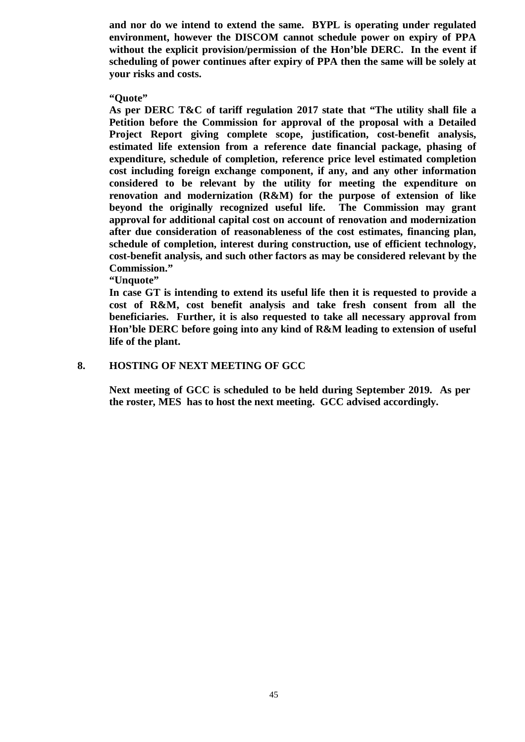**and nor do we intend to extend the same. BYPL is operating under regulated environment, however the DISCOM cannot schedule power on expiry of PPA without the explicit provision/permission of the Hon'ble DERC. In the event if scheduling of power continues after expiry of PPA then the same will be solely at your risks and costs.** 

**"Quote"**

**As per DERC T&C of tariff regulation 2017 state that "The utility shall file a Petition before the Commission for approval of the proposal with a Detailed Project Report giving complete scope, justification, cost-benefit analysis, estimated life extension from a reference date financial package, phasing of expenditure, schedule of completion, reference price level estimated completion cost including foreign exchange component, if any, and any other information considered to be relevant by the utility for meeting the expenditure on renovation and modernization (R&M) for the purpose of extension of like beyond the originally recognized useful life. The Commission may grant approval for additional capital cost on account of renovation and modernization after due consideration of reasonableness of the cost estimates, financing plan, schedule of completion, interest during construction, use of efficient technology, cost-benefit analysis, and such other factors as may be considered relevant by the Commission."**

**"Unquote"**

**In case GT is intending to extend its useful life then it is requested to provide a cost of R&M, cost benefit analysis and take fresh consent from all the beneficiaries. Further, it is also requested to take all necessary approval from Hon'ble DERC before going into any kind of R&M leading to extension of useful life of the plant.** 

#### **8. HOSTING OF NEXT MEETING OF GCC**

**Next meeting of GCC is scheduled to be held during September 2019. As per the roster, MES has to host the next meeting. GCC advised accordingly.**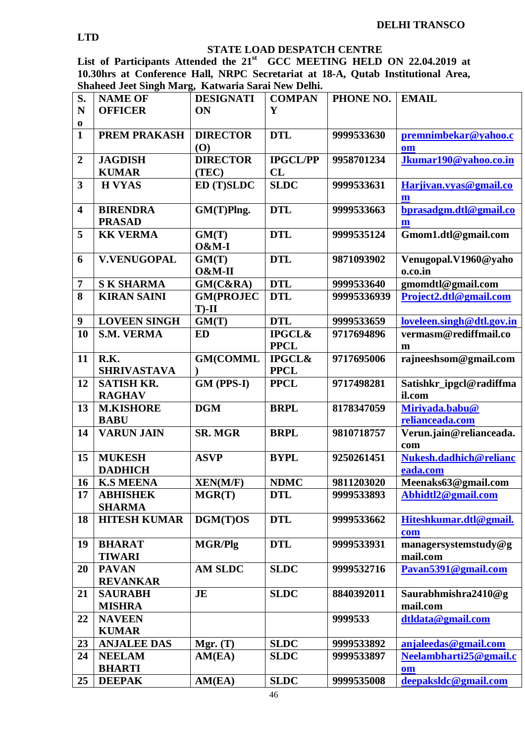#### **DELHI TRANSCO**

## **STATE LOAD DESPATCH CENTRE**

**List of Participants Attended the 21st GCC MEETING HELD ON 22.04.2019 at 10.30hrs at Conference Hall, NRPC Secretariat at 18-A, Qutab Institutional Area, Shaheed Jeet Singh Marg, Katwaria Sarai New Delhi.**

| S.                      | <b>NAME OF</b>      | <b>DESIGNATI</b> | <b>COMPAN</b>     | PHONE NO.   | <b>EMAIL</b>              |
|-------------------------|---------------------|------------------|-------------------|-------------|---------------------------|
| N                       | <b>OFFICER</b>      | ON               | Y                 |             |                           |
| 0                       |                     |                  |                   |             |                           |
| $\mathbf{1}$            | <b>PREM PRAKASH</b> | <b>DIRECTOR</b>  | <b>DTL</b>        | 9999533630  | premnimbekar@yahoo.c      |
|                         |                     | (O)              |                   |             | om                        |
| $\overline{2}$          | <b>JAGDISH</b>      | <b>DIRECTOR</b>  | <b>IPGCL/PP</b>   | 9958701234  | Jkumar190@yahoo.co.in     |
|                         | <b>KUMAR</b>        | (TEC)            | CL                |             |                           |
| $\overline{\mathbf{3}}$ | <b>H VYAS</b>       | ED (T)SLDC       | <b>SLDC</b>       | 9999533631  | Harjivan.vyas@gmail.co    |
|                         |                     |                  |                   |             | $\mathbf{m}$              |
| $\overline{\mathbf{4}}$ | <b>BIRENDRA</b>     | GM(T)Plng.       | <b>DTL</b>        | 9999533663  | bprasadgm.dtl@gmail.co    |
|                         | <b>PRASAD</b>       |                  |                   |             | $\mathbf{m}$              |
| 5                       | <b>KK VERMA</b>     | GM(T)            | <b>DTL</b>        | 9999535124  | Gmom1.dtl@gmail.com       |
|                         |                     | <b>O&amp;M-I</b> |                   |             |                           |
| 6                       | <b>V.VENUGOPAL</b>  | GM(T)            | <b>DTL</b>        | 9871093902  | Venugopal.V1960@yaho      |
|                         |                     | O&M-II           |                   |             | o.co.in                   |
| 7                       | <b>SK SHARMA</b>    | GM(C&RA)         | <b>DTL</b>        | 9999533640  | gmomdtl@gmail.com         |
| 8                       | <b>KIRAN SAINI</b>  | <b>GM(PROJEC</b> | <b>DTL</b>        | 99995336939 | Project2.dtl@gmail.com    |
|                         |                     | $T$ -II          |                   |             |                           |
| $\boldsymbol{9}$        | <b>LOVEEN SINGH</b> | GM(T)            | <b>DTL</b>        | 9999533659  | loveleen.singh@dtl.gov.in |
| 10                      | <b>S.M. VERMA</b>   | ED               | <b>IPGCL&amp;</b> | 9717694896  | vermasm@rediffmail.co     |
|                         |                     |                  | <b>PPCL</b>       |             | m                         |
| 11                      | R.K.                | <b>GM(COMML</b>  | <b>IPGCL&amp;</b> | 9717695006  | rajneeshsom@gmail.com     |
|                         | <b>SHRIVASTAVA</b>  |                  | <b>PPCL</b>       |             |                           |
| 12                      | <b>SATISH KR.</b>   | GM (PPS-I)       | <b>PPCL</b>       | 9717498281  | Satishkr_ipgcl@radiffma   |
|                         | <b>RAGHAV</b>       |                  |                   |             | il.com                    |
| 13                      | <b>M.KISHORE</b>    | <b>DGM</b>       | <b>BRPL</b>       | 8178347059  | Miriyada.babu@            |
|                         | <b>BABU</b>         |                  |                   |             | relianceada.com           |
| 14                      | <b>VARUN JAIN</b>   | <b>SR. MGR</b>   | <b>BRPL</b>       | 9810718757  | Verun.jain@relianceada.   |
|                         |                     |                  |                   |             | com                       |
| 15                      | <b>MUKESH</b>       | <b>ASVP</b>      | <b>BYPL</b>       | 9250261451  | Nukesh.dadhich@relianc    |
|                         | <b>DADHICH</b>      |                  |                   |             | eada.com                  |
| 16                      | <b>K.S MEENA</b>    | <b>XEN(M/F)</b>  | <b>NDMC</b>       | 9811203020  | Meenaks63@gmail.com       |
| 17                      | <b>ABHISHEK</b>     | MGR(T)           | <b>DTL</b>        | 9999533893  | Abhidtl2@gmail.com        |
|                         | <b>SHARMA</b>       |                  |                   |             |                           |
| 18                      | <b>HITESH KUMAR</b> | DGM(T)OS         | <b>DTL</b>        | 9999533662  | Hiteshkumar.dtl@gmail.    |
|                         |                     |                  |                   |             | com                       |
| 19                      | <b>BHARAT</b>       | <b>MGR/Plg</b>   | <b>DTL</b>        | 9999533931  | managersystemstudy@g      |
|                         | <b>TIWARI</b>       |                  |                   |             | mail.com                  |
| 20                      | <b>PAVAN</b>        | <b>AM SLDC</b>   | <b>SLDC</b>       | 9999532716  | Pavan5391@gmail.com       |
|                         | <b>REVANKAR</b>     |                  |                   |             |                           |
| 21                      | <b>SAURABH</b>      | <b>JE</b>        | <b>SLDC</b>       | 8840392011  | Saurabhmishra2410@g       |
|                         | <b>MISHRA</b>       |                  |                   |             | mail.com                  |
| 22                      | <b>NAVEEN</b>       |                  |                   | 9999533     | dtldata@gmail.com         |
|                         | <b>KUMAR</b>        |                  |                   |             |                           |
| 23                      | <b>ANJALEE DAS</b>  | Mgr. $(T)$       | <b>SLDC</b>       | 9999533892  | anjaleedas@gmail.com      |
| 24                      | <b>NEELAM</b>       | AM(EA)           | <b>SLDC</b>       | 9999533897  | Neelambharti25@gmail.c    |
|                         | <b>BHARTI</b>       |                  |                   |             | om                        |
| 25                      | <b>DEEPAK</b>       | AM(EA)           | <b>SLDC</b>       | 9999535008  | deepaksldc@gmail.com      |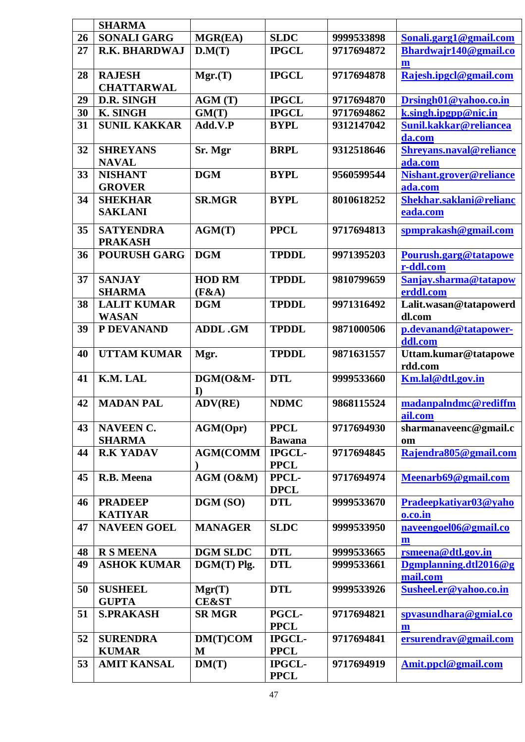|    | <b>SHARMA</b>                      |                  |               |            |                                 |
|----|------------------------------------|------------------|---------------|------------|---------------------------------|
| 26 | <b>SONALI GARG</b>                 | MGR(EA)          | <b>SLDC</b>   | 9999533898 | Sonali.garg1@gmail.com          |
| 27 | <b>R.K. BHARDWAJ</b>               | D.M(T)           | <b>IPGCL</b>  | 9717694872 | Bhardwajr140@gmail.co<br>m      |
| 28 | <b>RAJESH</b><br><b>CHATTARWAL</b> | Mgr.(T)          | <b>IPGCL</b>  | 9717694878 | Rajesh.ipgcl@gmail.com          |
| 29 | D.R. SINGH                         | AGM(T)           | <b>IPGCL</b>  | 9717694870 | Drsingh01@yahoo.co.in           |
| 30 | <b>K. SINGH</b>                    | GM(T)            | <b>IPGCL</b>  | 9717694862 | k.singh.ipgpp@nic.in            |
| 31 | <b>SUNIL KAKKAR</b>                | Add.V.P          | <b>BYPL</b>   | 9312147042 | Sunil.kakkar@reliancea          |
|    |                                    |                  |               |            | da.com                          |
| 32 | <b>SHREYANS</b>                    | Sr. Mgr          | <b>BRPL</b>   | 9312518646 | Shreyans.naval@reliance         |
|    | <b>NAVAL</b>                       |                  |               |            | ada.com                         |
| 33 | <b>NISHANT</b>                     | <b>DGM</b>       | <b>BYPL</b>   | 9560599544 | Nishant.grover@reliance         |
|    | <b>GROVER</b>                      |                  |               |            | ada.com                         |
| 34 | <b>SHEKHAR</b>                     | <b>SR.MGR</b>    | <b>BYPL</b>   | 8010618252 | Shekhar.saklani@relianc         |
|    | <b>SAKLANI</b>                     |                  |               |            | eada.com                        |
| 35 | <b>SATYENDRA</b>                   | AGM(T)           | <b>PPCL</b>   | 9717694813 | spmprakash@gmail.com            |
|    | <b>PRAKASH</b>                     |                  |               |            |                                 |
| 36 | <b>POURUSH GARG</b>                | <b>DGM</b>       | <b>TPDDL</b>  | 9971395203 | Pourush.garg@tatapowe           |
|    |                                    |                  |               |            | r-ddl.com                       |
| 37 | <b>SANJAY</b>                      | <b>HOD RM</b>    | <b>TPDDL</b>  | 9810799659 | Sanjay.sharma@tatapow           |
|    | <b>SHARMA</b>                      | (F&A)            |               |            | erddl.com                       |
| 38 | <b>LALIT KUMAR</b>                 | <b>DGM</b>       | <b>TPDDL</b>  | 9971316492 | Lalit.wasan@tatapowerd          |
|    | <b>WASAN</b>                       |                  |               |            | dl.com                          |
| 39 | P DEVANAND                         | <b>ADDL.GM</b>   | <b>TPDDL</b>  | 9871000506 | p.devanand@tatapower-           |
|    |                                    |                  |               |            | ddl.com                         |
| 40 | <b>UTTAM KUMAR</b>                 | Mgr.             | <b>TPDDL</b>  | 9871631557 | Uttam.kumar@tatapowe<br>rdd.com |
| 41 | K.M. LAL                           | DGM(O&M-         | <b>DTL</b>    | 9999533660 | Km.lal@dtl.gov.in               |
|    |                                    | $\bf{I}$         |               |            |                                 |
| 42 | <b>MADAN PAL</b>                   | <b>ADV(RE)</b>   | <b>NDMC</b>   | 9868115524 | madanpalndmc@rediffm            |
|    |                                    |                  |               |            | ail.com                         |
| 43 | <b>NAVEEN C.</b>                   | AGM(Opr)         | <b>PPCL</b>   | 9717694930 | sharmanaveenc@gmail.c           |
|    | <b>SHARMA</b>                      |                  | <b>Bawana</b> |            | <b>om</b>                       |
| 44 | <b>R.K YADAV</b>                   | <b>AGM(COMM</b>  | IPGCL-        | 9717694845 | Rajendra805@gmail.com           |
|    |                                    |                  | <b>PPCL</b>   |            |                                 |
| 45 | R.B. Meena                         | AGM (O&M)        | PPCL-         | 9717694974 | Meenarb69@gmail.com             |
|    |                                    |                  | <b>DPCL</b>   |            |                                 |
| 46 | <b>PRADEEP</b>                     | DGM (SO)         | <b>DTL</b>    | 9999533670 | Pradeepkatiyar03@yaho           |
|    | <b>KATIYAR</b>                     |                  |               |            | o.co.in                         |
| 47 | <b>NAVEEN GOEL</b>                 | <b>MANAGER</b>   | <b>SLDC</b>   | 9999533950 | naveengoel06@gmail.co           |
|    |                                    |                  |               |            | $\mathbf{m}$                    |
| 48 | <b>R S MEENA</b>                   | <b>DGM SLDC</b>  | <b>DTL</b>    | 9999533665 | rsmeena@dtl.gov.in              |
| 49 | <b>ASHOK KUMAR</b>                 | DGM(T) Plg.      | <b>DTL</b>    | 9999533661 | Dgmplanning.dtl2016@g           |
|    |                                    |                  |               |            | mail.com                        |
| 50 | <b>SUSHEEL</b>                     | Mgr(T)           | <b>DTL</b>    | 9999533926 | Susheel.er@yahoo.co.in          |
|    | <b>GUPTA</b>                       | <b>CE&amp;ST</b> |               |            |                                 |
| 51 | <b>S.PRAKASH</b>                   | <b>SR MGR</b>    | <b>PGCL-</b>  | 9717694821 | spyasundhara@gmial.co           |
|    |                                    |                  | <b>PPCL</b>   |            | m                               |
| 52 | <b>SURENDRA</b>                    | DM(T)COM         | <b>IPGCL-</b> | 9717694841 | ersurendrav@gmail.com           |
|    | <b>KUMAR</b>                       | M                | <b>PPCL</b>   |            |                                 |
| 53 | <b>AMIT KANSAL</b>                 | DM(T)            | <b>IPGCL-</b> | 9717694919 | Amit.ppcl@gmail.com             |
|    |                                    |                  | <b>PPCL</b>   |            |                                 |